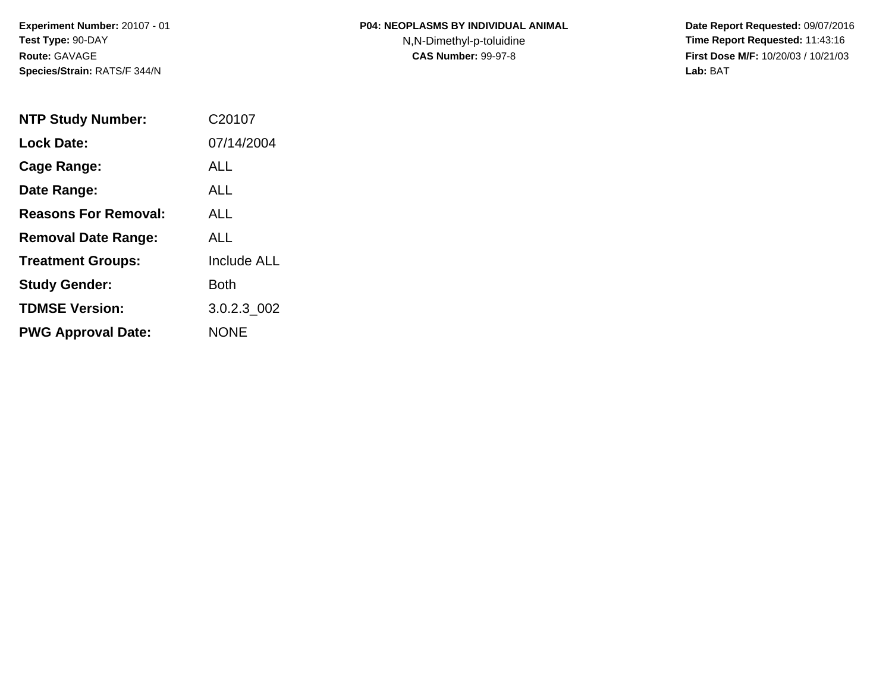N,N-Dimethyl-p-toluidine

| <b>NTP Study Number:</b>    | C <sub>20107</sub> |
|-----------------------------|--------------------|
| <b>Lock Date:</b>           | 07/14/2004         |
| Cage Range:                 | AI I               |
| Date Range:                 | AI I               |
| <b>Reasons For Removal:</b> | AI I               |
| <b>Removal Date Range:</b>  | ALL                |
| <b>Treatment Groups:</b>    | <b>Include ALL</b> |
| <b>Study Gender:</b>        | Both               |
| <b>TDMSE Version:</b>       | 3.0.2.3_002        |
| <b>PWG Approval Date:</b>   | <b>NONE</b>        |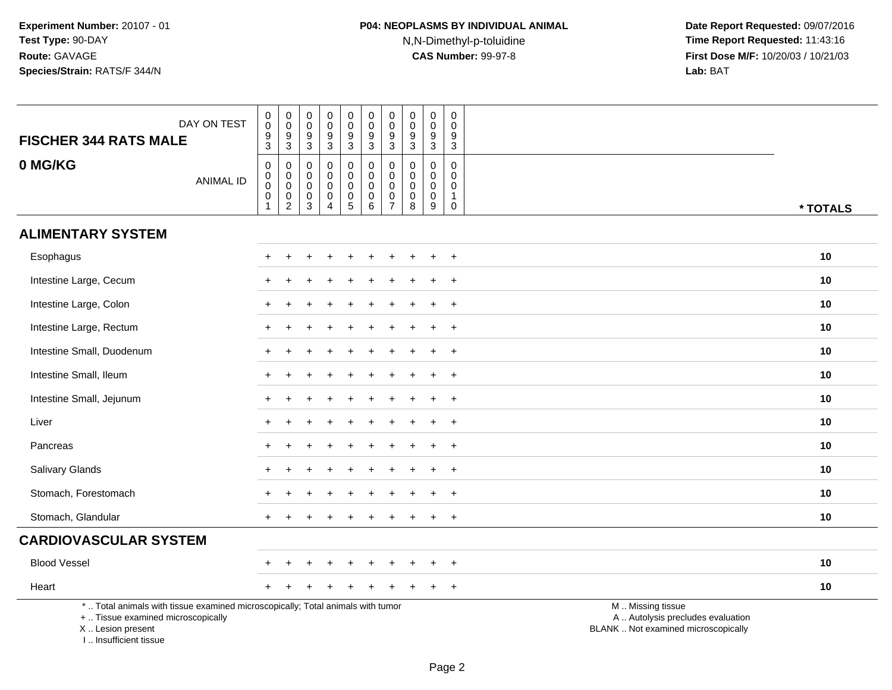# **P04: NEOPLASMS BY INDIVIDUAL ANIMAL**N,N-Dimethyl-p-toluidine

| DAY ON TEST<br><b>FISCHER 344 RATS MALE</b>                                                                                                                           | $\begin{smallmatrix}0\\0\end{smallmatrix}$<br>$\overline{9}$<br>3 | $\begin{array}{c} 0 \\ 0 \\ 9 \\ 3 \end{array}$             | $\pmb{0}$<br>$\mathsf 0$<br>9<br>3                        | $\mathbf 0$<br>$\mathbf 0$<br>$9\,$<br>$\mathbf{3}$                      | $\pmb{0}$<br>$\pmb{0}$<br>$\overline{9}$<br>3                            | $_{\rm 0}^{\rm 0}$<br>$\overline{9}$<br>3                      | $\begin{smallmatrix}0\\0\end{smallmatrix}$<br>$\overline{9}$<br>$\mathbf{3}$   | $\pmb{0}$<br>$\mathbf 0$<br>$\overline{9}$<br>$\mathbf{3}$  | $\mathbf 0$<br>$\mathbf 0$<br>$\boldsymbol{9}$<br>$\mathbf{3}$ | $\pmb{0}$<br>$\mathbf 0$<br>$\boldsymbol{9}$<br>3                             |                                                                                               |
|-----------------------------------------------------------------------------------------------------------------------------------------------------------------------|-------------------------------------------------------------------|-------------------------------------------------------------|-----------------------------------------------------------|--------------------------------------------------------------------------|--------------------------------------------------------------------------|----------------------------------------------------------------|--------------------------------------------------------------------------------|-------------------------------------------------------------|----------------------------------------------------------------|-------------------------------------------------------------------------------|-----------------------------------------------------------------------------------------------|
| 0 MG/KG<br><b>ANIMAL ID</b>                                                                                                                                           | 0<br>$\mathbf 0$<br>$\mathbf 0$<br>$\pmb{0}$<br>$\mathbf{1}$      | $\mathbf 0$<br>$\overline{0}$ <sub>0</sub><br>$\frac{0}{2}$ | $\Omega$<br>0<br>$\mathbf 0$<br>$\pmb{0}$<br>$\mathbf{3}$ | $\mathbf 0$<br>$\mathbf 0$<br>$\mathbf 0$<br>$\pmb{0}$<br>$\overline{4}$ | 0<br>$\mathbf 0$<br>$\mathsf 0$<br>$\begin{array}{c} 0 \\ 5 \end{array}$ | $\mathbf 0$<br>0<br>$\mathbf 0$<br>$\pmb{0}$<br>$6\phantom{a}$ | $\mathbf 0$<br>$\pmb{0}$<br>$\mathsf{O}\xspace$<br>$\pmb{0}$<br>$\overline{7}$ | $\mathbf 0$<br>$\mathbf 0$<br>$\mathbf 0$<br>$\pmb{0}$<br>8 | $\mathbf 0$<br>$\mathbf 0$<br>$\mathbf 0$<br>$\mathbf 0$<br>9  | $\mathbf 0$<br>$\mathbf 0$<br>$\mathbf 0$<br>$\mathbf{1}$<br>$\boldsymbol{0}$ | * TOTALS                                                                                      |
| <b>ALIMENTARY SYSTEM</b>                                                                                                                                              |                                                                   |                                                             |                                                           |                                                                          |                                                                          |                                                                |                                                                                |                                                             |                                                                |                                                                               |                                                                                               |
| Esophagus                                                                                                                                                             |                                                                   |                                                             |                                                           |                                                                          |                                                                          |                                                                |                                                                                |                                                             |                                                                | $\ddot{}$                                                                     | 10                                                                                            |
| Intestine Large, Cecum                                                                                                                                                |                                                                   |                                                             |                                                           |                                                                          |                                                                          |                                                                |                                                                                |                                                             |                                                                | $\ddot{}$                                                                     | 10                                                                                            |
| Intestine Large, Colon                                                                                                                                                |                                                                   |                                                             |                                                           |                                                                          |                                                                          |                                                                |                                                                                |                                                             |                                                                | $\overline{+}$                                                                | 10                                                                                            |
| Intestine Large, Rectum                                                                                                                                               |                                                                   |                                                             |                                                           |                                                                          |                                                                          |                                                                |                                                                                |                                                             |                                                                | $+$                                                                           | 10                                                                                            |
| Intestine Small, Duodenum                                                                                                                                             |                                                                   |                                                             |                                                           |                                                                          |                                                                          |                                                                |                                                                                |                                                             |                                                                | $\ddot{}$                                                                     | 10                                                                                            |
| Intestine Small, Ileum                                                                                                                                                |                                                                   |                                                             |                                                           |                                                                          |                                                                          |                                                                |                                                                                |                                                             |                                                                | $\overline{+}$                                                                | 10                                                                                            |
| Intestine Small, Jejunum                                                                                                                                              |                                                                   |                                                             |                                                           |                                                                          |                                                                          |                                                                |                                                                                |                                                             | ÷.                                                             | $+$                                                                           | 10                                                                                            |
| Liver                                                                                                                                                                 |                                                                   |                                                             |                                                           |                                                                          |                                                                          |                                                                |                                                                                |                                                             |                                                                | $+$                                                                           | 10                                                                                            |
| Pancreas                                                                                                                                                              |                                                                   |                                                             |                                                           |                                                                          |                                                                          |                                                                |                                                                                |                                                             |                                                                | $\overline{+}$                                                                | 10                                                                                            |
| Salivary Glands                                                                                                                                                       |                                                                   |                                                             |                                                           |                                                                          |                                                                          |                                                                |                                                                                |                                                             |                                                                | $+$                                                                           | 10                                                                                            |
| Stomach, Forestomach                                                                                                                                                  |                                                                   |                                                             |                                                           |                                                                          |                                                                          |                                                                |                                                                                |                                                             |                                                                | $\overline{+}$                                                                | 10                                                                                            |
| Stomach, Glandular                                                                                                                                                    |                                                                   |                                                             |                                                           |                                                                          |                                                                          |                                                                |                                                                                |                                                             |                                                                | $+$                                                                           | 10                                                                                            |
| <b>CARDIOVASCULAR SYSTEM</b>                                                                                                                                          |                                                                   |                                                             |                                                           |                                                                          |                                                                          |                                                                |                                                                                |                                                             |                                                                |                                                                               |                                                                                               |
| <b>Blood Vessel</b>                                                                                                                                                   |                                                                   |                                                             |                                                           |                                                                          |                                                                          |                                                                |                                                                                |                                                             |                                                                | $+$                                                                           | 10                                                                                            |
| Heart                                                                                                                                                                 |                                                                   |                                                             |                                                           |                                                                          |                                                                          |                                                                |                                                                                |                                                             |                                                                | $+$                                                                           | 10                                                                                            |
| *  Total animals with tissue examined microscopically; Total animals with tumor<br>+  Tissue examined microscopically<br>X  Lesion present<br>I., Insufficient tissue |                                                                   |                                                             |                                                           |                                                                          |                                                                          |                                                                |                                                                                |                                                             |                                                                |                                                                               | M  Missing tissue<br>A  Autolysis precludes evaluation<br>BLANK  Not examined microscopically |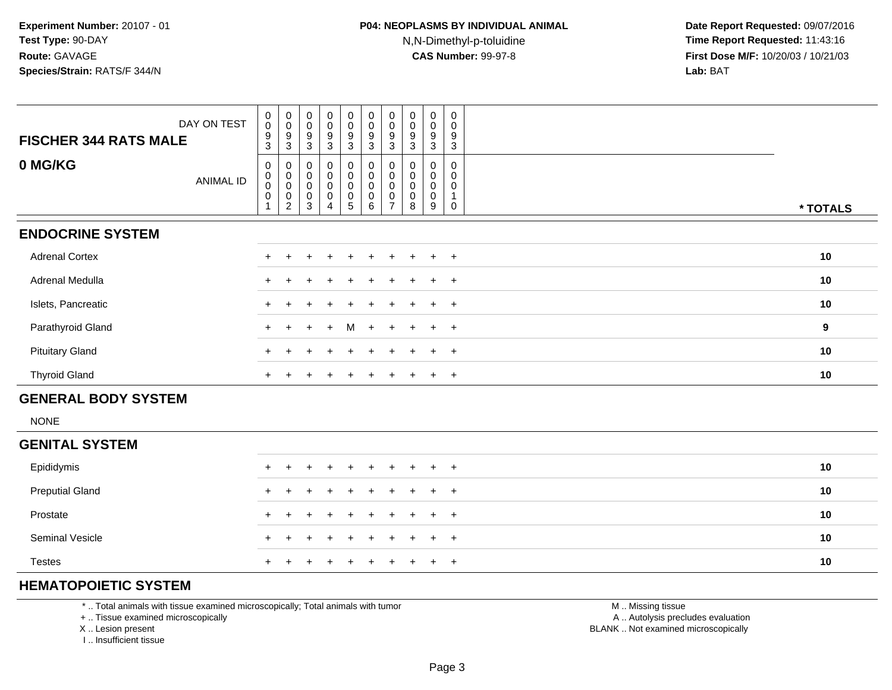| DAY ON TEST<br><b>FISCHER 344 RATS MALE</b> | $\mathbf 0$<br>$\boldsymbol{0}$<br>$\boldsymbol{9}$<br>3 | $_{\rm 0}^{\rm 0}$<br>$\boldsymbol{9}$<br>3                    | $\pmb{0}$<br>$\mathbf 0$<br>9<br>3        | $_0^0$<br>9<br>3      | $_{\rm 0}^{\rm 0}$<br>9<br>3                    | $\begin{matrix} 0 \\ 0 \\ 9 \end{matrix}$<br>$\mathbf{3}$ | $\begin{smallmatrix} 0\\0 \end{smallmatrix}$<br>9<br>3 | $\pmb{0}$<br>$\pmb{0}$<br>$\boldsymbol{9}$<br>3 | 0<br>$\mathbf 0$<br>9<br>3      | $\mathbf 0$<br>$\mathbf 0$<br>9<br>3 |                  |  |
|---------------------------------------------|----------------------------------------------------------|----------------------------------------------------------------|-------------------------------------------|-----------------------|-------------------------------------------------|-----------------------------------------------------------|--------------------------------------------------------|-------------------------------------------------|---------------------------------|--------------------------------------|------------------|--|
| 0 MG/KG<br><b>ANIMAL ID</b>                 | $\mathbf 0$<br>$_{\rm 0}^{\rm 0}$<br>$\mathbf 0$         | $\pmb{0}$<br>$\mathbf 0$<br>$\mathbf 0$<br>0<br>$\overline{c}$ | $\mathbf 0$<br>0<br>$\mathbf 0$<br>0<br>3 | 0<br>0<br>0<br>0<br>4 | 0<br>$\pmb{0}$<br>$\pmb{0}$<br>$\mathsf 0$<br>5 | $\pmb{0}$<br>$\pmb{0}$<br>$\pmb{0}$<br>$\pmb{0}$<br>6     | 0<br>0<br>0<br>0<br>$\overline{ }$                     | 0<br>$\mathbf 0$<br>0<br>8                      | 0<br>0<br>$\mathbf 0$<br>0<br>9 | $\Omega$<br>$\Omega$                 | * TOTALS         |  |
| <b>ENDOCRINE SYSTEM</b>                     |                                                          |                                                                |                                           |                       |                                                 |                                                           |                                                        |                                                 |                                 |                                      |                  |  |
| <b>Adrenal Cortex</b>                       |                                                          |                                                                |                                           |                       |                                                 |                                                           |                                                        |                                                 | $\div$                          | $+$                                  | 10               |  |
| Adrenal Medulla                             |                                                          |                                                                |                                           |                       |                                                 |                                                           |                                                        |                                                 | $\ddot{}$                       | $+$                                  | 10               |  |
| Islets, Pancreatic                          |                                                          |                                                                |                                           |                       |                                                 |                                                           |                                                        |                                                 | $\div$                          | $+$                                  | 10               |  |
| Parathyroid Gland                           | $+$                                                      |                                                                | $+$                                       | $+$                   | M                                               | $+$                                                       | $+$                                                    | $+$                                             | $\ddot{}$                       | $+$                                  | $\boldsymbol{9}$ |  |
| <b>Pituitary Gland</b>                      |                                                          |                                                                |                                           | $\ddot{}$             | $+$                                             | $\pm$                                                     | $\ddot{}$                                              | $\ddot{}$                                       | $\ddot{}$                       | $+$                                  | 10               |  |
| <b>Thyroid Gland</b>                        |                                                          |                                                                |                                           |                       | $+$                                             | $+$                                                       | ÷.                                                     | $\pm$                                           | $\pm$                           | $+$                                  | 10               |  |
|                                             |                                                          |                                                                |                                           |                       |                                                 |                                                           |                                                        |                                                 |                                 |                                      |                  |  |

#### **GENERAL BODY SYSTEM**

NONE

| <b>GENITAL SYSTEM</b>  |                     |    |
|------------------------|---------------------|----|
| Epididymis             | + + + + + + + + + + | 10 |
| <b>Preputial Gland</b> | + + + + + + + + + + | 10 |
| Prostate               | + + + + + + + + + + | 10 |
| <b>Seminal Vesicle</b> | + + + + + + + + + + | 10 |
| <b>Testes</b>          | + + + + + + + + + + | 10 |

### **HEMATOPOIETIC SYSTEM**

\* .. Total animals with tissue examined microscopically; Total animals with tumor

+ .. Tissue examined microscopically

X .. Lesion present

I .. Insufficient tissue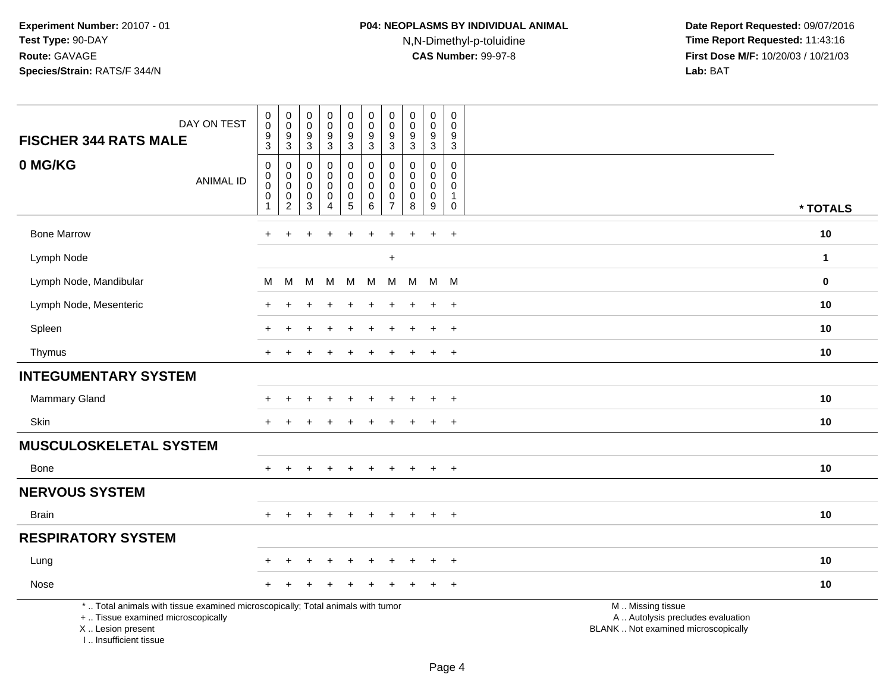| DAY ON TEST<br><b>FISCHER 344 RATS MALE</b>                                                                                                | $\,0\,$<br>$\mathbf 0$<br>$\boldsymbol{9}$<br>$\overline{3}$              | 0<br>$\mathbf 0$<br>9<br>$\overline{3}$    | $\boldsymbol{0}$<br>$\pmb{0}$<br>$\boldsymbol{9}$<br>$\overline{3}$ | $\pmb{0}$<br>$\mathbf 0$<br>$\frac{9}{3}$                    | $\mathbf 0$<br>$\pmb{0}$<br>$\frac{9}{3}$                    | $\pmb{0}$<br>$\pmb{0}$<br>$\boldsymbol{9}$<br>$\overline{3}$ | $\pmb{0}$<br>$\mathbf 0$<br>9<br>$\overline{3}$ | $\pmb{0}$<br>$\pmb{0}$<br>$\boldsymbol{9}$<br>$\overline{3}$ | $\pmb{0}$<br>$\bar{0}$<br>$\frac{9}{3}$              | $\mathsf{O}\xspace$<br>$\mathbf 0$<br>$\frac{9}{3}$  |                                                                                               |              |
|--------------------------------------------------------------------------------------------------------------------------------------------|---------------------------------------------------------------------------|--------------------------------------------|---------------------------------------------------------------------|--------------------------------------------------------------|--------------------------------------------------------------|--------------------------------------------------------------|-------------------------------------------------|--------------------------------------------------------------|------------------------------------------------------|------------------------------------------------------|-----------------------------------------------------------------------------------------------|--------------|
| 0 MG/KG<br><b>ANIMAL ID</b>                                                                                                                | $\pmb{0}$<br>$\boldsymbol{0}$<br>$\mathbf 0$<br>$\pmb{0}$<br>$\mathbf{1}$ | 0<br>$\pmb{0}$<br>0<br>0<br>$\overline{c}$ | 0<br>0<br>$\mathbf 0$<br>0<br>$\mathbf{3}$                          | $\pmb{0}$<br>0<br>$\mathbf 0$<br>$\pmb{0}$<br>$\overline{4}$ | 0<br>$\mathbf 0$<br>$\mathbf 0$<br>$\mathbf 0$<br>$\sqrt{5}$ | $\pmb{0}$<br>$\pmb{0}$<br>$\mathbf 0$<br>0<br>$\,6\,$        | 0<br>0<br>$\mathbf 0$<br>0<br>$\overline{7}$    | $\Omega$<br>0<br>$\pmb{0}$<br>$\pmb{0}$<br>8                 | $\mathbf 0$<br>0<br>0<br>$\pmb{0}$<br>$\overline{9}$ | 0<br>$\mathbf 0$<br>0<br>$\mathbf{1}$<br>$\mathsf 0$ |                                                                                               | * TOTALS     |
| <b>Bone Marrow</b>                                                                                                                         | $+$                                                                       | $\ddot{}$                                  |                                                                     | $\div$                                                       | $\div$                                                       | $\div$                                                       | ÷                                               |                                                              | $\ddot{}$                                            | $+$                                                  |                                                                                               | 10           |
| Lymph Node                                                                                                                                 |                                                                           |                                            |                                                                     |                                                              |                                                              |                                                              | $\ddot{}$                                       |                                                              |                                                      |                                                      |                                                                                               | $\mathbf{1}$ |
| Lymph Node, Mandibular                                                                                                                     | М                                                                         | M                                          | м                                                                   | M                                                            | M                                                            | M                                                            | M                                               | M                                                            | M                                                    | <b>M</b>                                             |                                                                                               | $\bf{0}$     |
| Lymph Node, Mesenteric                                                                                                                     |                                                                           |                                            |                                                                     |                                                              |                                                              |                                                              |                                                 |                                                              | $\div$                                               | $\overline{+}$                                       |                                                                                               | 10           |
| Spleen                                                                                                                                     |                                                                           | $\div$                                     |                                                                     |                                                              |                                                              |                                                              |                                                 |                                                              | $\ddot{}$                                            | $+$                                                  |                                                                                               | 10           |
| Thymus                                                                                                                                     |                                                                           |                                            |                                                                     |                                                              |                                                              |                                                              |                                                 |                                                              | $\ddot{}$                                            | $\ddot{}$                                            |                                                                                               | 10           |
| <b>INTEGUMENTARY SYSTEM</b>                                                                                                                |                                                                           |                                            |                                                                     |                                                              |                                                              |                                                              |                                                 |                                                              |                                                      |                                                      |                                                                                               |              |
| Mammary Gland                                                                                                                              |                                                                           |                                            |                                                                     |                                                              |                                                              |                                                              |                                                 |                                                              | $\div$                                               | $\overline{+}$                                       |                                                                                               | 10           |
| Skin                                                                                                                                       |                                                                           |                                            |                                                                     |                                                              |                                                              |                                                              |                                                 |                                                              | $\overline{+}$                                       | $\overline{+}$                                       |                                                                                               | 10           |
| <b>MUSCULOSKELETAL SYSTEM</b>                                                                                                              |                                                                           |                                            |                                                                     |                                                              |                                                              |                                                              |                                                 |                                                              |                                                      |                                                      |                                                                                               |              |
| Bone                                                                                                                                       | $+$                                                                       | $\ddot{}$                                  |                                                                     | $\div$                                                       | $\pm$                                                        | $\pm$                                                        |                                                 | $\pm$                                                        | $+$                                                  | $+$                                                  |                                                                                               | 10           |
| <b>NERVOUS SYSTEM</b>                                                                                                                      |                                                                           |                                            |                                                                     |                                                              |                                                              |                                                              |                                                 |                                                              |                                                      |                                                      |                                                                                               |              |
| <b>Brain</b>                                                                                                                               | ÷.                                                                        |                                            |                                                                     |                                                              |                                                              |                                                              |                                                 |                                                              | $\ddot{}$                                            | $+$                                                  |                                                                                               | 10           |
| <b>RESPIRATORY SYSTEM</b>                                                                                                                  |                                                                           |                                            |                                                                     |                                                              |                                                              |                                                              |                                                 |                                                              |                                                      |                                                      |                                                                                               |              |
| Lung                                                                                                                                       |                                                                           |                                            |                                                                     | $\ddot{}$                                                    | $\ddot{}$                                                    | $\div$                                                       |                                                 |                                                              | $\ddot{}$                                            | $+$                                                  |                                                                                               | 10           |
| Nose                                                                                                                                       |                                                                           |                                            |                                                                     |                                                              |                                                              |                                                              |                                                 |                                                              |                                                      | $+$                                                  |                                                                                               | 10           |
| *  Total animals with tissue examined microscopically; Total animals with tumor<br>+  Tissue examined microscopically<br>X  Lesion present |                                                                           |                                            |                                                                     |                                                              |                                                              |                                                              |                                                 |                                                              |                                                      |                                                      | M  Missing tissue<br>A  Autolysis precludes evaluation<br>BLANK  Not examined microscopically |              |

I .. Insufficient tissue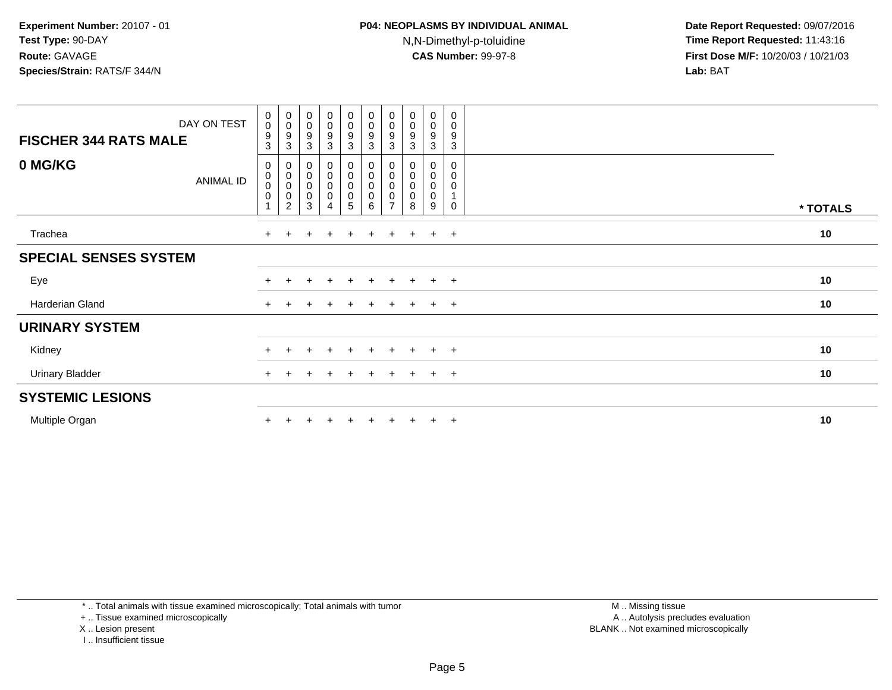| DAY ON TEST<br><b>FISCHER 344 RATS MALE</b> | $\begin{smallmatrix}0\0\0\end{smallmatrix}$<br>9<br>3 | $_{\rm 0}^{\rm 0}$<br>$\boldsymbol{9}$<br>$\mathsf 3$                                  | $_{\rm 0}^{\rm 0}$<br>$\boldsymbol{9}$<br>3                       | $\begin{smallmatrix}0\0\0\9\end{smallmatrix}$<br>$\overline{3}$              | $\begin{smallmatrix} 0\\0 \end{smallmatrix}$<br>$9\,$<br>$\mathbf{3}$ | $\begin{smallmatrix} 0\\0 \end{smallmatrix}$<br>9<br>3 | $\begin{smallmatrix} 0\\0 \end{smallmatrix}$<br>9<br>3 | $_{\rm 0}^{\rm 0}$<br>$\boldsymbol{9}$<br>3     | $\mathbf 0$<br>$\pmb{0}$<br>9<br>3                  | 0<br>$\pmb{0}$<br>$9\,$<br>$\sqrt{3}$  |          |
|---------------------------------------------|-------------------------------------------------------|----------------------------------------------------------------------------------------|-------------------------------------------------------------------|------------------------------------------------------------------------------|-----------------------------------------------------------------------|--------------------------------------------------------|--------------------------------------------------------|-------------------------------------------------|-----------------------------------------------------|----------------------------------------|----------|
| 0 MG/KG<br><b>ANIMAL ID</b>                 | 0<br>0<br>$\pmb{0}$<br>0                              | $\begin{smallmatrix}0\\0\end{smallmatrix}$<br>$\pmb{0}$<br>$\pmb{0}$<br>$\overline{c}$ | $\begin{smallmatrix}0\\0\\0\end{smallmatrix}$<br>$\mathsf 0$<br>3 | $\begin{smallmatrix}0\\0\\0\end{smallmatrix}$<br>$\pmb{0}$<br>$\overline{4}$ | $\begin{smallmatrix}0\\0\\0\end{smallmatrix}$<br>$\pmb{0}$<br>5       | 0<br>$\pmb{0}$<br>$\,0\,$<br>$\pmb{0}$<br>6            | $\mathbf 0$<br>$\overline{ }$                          | 0<br>0<br>$\mathsf{O}\xspace$<br>$\pmb{0}$<br>8 | 0<br>$\mathbf 0$<br>$\mathbf 0$<br>$\mathbf 0$<br>9 | 0<br>0<br>$\mathbf 0$<br>1<br>$\Omega$ | * TOTALS |
| Trachea                                     | $\ddot{}$                                             |                                                                                        |                                                                   | $\ddot{}$                                                                    |                                                                       |                                                        |                                                        | $\ddot{}$                                       | $\pm$                                               | $+$                                    | 10       |
| <b>SPECIAL SENSES SYSTEM</b>                |                                                       |                                                                                        |                                                                   |                                                                              |                                                                       |                                                        |                                                        |                                                 |                                                     |                                        |          |
| Eye                                         | $\pm$                                                 | $+$                                                                                    | $\pm$                                                             | $+$                                                                          | $+$                                                                   | $+$                                                    | $+$                                                    | $+$                                             | $+$                                                 | $+$                                    | 10       |
| Harderian Gland                             | $\ddot{}$                                             |                                                                                        |                                                                   | $\div$                                                                       | $\pm$                                                                 | ÷                                                      |                                                        | $\pm$                                           | $\pm$                                               | $+$                                    | 10       |
| <b>URINARY SYSTEM</b>                       |                                                       |                                                                                        |                                                                   |                                                                              |                                                                       |                                                        |                                                        |                                                 |                                                     |                                        |          |
| Kidney                                      | $+$                                                   | $+$                                                                                    | $\overline{+}$                                                    | $+$                                                                          | $+$                                                                   | $\ddot{}$                                              | $+$                                                    | $+$                                             | $+$                                                 | $+$                                    | 10       |
| <b>Urinary Bladder</b>                      | $+$                                                   | $+$                                                                                    | $\pm$                                                             | $\pm$                                                                        | $+$                                                                   | $\pm$                                                  | $+$                                                    | $+$                                             | $+$                                                 | $+$                                    | 10       |
| <b>SYSTEMIC LESIONS</b>                     |                                                       |                                                                                        |                                                                   |                                                                              |                                                                       |                                                        |                                                        |                                                 |                                                     |                                        |          |
| Multiple Organ                              |                                                       |                                                                                        |                                                                   |                                                                              |                                                                       |                                                        |                                                        | $\pm$                                           | $\pm$                                               | $+$                                    | 10       |

\* .. Total animals with tissue examined microscopically; Total animals with tumor

+ .. Tissue examined microscopically

X .. Lesion present

I .. Insufficient tissue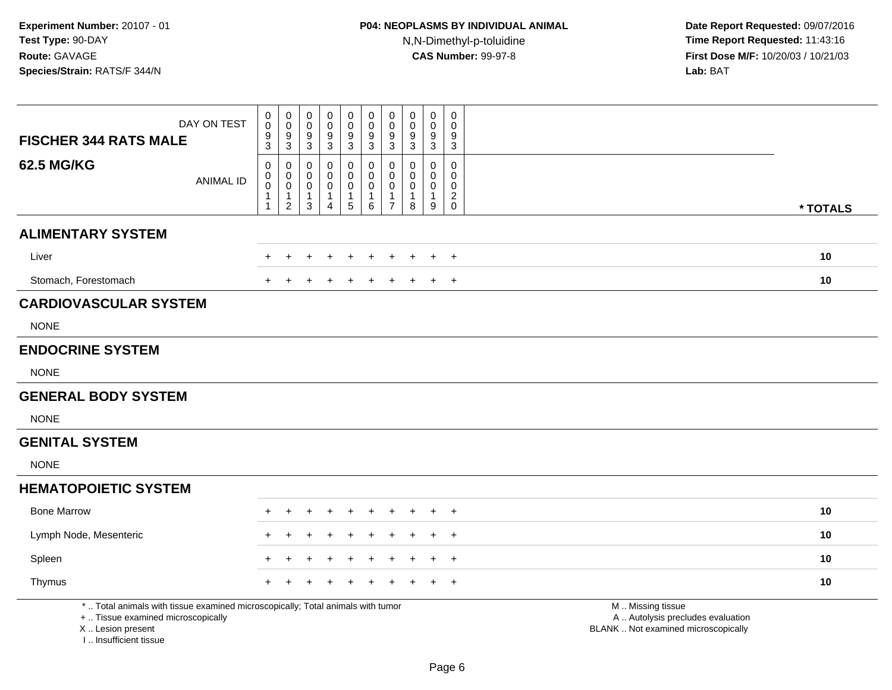| DAY ON TEST<br><b>FISCHER 344 RATS MALE</b>                                                                                                                         | $\pmb{0}$<br>$\mathbf 0$<br>$\frac{9}{3}$          | $\pmb{0}$<br>$\mathsf{O}\xspace$<br>$\frac{9}{3}$                                  | $\pmb{0}$<br>$\mathsf 0$<br>$\boldsymbol{9}$<br>3 | $\mathsf 0$<br>$\mathbf 0$<br>9<br>$\mathsf 3$  | $\pmb{0}$<br>$\mathbf 0$<br>9<br>$\mathbf 3$                 | $\pmb{0}$<br>$\pmb{0}$<br>$\boldsymbol{9}$<br>$\sqrt{3}$ | $\pmb{0}$<br>$\mathbf 0$<br>$\boldsymbol{9}$<br>$\mathbf{3}$                | $\mathbf 0$<br>$\mathsf{O}\xspace$<br>9<br>$\overline{3}$ | $\pmb{0}$<br>0<br>$\frac{9}{3}$            | $\pmb{0}$<br>$\mathbf 0$<br>9<br>$\sqrt{3}$ |                                                                                               |
|---------------------------------------------------------------------------------------------------------------------------------------------------------------------|----------------------------------------------------|------------------------------------------------------------------------------------|---------------------------------------------------|-------------------------------------------------|--------------------------------------------------------------|----------------------------------------------------------|-----------------------------------------------------------------------------|-----------------------------------------------------------|--------------------------------------------|---------------------------------------------|-----------------------------------------------------------------------------------------------|
| <b>62.5 MG/KG</b><br><b>ANIMAL ID</b>                                                                                                                               | 0<br>0<br>$\bar{0}$<br>$\mathbf{1}$<br>$\mathbf 1$ | 0<br>$\begin{smallmatrix}0\0\0\end{smallmatrix}$<br>$\mathbf{1}$<br>$\overline{2}$ | 0<br>0<br>$\mathbf 0$<br>1<br>$\mathbf{3}$        | 0<br>0<br>0<br>$\overline{1}$<br>$\overline{4}$ | $\mathbf 0$<br>$\mathbf 0$<br>$\mathbf 0$<br>1<br>$\sqrt{5}$ | $\mathbf 0$<br>0<br>$\pmb{0}$<br>1<br>$\,6$              | $\mathbf 0$<br>$\mathbf 0$<br>$\mathbf 0$<br>$\mathbf{1}$<br>$\overline{7}$ | 0<br>$\mathbf 0$<br>0<br>1<br>8                           | 0<br>0<br>$\mathbf 0$<br>$\mathbf{1}$<br>9 | 0<br>$\mathbf 0$<br>0<br>$^2_{\rm 0}$       | * TOTALS                                                                                      |
| <b>ALIMENTARY SYSTEM</b>                                                                                                                                            |                                                    |                                                                                    |                                                   |                                                 |                                                              |                                                          |                                                                             |                                                           |                                            |                                             |                                                                                               |
| Liver                                                                                                                                                               |                                                    |                                                                                    |                                                   |                                                 |                                                              |                                                          |                                                                             |                                                           |                                            | $\overline{+}$                              | 10                                                                                            |
| Stomach, Forestomach                                                                                                                                                |                                                    |                                                                                    |                                                   |                                                 |                                                              |                                                          |                                                                             |                                                           |                                            | $\overline{1}$                              | 10                                                                                            |
| <b>CARDIOVASCULAR SYSTEM</b>                                                                                                                                        |                                                    |                                                                                    |                                                   |                                                 |                                                              |                                                          |                                                                             |                                                           |                                            |                                             |                                                                                               |
| <b>NONE</b>                                                                                                                                                         |                                                    |                                                                                    |                                                   |                                                 |                                                              |                                                          |                                                                             |                                                           |                                            |                                             |                                                                                               |
| <b>ENDOCRINE SYSTEM</b>                                                                                                                                             |                                                    |                                                                                    |                                                   |                                                 |                                                              |                                                          |                                                                             |                                                           |                                            |                                             |                                                                                               |
| <b>NONE</b>                                                                                                                                                         |                                                    |                                                                                    |                                                   |                                                 |                                                              |                                                          |                                                                             |                                                           |                                            |                                             |                                                                                               |
| <b>GENERAL BODY SYSTEM</b>                                                                                                                                          |                                                    |                                                                                    |                                                   |                                                 |                                                              |                                                          |                                                                             |                                                           |                                            |                                             |                                                                                               |
| <b>NONE</b>                                                                                                                                                         |                                                    |                                                                                    |                                                   |                                                 |                                                              |                                                          |                                                                             |                                                           |                                            |                                             |                                                                                               |
| <b>GENITAL SYSTEM</b>                                                                                                                                               |                                                    |                                                                                    |                                                   |                                                 |                                                              |                                                          |                                                                             |                                                           |                                            |                                             |                                                                                               |
| <b>NONE</b>                                                                                                                                                         |                                                    |                                                                                    |                                                   |                                                 |                                                              |                                                          |                                                                             |                                                           |                                            |                                             |                                                                                               |
| <b>HEMATOPOIETIC SYSTEM</b>                                                                                                                                         |                                                    |                                                                                    |                                                   |                                                 |                                                              |                                                          |                                                                             |                                                           |                                            |                                             |                                                                                               |
| <b>Bone Marrow</b>                                                                                                                                                  |                                                    |                                                                                    |                                                   |                                                 |                                                              |                                                          |                                                                             |                                                           |                                            | +                                           | 10                                                                                            |
| Lymph Node, Mesenteric                                                                                                                                              |                                                    |                                                                                    |                                                   |                                                 |                                                              |                                                          |                                                                             |                                                           |                                            | $\overline{1}$                              | 10                                                                                            |
| Spleen                                                                                                                                                              |                                                    |                                                                                    |                                                   |                                                 |                                                              |                                                          |                                                                             |                                                           |                                            | $\overline{ }$                              | 10                                                                                            |
| Thymus                                                                                                                                                              |                                                    |                                                                                    |                                                   |                                                 |                                                              |                                                          |                                                                             |                                                           |                                            | $\overline{1}$                              | 10                                                                                            |
| *  Total animals with tissue examined microscopically; Total animals with tumor<br>+  Tissue examined microscopically<br>X  Lesion present<br>I Insufficient tissue |                                                    |                                                                                    |                                                   |                                                 |                                                              |                                                          |                                                                             |                                                           |                                            |                                             | M  Missing tissue<br>A  Autolysis precludes evaluation<br>BLANK  Not examined microscopically |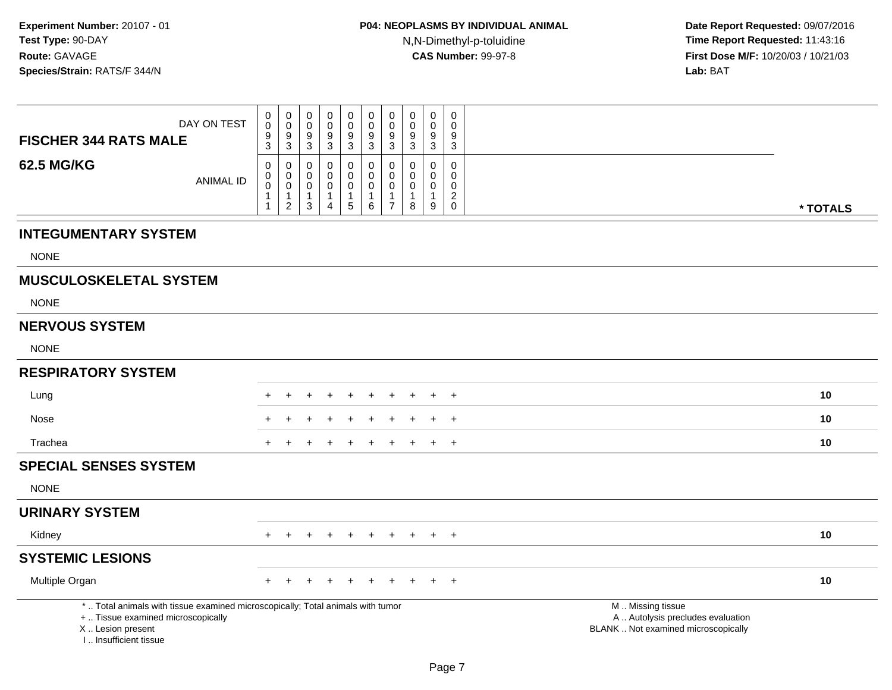| <b>FISCHER 344 RATS MALE</b>                                                                                                                                       | DAY ON TEST      | 0<br>$\mathbf 0$<br>$\boldsymbol{9}$<br>$\overline{3}$ | $\pmb{0}$<br>$\overline{0}$<br>$\boldsymbol{9}$<br>$\overline{3}$ | 0<br>0<br>9<br>$\overline{3}$              | $\mathbf 0$<br>$\mathbf 0$<br>9<br>$\sqrt{3}$ | $\pmb{0}$<br>$\ddot{\mathbf{0}}$<br>$^9_3$           | $\mathbf 0$<br>$\ddot{\mathbf{0}}$<br>$\frac{9}{3}$        | 0<br>$\mathbf 0$<br>$\boldsymbol{9}$<br>$\mathbf 3$               | $\mathbf 0$<br>$\mathbf 0$<br>9<br>$\ensuremath{\mathsf{3}}$ | $\mathbf 0$<br>$\mathbf 0$<br>9<br>$\mathbf{3}$                     | 0<br>$\mathbf 0$<br>9<br>$\overline{3}$                                          |                                                                                               |
|--------------------------------------------------------------------------------------------------------------------------------------------------------------------|------------------|--------------------------------------------------------|-------------------------------------------------------------------|--------------------------------------------|-----------------------------------------------|------------------------------------------------------|------------------------------------------------------------|-------------------------------------------------------------------|--------------------------------------------------------------|---------------------------------------------------------------------|----------------------------------------------------------------------------------|-----------------------------------------------------------------------------------------------|
| <b>62.5 MG/KG</b>                                                                                                                                                  | <b>ANIMAL ID</b> | 0<br>0<br>$\pmb{0}$<br>$\mathbf{1}$<br>$\mathbf{1}$    | $\mathbf 0$<br>$\mathbf 0$<br>$\mathbf 0$<br>1<br>$\sqrt{2}$      | 0<br>0<br>$\mathbf 0$<br>1<br>$\mathbf{3}$ | 0<br>0<br>0<br>$\mathbf{1}$<br>$\overline{4}$ | 0<br>0<br>$\pmb{0}$<br>$\mathbf 1$<br>$\overline{5}$ | 0<br>$\mathbf 0$<br>$\mathbf 0$<br>$\mathbf{1}$<br>$\,6\,$ | $\mathbf 0$<br>$\mathbf 0$<br>0<br>$\mathbf{1}$<br>$\overline{7}$ | 0<br>$\mathbf 0$<br>0<br>1<br>8                              | $\mathbf 0$<br>0<br>$\mathbf 0$<br>$\mathbf{1}$<br>$\boldsymbol{9}$ | 0<br>$\mathbf 0$<br>$\mathsf{O}\xspace$<br>$\overline{2}$<br>$\mathsf{O}\xspace$ | * TOTALS                                                                                      |
| <b>INTEGUMENTARY SYSTEM</b>                                                                                                                                        |                  |                                                        |                                                                   |                                            |                                               |                                                      |                                                            |                                                                   |                                                              |                                                                     |                                                                                  |                                                                                               |
| <b>NONE</b>                                                                                                                                                        |                  |                                                        |                                                                   |                                            |                                               |                                                      |                                                            |                                                                   |                                                              |                                                                     |                                                                                  |                                                                                               |
| <b>MUSCULOSKELETAL SYSTEM</b>                                                                                                                                      |                  |                                                        |                                                                   |                                            |                                               |                                                      |                                                            |                                                                   |                                                              |                                                                     |                                                                                  |                                                                                               |
| <b>NONE</b>                                                                                                                                                        |                  |                                                        |                                                                   |                                            |                                               |                                                      |                                                            |                                                                   |                                                              |                                                                     |                                                                                  |                                                                                               |
| <b>NERVOUS SYSTEM</b>                                                                                                                                              |                  |                                                        |                                                                   |                                            |                                               |                                                      |                                                            |                                                                   |                                                              |                                                                     |                                                                                  |                                                                                               |
| <b>NONE</b>                                                                                                                                                        |                  |                                                        |                                                                   |                                            |                                               |                                                      |                                                            |                                                                   |                                                              |                                                                     |                                                                                  |                                                                                               |
| <b>RESPIRATORY SYSTEM</b>                                                                                                                                          |                  |                                                        |                                                                   |                                            |                                               |                                                      |                                                            |                                                                   |                                                              |                                                                     |                                                                                  |                                                                                               |
| Lung                                                                                                                                                               |                  |                                                        |                                                                   |                                            |                                               |                                                      |                                                            |                                                                   |                                                              |                                                                     | $\ddot{}$                                                                        | 10                                                                                            |
| Nose                                                                                                                                                               |                  |                                                        |                                                                   |                                            |                                               |                                                      |                                                            |                                                                   |                                                              |                                                                     | $^{+}$                                                                           | 10                                                                                            |
| Trachea                                                                                                                                                            |                  | $+$                                                    |                                                                   |                                            |                                               | $\div$                                               | $\pm$                                                      | $\pm$                                                             | $\div$                                                       | $+$                                                                 | $+$                                                                              | 10                                                                                            |
| <b>SPECIAL SENSES SYSTEM</b>                                                                                                                                       |                  |                                                        |                                                                   |                                            |                                               |                                                      |                                                            |                                                                   |                                                              |                                                                     |                                                                                  |                                                                                               |
| <b>NONE</b>                                                                                                                                                        |                  |                                                        |                                                                   |                                            |                                               |                                                      |                                                            |                                                                   |                                                              |                                                                     |                                                                                  |                                                                                               |
| <b>URINARY SYSTEM</b>                                                                                                                                              |                  |                                                        |                                                                   |                                            |                                               |                                                      |                                                            |                                                                   |                                                              |                                                                     |                                                                                  |                                                                                               |
| Kidney                                                                                                                                                             |                  | $+$                                                    | $+$                                                               | $+$                                        | $+$                                           | $+$                                                  | + + + + +                                                  |                                                                   |                                                              |                                                                     |                                                                                  | 10                                                                                            |
| <b>SYSTEMIC LESIONS</b>                                                                                                                                            |                  |                                                        |                                                                   |                                            |                                               |                                                      |                                                            |                                                                   |                                                              |                                                                     |                                                                                  |                                                                                               |
| Multiple Organ                                                                                                                                                     |                  |                                                        |                                                                   |                                            |                                               |                                                      |                                                            |                                                                   |                                                              |                                                                     | $\overline{+}$                                                                   | 10                                                                                            |
| *  Total animals with tissue examined microscopically; Total animals with tumor<br>+  Tissue examined microscopically<br>X Lesion present<br>I Insufficient tissue |                  |                                                        |                                                                   |                                            |                                               |                                                      |                                                            |                                                                   |                                                              |                                                                     |                                                                                  | M  Missing tissue<br>A  Autolysis precludes evaluation<br>BLANK  Not examined microscopically |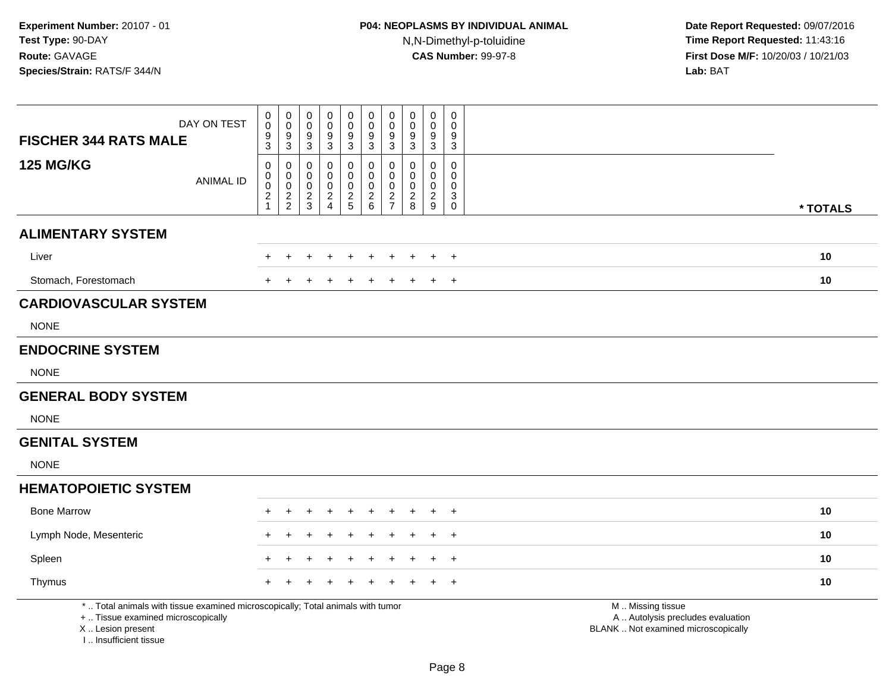| <b>FISCHER 344 RATS MALE</b>                                                                                                                                        | DAY ON TEST      | 0<br>$\mathbf 0$<br>$\overline{9}$<br>3          | $\begin{smallmatrix}0\0\0\end{smallmatrix}$<br>$\boldsymbol{9}$<br>3 | $\pmb{0}$<br>0<br>$\boldsymbol{9}$<br>3          | $\mathbf 0$<br>0<br>$\boldsymbol{9}$<br>3        | $\pmb{0}$<br>$\mathbf 0$<br>9<br>$\mathbf{3}$            | $_{\rm 0}^{\rm 0}$<br>$\boldsymbol{9}$<br>$\sqrt{3}$   | $\mathbf 0$<br>$\mathbf 0$<br>$\boldsymbol{9}$<br>3 | $\mathbf 0$<br>0<br>9<br>3                                     | $\mathbf 0$<br>0<br>9<br>$\mathbf{3}$    | $\mathbf 0$<br>$\mathbf 0$<br>9<br>$\sqrt{3}$                             |                                                                                               |  |
|---------------------------------------------------------------------------------------------------------------------------------------------------------------------|------------------|--------------------------------------------------|----------------------------------------------------------------------|--------------------------------------------------|--------------------------------------------------|----------------------------------------------------------|--------------------------------------------------------|-----------------------------------------------------|----------------------------------------------------------------|------------------------------------------|---------------------------------------------------------------------------|-----------------------------------------------------------------------------------------------|--|
| <b>125 MG/KG</b>                                                                                                                                                    | <b>ANIMAL ID</b> | 0<br>$\mathbf 0$<br>$\mathbf 0$<br>$\frac{2}{1}$ | 0<br>$\mathsf{O}\xspace$<br>$\mathsf{O}\xspace$<br>$\frac{2}{2}$     | $\mathbf 0$<br>0<br>$\mathbf 0$<br>$\frac{2}{3}$ | 0<br>$\mathbf 0$<br>$\mathbf 0$<br>$\frac{2}{4}$ | $\mathbf 0$<br>$\pmb{0}$<br>$\mathbf 0$<br>$\frac{2}{5}$ | 0<br>$\pmb{0}$<br>$\mathsf{O}\xspace$<br>$\frac{2}{6}$ | 0<br>$\mathbf 0$<br>$\mathbf 0$<br>$\frac{2}{7}$    | $\mathbf 0$<br>$\pmb{0}$<br>$\mathbf 0$<br>$\overline{a}$<br>8 | 0<br>0<br>$\mathbf 0$<br>$\sqrt{2}$<br>9 | 0<br>$\mathsf 0$<br>0<br>$\ensuremath{\mathsf{3}}$<br>$\mathsf{O}\xspace$ | * TOTALS                                                                                      |  |
| <b>ALIMENTARY SYSTEM</b>                                                                                                                                            |                  |                                                  |                                                                      |                                                  |                                                  |                                                          |                                                        |                                                     |                                                                |                                          |                                                                           |                                                                                               |  |
| Liver                                                                                                                                                               |                  |                                                  |                                                                      |                                                  |                                                  |                                                          |                                                        |                                                     |                                                                |                                          | $\overline{1}$                                                            | 10                                                                                            |  |
| Stomach, Forestomach                                                                                                                                                |                  |                                                  |                                                                      |                                                  |                                                  |                                                          |                                                        |                                                     |                                                                |                                          | $\overline{1}$                                                            | 10                                                                                            |  |
| <b>CARDIOVASCULAR SYSTEM</b>                                                                                                                                        |                  |                                                  |                                                                      |                                                  |                                                  |                                                          |                                                        |                                                     |                                                                |                                          |                                                                           |                                                                                               |  |
| <b>NONE</b>                                                                                                                                                         |                  |                                                  |                                                                      |                                                  |                                                  |                                                          |                                                        |                                                     |                                                                |                                          |                                                                           |                                                                                               |  |
| <b>ENDOCRINE SYSTEM</b>                                                                                                                                             |                  |                                                  |                                                                      |                                                  |                                                  |                                                          |                                                        |                                                     |                                                                |                                          |                                                                           |                                                                                               |  |
| <b>NONE</b>                                                                                                                                                         |                  |                                                  |                                                                      |                                                  |                                                  |                                                          |                                                        |                                                     |                                                                |                                          |                                                                           |                                                                                               |  |
| <b>GENERAL BODY SYSTEM</b>                                                                                                                                          |                  |                                                  |                                                                      |                                                  |                                                  |                                                          |                                                        |                                                     |                                                                |                                          |                                                                           |                                                                                               |  |
| <b>NONE</b>                                                                                                                                                         |                  |                                                  |                                                                      |                                                  |                                                  |                                                          |                                                        |                                                     |                                                                |                                          |                                                                           |                                                                                               |  |
| <b>GENITAL SYSTEM</b>                                                                                                                                               |                  |                                                  |                                                                      |                                                  |                                                  |                                                          |                                                        |                                                     |                                                                |                                          |                                                                           |                                                                                               |  |
| <b>NONE</b>                                                                                                                                                         |                  |                                                  |                                                                      |                                                  |                                                  |                                                          |                                                        |                                                     |                                                                |                                          |                                                                           |                                                                                               |  |
| <b>HEMATOPOIETIC SYSTEM</b>                                                                                                                                         |                  |                                                  |                                                                      |                                                  |                                                  |                                                          |                                                        |                                                     |                                                                |                                          |                                                                           |                                                                                               |  |
| <b>Bone Marrow</b>                                                                                                                                                  |                  |                                                  |                                                                      |                                                  |                                                  |                                                          |                                                        |                                                     |                                                                |                                          | $\overline{1}$                                                            | 10                                                                                            |  |
| Lymph Node, Mesenteric                                                                                                                                              |                  |                                                  |                                                                      |                                                  |                                                  |                                                          |                                                        |                                                     |                                                                |                                          | $\pm$                                                                     | 10                                                                                            |  |
| Spleen                                                                                                                                                              |                  |                                                  |                                                                      |                                                  |                                                  |                                                          |                                                        |                                                     |                                                                |                                          | $\overline{1}$                                                            | 10                                                                                            |  |
| Thymus                                                                                                                                                              |                  |                                                  |                                                                      |                                                  |                                                  |                                                          |                                                        |                                                     |                                                                |                                          | $\overline{1}$                                                            | 10                                                                                            |  |
| *  Total animals with tissue examined microscopically; Total animals with tumor<br>+  Tissue examined microscopically<br>X  Lesion present<br>I Insufficient tissue |                  |                                                  |                                                                      |                                                  |                                                  |                                                          |                                                        |                                                     |                                                                |                                          |                                                                           | M  Missing tissue<br>A  Autolysis precludes evaluation<br>BLANK  Not examined microscopically |  |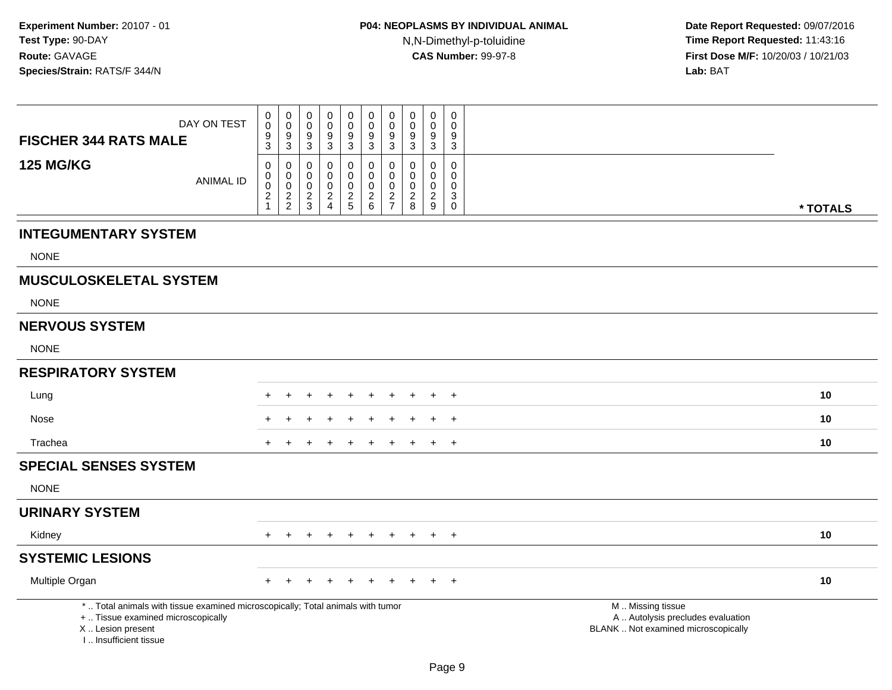| <b>FISCHER 344 RATS MALE</b>                 | DAY ON TEST                                                                                                           | $\pmb{0}$<br>$\mathsf{O}\xspace$<br>$\boldsymbol{9}$<br>3 | $\begin{smallmatrix} 0\\0 \end{smallmatrix}$<br>$\frac{9}{3}$ | 0<br>$\mathbf 0$<br>9<br>$\overline{3}$          | 0<br>$\mathbf 0$<br>9<br>$\mathfrak{Z}$                                 | $\pmb{0}$<br>$\pmb{0}$<br>$\boldsymbol{9}$<br>$\mathbf{3}$ | 0<br>$\mathbf 0$<br>9<br>3                                                | 0<br>$\mathbf 0$<br>9<br>3                             | $\pmb{0}$<br>$\mathbf 0$<br>9<br>3                 | 0<br>$\mathbf 0$<br>9<br>3                              | 0<br>$\mathbf 0$<br>9<br>$\mathfrak{S}$              |                                                                                               |          |
|----------------------------------------------|-----------------------------------------------------------------------------------------------------------------------|-----------------------------------------------------------|---------------------------------------------------------------|--------------------------------------------------|-------------------------------------------------------------------------|------------------------------------------------------------|---------------------------------------------------------------------------|--------------------------------------------------------|----------------------------------------------------|---------------------------------------------------------|------------------------------------------------------|-----------------------------------------------------------------------------------------------|----------|
| <b>125 MG/KG</b>                             | <b>ANIMAL ID</b>                                                                                                      | 0<br>0<br>0<br>$\overline{c}$<br>$\mathbf 1$              | 0<br>$\mathbf 0$<br>$\mathbf 0$<br>$\frac{2}{2}$              | 0<br>$\mathbf 0$<br>$\mathbf 0$<br>$\frac{2}{3}$ | $\mathbf 0$<br>$\Omega$<br>$\Omega$<br>$\overline{c}$<br>$\overline{4}$ | 0<br>$\mathsf 0$<br>$\mathbf 0$<br>$\frac{2}{5}$           | $\mathbf 0$<br>$\mathbf 0$<br>$\mathbf 0$<br>$\overline{\mathbf{c}}$<br>6 | 0<br>0<br>$\Omega$<br>$\overline{c}$<br>$\overline{7}$ | $\Omega$<br>0<br>0<br>$\overline{\mathbf{c}}$<br>8 | $\mathbf{0}$<br>$\mathbf 0$<br>0<br>$\overline{2}$<br>9 | $\mathbf 0$<br>0<br>0<br>$\mathbf{3}$<br>$\mathbf 0$ |                                                                                               | * TOTALS |
| <b>INTEGUMENTARY SYSTEM</b>                  |                                                                                                                       |                                                           |                                                               |                                                  |                                                                         |                                                            |                                                                           |                                                        |                                                    |                                                         |                                                      |                                                                                               |          |
| <b>NONE</b>                                  |                                                                                                                       |                                                           |                                                               |                                                  |                                                                         |                                                            |                                                                           |                                                        |                                                    |                                                         |                                                      |                                                                                               |          |
| <b>MUSCULOSKELETAL SYSTEM</b>                |                                                                                                                       |                                                           |                                                               |                                                  |                                                                         |                                                            |                                                                           |                                                        |                                                    |                                                         |                                                      |                                                                                               |          |
| <b>NONE</b>                                  |                                                                                                                       |                                                           |                                                               |                                                  |                                                                         |                                                            |                                                                           |                                                        |                                                    |                                                         |                                                      |                                                                                               |          |
| <b>NERVOUS SYSTEM</b>                        |                                                                                                                       |                                                           |                                                               |                                                  |                                                                         |                                                            |                                                                           |                                                        |                                                    |                                                         |                                                      |                                                                                               |          |
| <b>NONE</b>                                  |                                                                                                                       |                                                           |                                                               |                                                  |                                                                         |                                                            |                                                                           |                                                        |                                                    |                                                         |                                                      |                                                                                               |          |
| <b>RESPIRATORY SYSTEM</b>                    |                                                                                                                       |                                                           |                                                               |                                                  |                                                                         |                                                            |                                                                           |                                                        |                                                    |                                                         |                                                      |                                                                                               |          |
| Lung                                         |                                                                                                                       |                                                           |                                                               |                                                  |                                                                         | $\ddot{}$                                                  |                                                                           |                                                        |                                                    | $\ddot{}$                                               | $+$                                                  |                                                                                               | 10       |
| Nose                                         |                                                                                                                       |                                                           |                                                               |                                                  |                                                                         |                                                            |                                                                           |                                                        |                                                    | $\ddot{}$                                               | $\overline{+}$                                       |                                                                                               | 10       |
| Trachea                                      |                                                                                                                       |                                                           |                                                               |                                                  |                                                                         |                                                            |                                                                           |                                                        |                                                    | $\ddot{}$                                               | $+$                                                  |                                                                                               | 10       |
| <b>SPECIAL SENSES SYSTEM</b>                 |                                                                                                                       |                                                           |                                                               |                                                  |                                                                         |                                                            |                                                                           |                                                        |                                                    |                                                         |                                                      |                                                                                               |          |
| <b>NONE</b>                                  |                                                                                                                       |                                                           |                                                               |                                                  |                                                                         |                                                            |                                                                           |                                                        |                                                    |                                                         |                                                      |                                                                                               |          |
| <b>URINARY SYSTEM</b>                        |                                                                                                                       |                                                           |                                                               |                                                  |                                                                         |                                                            |                                                                           |                                                        |                                                    |                                                         |                                                      |                                                                                               |          |
| Kidney                                       |                                                                                                                       | $+$                                                       | $+$                                                           | $\pm$                                            | $\ddot{}$                                                               | $+$                                                        | $\ddot{}$                                                                 | $+$                                                    | $+$                                                | $+$                                                     | $+$                                                  |                                                                                               | 10       |
| <b>SYSTEMIC LESIONS</b>                      |                                                                                                                       |                                                           |                                                               |                                                  |                                                                         |                                                            |                                                                           |                                                        |                                                    |                                                         |                                                      |                                                                                               |          |
| Multiple Organ                               |                                                                                                                       |                                                           |                                                               |                                                  |                                                                         |                                                            |                                                                           |                                                        |                                                    |                                                         | $\overline{+}$                                       |                                                                                               | 10       |
| X  Lesion present<br>I., Insufficient tissue | *  Total animals with tissue examined microscopically; Total animals with tumor<br>+  Tissue examined microscopically |                                                           |                                                               |                                                  |                                                                         |                                                            |                                                                           |                                                        |                                                    |                                                         |                                                      | M  Missing tissue<br>A  Autolysis precludes evaluation<br>BLANK  Not examined microscopically |          |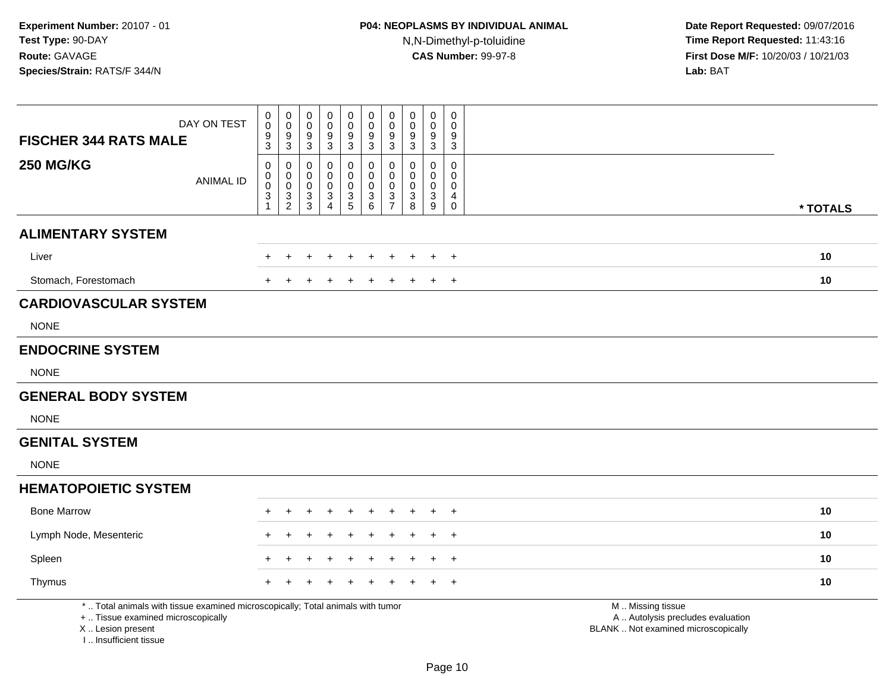| <b>FISCHER 344 RATS MALE</b>                                                                                                                                        | DAY ON TEST      | 0<br>$\mathsf{O}\xspace$<br>9<br>3                                                | $\mathbf 0$<br>$\mathsf{O}\xspace$<br>$\boldsymbol{9}$<br>3        | $\pmb{0}$<br>0<br>$\boldsymbol{9}$<br>3          | $\mathbf 0$<br>0<br>9<br>3                       | $\pmb{0}$<br>$\mathbf 0$<br>$\boldsymbol{9}$<br>$\mathbf{3}$ | $\pmb{0}$<br>$\pmb{0}$<br>$\boldsymbol{9}$<br>3                                          | $\pmb{0}$<br>$\mathbf 0$<br>$\boldsymbol{9}$<br>3 | $\mathbf 0$<br>$\mathbf 0$<br>9<br>3      | $\pmb{0}$<br>0<br>$9\,$<br>$\mathbf{3}$          | $\pmb{0}$<br>$\mathbf 0$<br>$\boldsymbol{9}$<br>3      |                                                                                               |
|---------------------------------------------------------------------------------------------------------------------------------------------------------------------|------------------|-----------------------------------------------------------------------------------|--------------------------------------------------------------------|--------------------------------------------------|--------------------------------------------------|--------------------------------------------------------------|------------------------------------------------------------------------------------------|---------------------------------------------------|-------------------------------------------|--------------------------------------------------|--------------------------------------------------------|-----------------------------------------------------------------------------------------------|
| <b>250 MG/KG</b>                                                                                                                                                    | <b>ANIMAL ID</b> | $\mathbf 0$<br>$\mathbf 0$<br>$\mathsf{O}\xspace$<br>$\mathbf{3}$<br>$\mathbf{1}$ | 0<br>$\begin{smallmatrix} 0\\0 \end{smallmatrix}$<br>$\frac{3}{2}$ | $\mathbf 0$<br>0<br>$\mathsf 0$<br>$\frac{3}{3}$ | 0<br>$\mathbf 0$<br>$\mathbf 0$<br>$\frac{3}{4}$ | $\mathbf 0$<br>$\mathbf 0$<br>$\mathbf 0$<br>$\frac{3}{5}$   | $\mathbf 0$<br>$\mathsf{O}\xspace$<br>$\pmb{0}$<br>$\begin{array}{c} 3 \\ 6 \end{array}$ | 0<br>$\mathbf 0$<br>$\mathbf 0$<br>$\frac{3}{7}$  | $\mathbf 0$<br>0<br>$\mathbf 0$<br>3<br>8 | 0<br>$\mathbf 0$<br>$\mathbf 0$<br>$\frac{3}{9}$ | $\mathbf 0$<br>0<br>0<br>$\overline{4}$<br>$\mathbf 0$ | * TOTALS                                                                                      |
| <b>ALIMENTARY SYSTEM</b>                                                                                                                                            |                  |                                                                                   |                                                                    |                                                  |                                                  |                                                              |                                                                                          |                                                   |                                           |                                                  |                                                        |                                                                                               |
| Liver                                                                                                                                                               |                  |                                                                                   |                                                                    |                                                  |                                                  |                                                              |                                                                                          |                                                   |                                           |                                                  | $\overline{1}$                                         | 10                                                                                            |
| Stomach, Forestomach                                                                                                                                                |                  |                                                                                   |                                                                    |                                                  |                                                  |                                                              |                                                                                          |                                                   |                                           |                                                  | $\overline{1}$                                         | 10                                                                                            |
| <b>CARDIOVASCULAR SYSTEM</b>                                                                                                                                        |                  |                                                                                   |                                                                    |                                                  |                                                  |                                                              |                                                                                          |                                                   |                                           |                                                  |                                                        |                                                                                               |
| <b>NONE</b>                                                                                                                                                         |                  |                                                                                   |                                                                    |                                                  |                                                  |                                                              |                                                                                          |                                                   |                                           |                                                  |                                                        |                                                                                               |
| <b>ENDOCRINE SYSTEM</b>                                                                                                                                             |                  |                                                                                   |                                                                    |                                                  |                                                  |                                                              |                                                                                          |                                                   |                                           |                                                  |                                                        |                                                                                               |
| <b>NONE</b>                                                                                                                                                         |                  |                                                                                   |                                                                    |                                                  |                                                  |                                                              |                                                                                          |                                                   |                                           |                                                  |                                                        |                                                                                               |
| <b>GENERAL BODY SYSTEM</b>                                                                                                                                          |                  |                                                                                   |                                                                    |                                                  |                                                  |                                                              |                                                                                          |                                                   |                                           |                                                  |                                                        |                                                                                               |
| <b>NONE</b>                                                                                                                                                         |                  |                                                                                   |                                                                    |                                                  |                                                  |                                                              |                                                                                          |                                                   |                                           |                                                  |                                                        |                                                                                               |
| <b>GENITAL SYSTEM</b>                                                                                                                                               |                  |                                                                                   |                                                                    |                                                  |                                                  |                                                              |                                                                                          |                                                   |                                           |                                                  |                                                        |                                                                                               |
| <b>NONE</b>                                                                                                                                                         |                  |                                                                                   |                                                                    |                                                  |                                                  |                                                              |                                                                                          |                                                   |                                           |                                                  |                                                        |                                                                                               |
| <b>HEMATOPOIETIC SYSTEM</b>                                                                                                                                         |                  |                                                                                   |                                                                    |                                                  |                                                  |                                                              |                                                                                          |                                                   |                                           |                                                  |                                                        |                                                                                               |
| <b>Bone Marrow</b>                                                                                                                                                  |                  |                                                                                   |                                                                    |                                                  |                                                  |                                                              |                                                                                          |                                                   |                                           |                                                  | $\overline{1}$                                         | 10                                                                                            |
| Lymph Node, Mesenteric                                                                                                                                              |                  |                                                                                   |                                                                    |                                                  |                                                  |                                                              |                                                                                          |                                                   |                                           |                                                  | $\overline{1}$                                         | 10                                                                                            |
| Spleen                                                                                                                                                              |                  |                                                                                   |                                                                    |                                                  |                                                  |                                                              |                                                                                          |                                                   |                                           |                                                  | $\overline{ }$                                         | 10                                                                                            |
| Thymus                                                                                                                                                              |                  |                                                                                   |                                                                    |                                                  |                                                  |                                                              |                                                                                          |                                                   |                                           |                                                  | $\overline{1}$                                         | 10                                                                                            |
| *  Total animals with tissue examined microscopically; Total animals with tumor<br>+  Tissue examined microscopically<br>X  Lesion present<br>I Insufficient tissue |                  |                                                                                   |                                                                    |                                                  |                                                  |                                                              |                                                                                          |                                                   |                                           |                                                  |                                                        | M  Missing tissue<br>A  Autolysis precludes evaluation<br>BLANK  Not examined microscopically |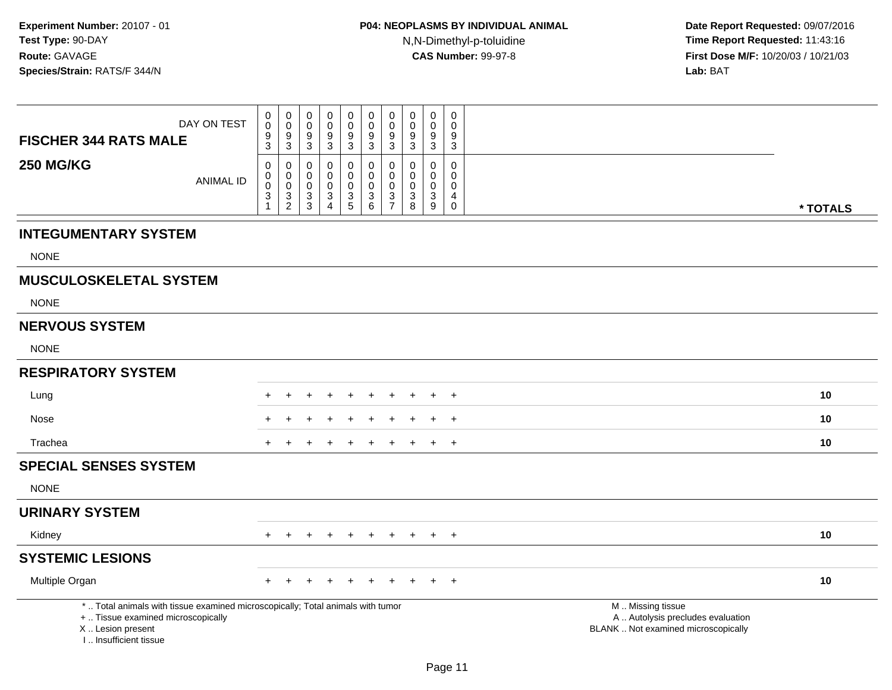| <b>FISCHER 344 RATS MALE</b>                                                                                                                                        | DAY ON TEST      | 0<br>$\mathbf 0$<br>$\frac{9}{3}$                                        | 0<br>0<br>$\frac{9}{3}$                            | $\pmb{0}$<br>$\mathbf 0$<br>$\frac{9}{3}$           | 0<br>$\Omega$<br>9<br>$\mathbf{3}$                           | $\mathbf 0$<br>$\mathbf 0$<br>9<br>$\sqrt{3}$           | 0<br>$\mathbf 0$<br>9<br>3             | $\mathbf 0$<br>$\mathbf 0$<br>$\boldsymbol{9}$<br>$\overline{3}$ | $\mathbf 0$<br>$\mathbf 0$<br>9<br>$\overline{3}$ | $\mathbf 0$<br>0<br>9<br>$\mathbf{3}$                | $\mathbf 0$<br>$\mathbf 0$<br>$\boldsymbol{9}$<br>$\overline{3}$              |                                                                                               |          |
|---------------------------------------------------------------------------------------------------------------------------------------------------------------------|------------------|--------------------------------------------------------------------------|----------------------------------------------------|-----------------------------------------------------|--------------------------------------------------------------|---------------------------------------------------------|----------------------------------------|------------------------------------------------------------------|---------------------------------------------------|------------------------------------------------------|-------------------------------------------------------------------------------|-----------------------------------------------------------------------------------------------|----------|
| <b>250 MG/KG</b>                                                                                                                                                    | <b>ANIMAL ID</b> | 0<br>$\pmb{0}$<br>$\pmb{0}$<br>$\ensuremath{\mathsf{3}}$<br>$\mathbf{1}$ | $\mathbf 0$<br>$_{\rm 0}^{\rm 0}$<br>$\frac{3}{2}$ | $\mathbf 0$<br>$\mathbf 0$<br>$\mathbf 0$<br>$_3^3$ | 0<br>$\mathbf 0$<br>$\Omega$<br>$\sqrt{3}$<br>$\overline{4}$ | $\mathbf 0$<br>$\mathbf 0$<br>$\Omega$<br>$\frac{3}{5}$ | 0<br>$\mathbf 0$<br>0<br>$\frac{3}{6}$ | 0<br>$\mathbf 0$<br>0<br>$\frac{3}{7}$                           | 0<br>$\mathbf 0$<br>$\mathbf 0$<br>$_8^3$         | $\mathbf 0$<br>$\mathbf 0$<br>0<br>$\mathbf{3}$<br>9 | $\mathbf 0$<br>$\boldsymbol{0}$<br>$\pmb{0}$<br>$\overline{4}$<br>$\mathbf 0$ |                                                                                               | * TOTALS |
| <b>INTEGUMENTARY SYSTEM</b>                                                                                                                                         |                  |                                                                          |                                                    |                                                     |                                                              |                                                         |                                        |                                                                  |                                                   |                                                      |                                                                               |                                                                                               |          |
| <b>NONE</b>                                                                                                                                                         |                  |                                                                          |                                                    |                                                     |                                                              |                                                         |                                        |                                                                  |                                                   |                                                      |                                                                               |                                                                                               |          |
| <b>MUSCULOSKELETAL SYSTEM</b>                                                                                                                                       |                  |                                                                          |                                                    |                                                     |                                                              |                                                         |                                        |                                                                  |                                                   |                                                      |                                                                               |                                                                                               |          |
| <b>NONE</b>                                                                                                                                                         |                  |                                                                          |                                                    |                                                     |                                                              |                                                         |                                        |                                                                  |                                                   |                                                      |                                                                               |                                                                                               |          |
| <b>NERVOUS SYSTEM</b>                                                                                                                                               |                  |                                                                          |                                                    |                                                     |                                                              |                                                         |                                        |                                                                  |                                                   |                                                      |                                                                               |                                                                                               |          |
| <b>NONE</b>                                                                                                                                                         |                  |                                                                          |                                                    |                                                     |                                                              |                                                         |                                        |                                                                  |                                                   |                                                      |                                                                               |                                                                                               |          |
| <b>RESPIRATORY SYSTEM</b>                                                                                                                                           |                  |                                                                          |                                                    |                                                     |                                                              |                                                         |                                        |                                                                  |                                                   |                                                      |                                                                               |                                                                                               |          |
| Lung                                                                                                                                                                |                  |                                                                          |                                                    |                                                     |                                                              |                                                         |                                        |                                                                  |                                                   |                                                      | $\overline{ }$                                                                |                                                                                               | 10       |
| Nose                                                                                                                                                                |                  |                                                                          |                                                    |                                                     |                                                              |                                                         |                                        |                                                                  |                                                   |                                                      | $^{+}$                                                                        |                                                                                               | 10       |
| Trachea                                                                                                                                                             |                  | $\ddot{}$                                                                | $\pm$                                              | ÷                                                   | $\pm$                                                        | $\ddot{}$                                               | $\ddot{}$                              | $\ddot{}$                                                        | $\pm$                                             | $+$                                                  | $+$                                                                           |                                                                                               | 10       |
| <b>SPECIAL SENSES SYSTEM</b>                                                                                                                                        |                  |                                                                          |                                                    |                                                     |                                                              |                                                         |                                        |                                                                  |                                                   |                                                      |                                                                               |                                                                                               |          |
| <b>NONE</b>                                                                                                                                                         |                  |                                                                          |                                                    |                                                     |                                                              |                                                         |                                        |                                                                  |                                                   |                                                      |                                                                               |                                                                                               |          |
| <b>URINARY SYSTEM</b>                                                                                                                                               |                  |                                                                          |                                                    |                                                     |                                                              |                                                         |                                        |                                                                  |                                                   |                                                      |                                                                               |                                                                                               |          |
| Kidney                                                                                                                                                              |                  | $\ddot{}$                                                                | $\ddot{}$                                          | $+$                                                 | $\ddot{}$                                                    | $+$                                                     | $+$                                    | $+$                                                              | $+$                                               |                                                      | $+$ $+$                                                                       |                                                                                               | 10       |
| <b>SYSTEMIC LESIONS</b>                                                                                                                                             |                  |                                                                          |                                                    |                                                     |                                                              |                                                         |                                        |                                                                  |                                                   |                                                      |                                                                               |                                                                                               |          |
| Multiple Organ                                                                                                                                                      |                  | $+$                                                                      | $\div$                                             |                                                     |                                                              |                                                         | $\div$                                 |                                                                  | $\ddot{}$                                         | $+$                                                  | $\overline{+}$                                                                |                                                                                               | 10       |
| *  Total animals with tissue examined microscopically; Total animals with tumor<br>+  Tissue examined microscopically<br>X  Lesion present<br>I Insufficient tissue |                  |                                                                          |                                                    |                                                     |                                                              |                                                         |                                        |                                                                  |                                                   |                                                      |                                                                               | M  Missing tissue<br>A  Autolysis precludes evaluation<br>BLANK  Not examined microscopically |          |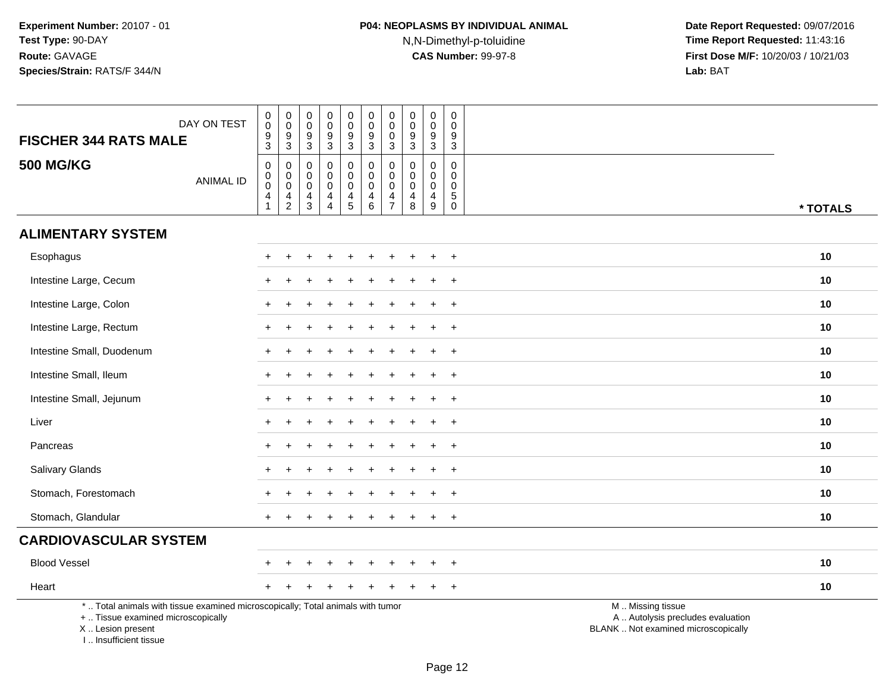| DAY ON TEST<br><b>FISCHER 344 RATS MALE</b>                                                                                                                         | $_{\rm 0}^{\rm 0}$<br>$\mathsf g$<br>3               | $\begin{smallmatrix}0\\0\end{smallmatrix}$<br>$\overline{9}$<br>$\mathbf{3}$ | 0<br>0<br>9<br>3                          | $\pmb{0}$<br>$\mathbf 0$<br>$\boldsymbol{9}$<br>3                           | $\begin{smallmatrix} 0\\0 \end{smallmatrix}$<br>$\overline{9}$<br>$\mathbf{3}$ | $_0^0$<br>$\overline{9}$<br>$\mathbf{3}$                                    | $_{\rm 0}^{\rm 0}$<br>$\mathbf 0$<br>$\mathbf{3}$      | $\pmb{0}$<br>$\mathbf 0$<br>9<br>3      | $\mathbf 0$<br>$\mathbf 0$<br>$\boldsymbol{9}$<br>$\mathbf{3}$ | $\mathbf 0$<br>$\mathbf 0$<br>9<br>3                                          |                                                                                               |
|---------------------------------------------------------------------------------------------------------------------------------------------------------------------|------------------------------------------------------|------------------------------------------------------------------------------|-------------------------------------------|-----------------------------------------------------------------------------|--------------------------------------------------------------------------------|-----------------------------------------------------------------------------|--------------------------------------------------------|-----------------------------------------|----------------------------------------------------------------|-------------------------------------------------------------------------------|-----------------------------------------------------------------------------------------------|
| <b>500 MG/KG</b><br><b>ANIMAL ID</b>                                                                                                                                | 0<br>$\pmb{0}$<br>$\mathsf 0$<br>4<br>$\overline{1}$ | $\mathbf 0$<br>$\overline{0}$<br>$\frac{4}{2}$                               | $\mathbf 0$<br>0<br>$\mathbf 0$<br>4<br>3 | $\mathbf 0$<br>$\pmb{0}$<br>$\mathbf 0$<br>$\overline{4}$<br>$\overline{4}$ | 0<br>$\pmb{0}$<br>$\mathbf 0$<br>$\frac{4}{5}$                                 | 0<br>$\overline{0}$<br>$\mathbf 0$<br>$\begin{array}{c} 4 \\ 6 \end{array}$ | $\mathbf 0$<br>$\pmb{0}$<br>$\pmb{0}$<br>$\frac{4}{7}$ | 0<br>$\pmb{0}$<br>$\mathbf 0$<br>4<br>8 | $\mathbf 0$<br>$\boldsymbol{0}$<br>$\mathbf 0$<br>4<br>9       | $\mathbf 0$<br>$\mathsf{O}\xspace$<br>$\mathbf 0$<br>$\,$ 5 $\,$<br>$\pmb{0}$ | * TOTALS                                                                                      |
| <b>ALIMENTARY SYSTEM</b>                                                                                                                                            |                                                      |                                                                              |                                           |                                                                             |                                                                                |                                                                             |                                                        |                                         |                                                                |                                                                               |                                                                                               |
| Esophagus                                                                                                                                                           |                                                      |                                                                              |                                           |                                                                             |                                                                                |                                                                             |                                                        |                                         |                                                                |                                                                               | 10                                                                                            |
| Intestine Large, Cecum                                                                                                                                              |                                                      |                                                                              |                                           |                                                                             |                                                                                |                                                                             |                                                        |                                         |                                                                | $\overline{1}$                                                                | 10                                                                                            |
| Intestine Large, Colon                                                                                                                                              |                                                      |                                                                              |                                           |                                                                             |                                                                                |                                                                             |                                                        |                                         |                                                                | $\ddot{}$                                                                     | 10                                                                                            |
| Intestine Large, Rectum                                                                                                                                             |                                                      |                                                                              |                                           |                                                                             |                                                                                |                                                                             |                                                        |                                         |                                                                | $\overline{ }$                                                                | 10                                                                                            |
| Intestine Small, Duodenum                                                                                                                                           |                                                      |                                                                              |                                           |                                                                             |                                                                                |                                                                             |                                                        |                                         |                                                                | $\ddot{}$                                                                     | 10                                                                                            |
| Intestine Small, Ileum                                                                                                                                              | $\pm$                                                |                                                                              |                                           |                                                                             |                                                                                |                                                                             |                                                        |                                         |                                                                | $^+$                                                                          | 10                                                                                            |
| Intestine Small, Jejunum                                                                                                                                            | $\pm$                                                |                                                                              |                                           |                                                                             |                                                                                |                                                                             |                                                        |                                         | ÷                                                              | $\ddot{}$                                                                     | 10                                                                                            |
| Liver                                                                                                                                                               |                                                      |                                                                              |                                           |                                                                             |                                                                                |                                                                             |                                                        |                                         |                                                                | $\overline{ }$                                                                | 10                                                                                            |
| Pancreas                                                                                                                                                            |                                                      |                                                                              |                                           |                                                                             |                                                                                |                                                                             |                                                        |                                         |                                                                | $\ddot{}$                                                                     | 10                                                                                            |
| Salivary Glands                                                                                                                                                     |                                                      |                                                                              |                                           |                                                                             |                                                                                |                                                                             |                                                        |                                         |                                                                | $\ddot{}$                                                                     | 10                                                                                            |
| Stomach, Forestomach                                                                                                                                                |                                                      |                                                                              |                                           |                                                                             |                                                                                |                                                                             |                                                        |                                         |                                                                | $\overline{1}$                                                                | 10                                                                                            |
| Stomach, Glandular                                                                                                                                                  |                                                      |                                                                              |                                           |                                                                             |                                                                                |                                                                             |                                                        |                                         |                                                                | $\ddot{}$                                                                     | 10                                                                                            |
| <b>CARDIOVASCULAR SYSTEM</b>                                                                                                                                        |                                                      |                                                                              |                                           |                                                                             |                                                                                |                                                                             |                                                        |                                         |                                                                |                                                                               |                                                                                               |
| <b>Blood Vessel</b>                                                                                                                                                 |                                                      |                                                                              |                                           |                                                                             |                                                                                |                                                                             |                                                        |                                         |                                                                | $\ddot{}$                                                                     | 10                                                                                            |
| Heart                                                                                                                                                               |                                                      |                                                                              |                                           |                                                                             |                                                                                |                                                                             |                                                        |                                         |                                                                | $\ddot{}$                                                                     | 10                                                                                            |
| *  Total animals with tissue examined microscopically; Total animals with tumor<br>+  Tissue examined microscopically<br>X  Lesion present<br>I Insufficient tissue |                                                      |                                                                              |                                           |                                                                             |                                                                                |                                                                             |                                                        |                                         |                                                                |                                                                               | M  Missing tissue<br>A  Autolysis precludes evaluation<br>BLANK  Not examined microscopically |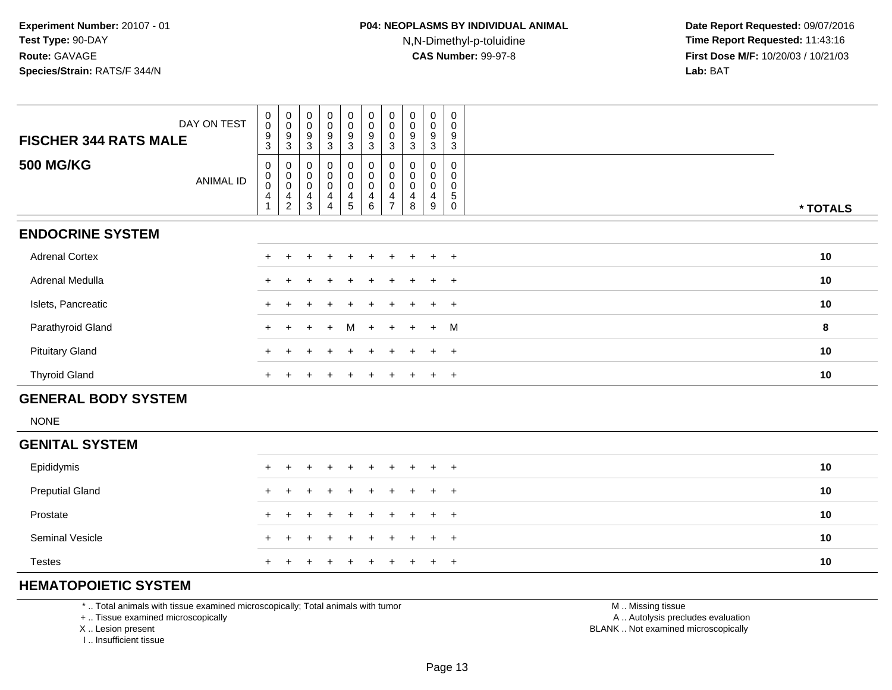| DAY ON TEST                          | $_{\rm 0}^{\rm 0}$                                 | $_{\rm 0}^{\rm 0}$                               | $_{\rm 0}^{\rm 0}$                        | $\begin{smallmatrix}0\0\0\end{smallmatrix}$ | $\begin{smallmatrix} 0\\0 \end{smallmatrix}$ | $\begin{smallmatrix} 0\\0 \end{smallmatrix}$                      | $\begin{smallmatrix} 0\\0 \end{smallmatrix}$ | $_{\rm 0}^{\rm 0}$  | $\pmb{0}$<br>$\pmb{0}$        | $\pmb{0}$<br>0 |          |
|--------------------------------------|----------------------------------------------------|--------------------------------------------------|-------------------------------------------|---------------------------------------------|----------------------------------------------|-------------------------------------------------------------------|----------------------------------------------|---------------------|-------------------------------|----------------|----------|
| <b>FISCHER 344 RATS MALE</b>         | $\boldsymbol{9}$<br>$\mathbf{3}$                   | 9<br>3                                           | 9<br>3                                    | 9<br>3                                      | $\boldsymbol{9}$<br>$\mathbf{3}$             | $\boldsymbol{9}$<br>3                                             | 0<br>3                                       | 9<br>3              | 9<br>3                        | 9<br>3         |          |
| <b>500 MG/KG</b><br><b>ANIMAL ID</b> | 0<br>$\pmb{0}$<br>$\pmb{0}$<br>$\overline{4}$<br>1 | 0<br>$\,0\,$<br>$\pmb{0}$<br>4<br>$\overline{c}$ | 0<br>$\mathbf 0$<br>$\mathbf 0$<br>4<br>3 | 0<br>0<br>0<br>4<br>4                       | 0<br>0<br>0<br>4<br>5                        | $\boldsymbol{0}$<br>$\pmb{0}$<br>$\pmb{0}$<br>$\overline{4}$<br>6 | 0<br>$\pmb{0}$<br>0<br>$\overline{ }$        | $\pmb{0}$<br>0<br>8 | 0<br>$\pmb{0}$<br>0<br>4<br>9 | 5<br>0         | * TOTALS |
| <b>ENDOCRINE SYSTEM</b>              |                                                    |                                                  |                                           |                                             |                                              |                                                                   |                                              |                     |                               |                |          |
| <b>Adrenal Cortex</b>                |                                                    |                                                  |                                           |                                             | +                                            |                                                                   |                                              |                     | $\div$                        | $+$            | 10       |
| Adrenal Medulla                      |                                                    |                                                  |                                           |                                             | $+$                                          |                                                                   |                                              |                     | $\div$                        | $+$            | 10       |
| Islets, Pancreatic                   |                                                    |                                                  |                                           | $\div$                                      | $+$                                          | $+$                                                               | $+$                                          | $\ddot{}$           | $\ddot{}$                     | $+$            | 10       |
| Parathyroid Gland                    | $+$                                                | $+$                                              | $+$                                       | $+$                                         | M                                            | $+$                                                               | $+$                                          | $+$                 | $+$                           | M              | 8        |
| <b>Pituitary Gland</b>               |                                                    |                                                  |                                           | $\div$                                      | $+$                                          |                                                                   |                                              |                     | $\ddot{}$                     | $+$            | 10       |
| <b>Thyroid Gland</b>                 | $+$                                                |                                                  |                                           | $\ddot{}$                                   | $+$                                          | $\pm$                                                             | $+$                                          | $\pm$               | $+$                           | $+$            | 10       |
| <b>GENERAL BODY SYSTEM</b>           |                                                    |                                                  |                                           |                                             |                                              |                                                                   |                                              |                     |                               |                |          |

NONE

| <b>GENITAL SYSTEM</b>  |  |                     |  |  |  |  |    |
|------------------------|--|---------------------|--|--|--|--|----|
| Epididymis             |  | + + + + + + + + + + |  |  |  |  | 10 |
| <b>Preputial Gland</b> |  | + + + + + + + + + + |  |  |  |  | 10 |
| Prostate               |  | + + + + + + + + + + |  |  |  |  | 10 |
| <b>Seminal Vesicle</b> |  | + + + + + + + + + + |  |  |  |  | 10 |
| <b>Testes</b>          |  | + + + + + + + + + + |  |  |  |  | 10 |

### **HEMATOPOIETIC SYSTEM**

\* .. Total animals with tissue examined microscopically; Total animals with tumor

+ .. Tissue examined microscopically

X .. Lesion present

I .. Insufficient tissue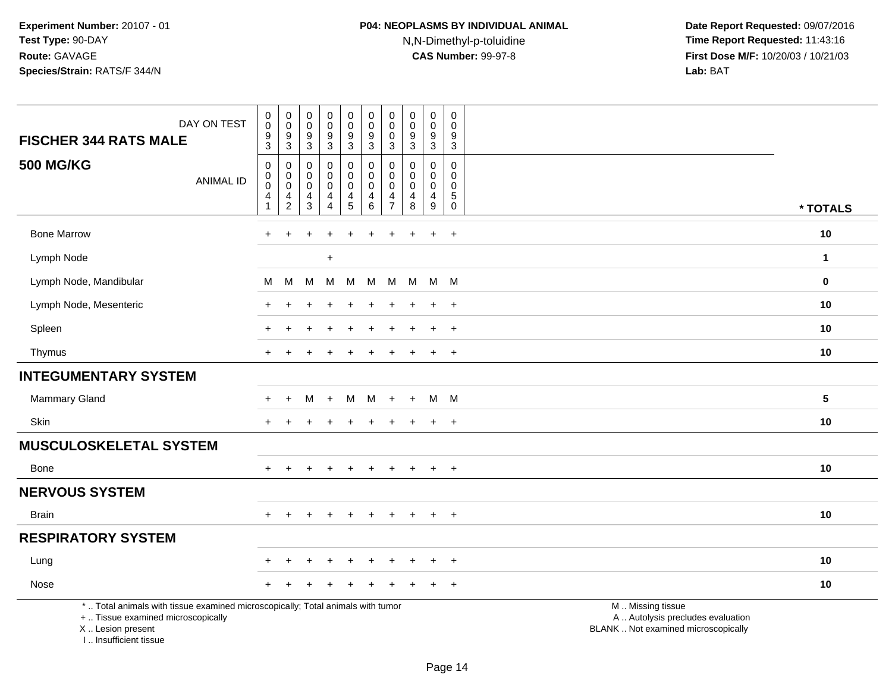| DAY ON TEST<br><b>FISCHER 344 RATS MALE</b>                                                                                                | $\pmb{0}$<br>$\mathbf 0$<br>9<br>$\overline{3}$                            | $\pmb{0}$<br>$\pmb{0}$<br>9<br>$\overline{3}$ | $\pmb{0}$<br>$\mathbf 0$<br>$\boldsymbol{9}$<br>$\overline{3}$ | $\pmb{0}$<br>$\pmb{0}$<br>$\frac{9}{3}$                      | $\pmb{0}$<br>$\mathsf{O}\xspace$<br>$\boldsymbol{9}$<br>$\overline{3}$ | $\pmb{0}$<br>$\mathbf 0$<br>$\boldsymbol{9}$<br>$\overline{3}$       | $\pmb{0}$<br>$\mathbf 0$<br>$\mathbf 0$<br>$\mathfrak{Z}$ | $\pmb{0}$<br>$\mathbf 0$<br>$\overline{9}$<br>$\overline{3}$ | $\pmb{0}$<br>$\pmb{0}$<br>9<br>$\overline{3}$                    | $\pmb{0}$<br>$\mathbf 0$<br>$\boldsymbol{9}$<br>$\overline{3}$       |                                                                                               |  |
|--------------------------------------------------------------------------------------------------------------------------------------------|----------------------------------------------------------------------------|-----------------------------------------------|----------------------------------------------------------------|--------------------------------------------------------------|------------------------------------------------------------------------|----------------------------------------------------------------------|-----------------------------------------------------------|--------------------------------------------------------------|------------------------------------------------------------------|----------------------------------------------------------------------|-----------------------------------------------------------------------------------------------|--|
| <b>500 MG/KG</b><br><b>ANIMAL ID</b>                                                                                                       | $\mathbf 0$<br>$\mathbf 0$<br>0<br>$\overline{\mathbf{4}}$<br>$\mathbf{1}$ | $\mathbf 0$<br>0<br>0<br>4<br>$\overline{c}$  | 0<br>0<br>$\mathbf 0$<br>4<br>$\mathbf{3}$                     | $\pmb{0}$<br>$\mathbf 0$<br>$\pmb{0}$<br>4<br>$\overline{4}$ | $\boldsymbol{0}$<br>0<br>0<br>$\overline{4}$<br>$5\phantom{.0}$        | $\pmb{0}$<br>$\mathbf 0$<br>$\mathbf 0$<br>$\overline{4}$<br>$\,6\,$ | 0<br>$\mathbf 0$<br>$\Omega$<br>4<br>$\overline{7}$       | $\mathbf 0$<br>0<br>0<br>$\overline{\mathbf{4}}$<br>$\,8\,$  | $\mathbf 0$<br>$\mathbf 0$<br>$\mathbf 0$<br>$\overline{4}$<br>9 | $\mathbf 0$<br>0<br>$\mathbf 0$<br>$\sqrt{5}$<br>$\mathsf{O}\xspace$ | * TOTALS                                                                                      |  |
| <b>Bone Marrow</b>                                                                                                                         | $\ddot{}$                                                                  |                                               |                                                                |                                                              |                                                                        |                                                                      |                                                           |                                                              | $\ddot{}$                                                        | $+$                                                                  | 10                                                                                            |  |
| Lymph Node                                                                                                                                 |                                                                            |                                               |                                                                | $\ddot{}$                                                    |                                                                        |                                                                      |                                                           |                                                              |                                                                  |                                                                      | $\mathbf{1}$                                                                                  |  |
| Lymph Node, Mandibular                                                                                                                     | М                                                                          | М                                             | M                                                              | M                                                            | M                                                                      | м                                                                    | M                                                         | M                                                            | M                                                                | - M                                                                  | $\bf{0}$                                                                                      |  |
| Lymph Node, Mesenteric                                                                                                                     |                                                                            |                                               |                                                                |                                                              |                                                                        |                                                                      |                                                           |                                                              | $\ddot{}$                                                        | $+$                                                                  | 10                                                                                            |  |
| Spleen                                                                                                                                     | +                                                                          | ÷                                             |                                                                |                                                              |                                                                        |                                                                      |                                                           |                                                              | $\ddot{}$                                                        | $+$                                                                  | 10                                                                                            |  |
| Thymus                                                                                                                                     |                                                                            |                                               |                                                                |                                                              |                                                                        |                                                                      |                                                           |                                                              | $\ddot{}$                                                        | $+$                                                                  | 10                                                                                            |  |
| <b>INTEGUMENTARY SYSTEM</b>                                                                                                                |                                                                            |                                               |                                                                |                                                              |                                                                        |                                                                      |                                                           |                                                              |                                                                  |                                                                      |                                                                                               |  |
| <b>Mammary Gland</b>                                                                                                                       | $\ddot{}$                                                                  | $\ddot{}$                                     | м                                                              | $\ddot{}$                                                    | м                                                                      | м                                                                    | $+$                                                       | $+$                                                          | M                                                                | M                                                                    | $5\phantom{1}$                                                                                |  |
| Skin                                                                                                                                       |                                                                            |                                               |                                                                |                                                              |                                                                        |                                                                      |                                                           |                                                              | $\overline{+}$                                                   | $+$                                                                  | 10                                                                                            |  |
| <b>MUSCULOSKELETAL SYSTEM</b>                                                                                                              |                                                                            |                                               |                                                                |                                                              |                                                                        |                                                                      |                                                           |                                                              |                                                                  |                                                                      |                                                                                               |  |
| Bone                                                                                                                                       | $+$                                                                        | $\pm$                                         |                                                                | $\pm$                                                        | $\pm$                                                                  | $\pm$                                                                | $\pm$                                                     | $\pm$                                                        | $+$                                                              | $+$                                                                  | 10                                                                                            |  |
| <b>NERVOUS SYSTEM</b>                                                                                                                      |                                                                            |                                               |                                                                |                                                              |                                                                        |                                                                      |                                                           |                                                              |                                                                  |                                                                      |                                                                                               |  |
| <b>Brain</b>                                                                                                                               | $\div$                                                                     |                                               |                                                                | $\overline{ }$                                               |                                                                        |                                                                      |                                                           |                                                              | $\overline{+}$                                                   | $+$                                                                  | 10                                                                                            |  |
| <b>RESPIRATORY SYSTEM</b>                                                                                                                  |                                                                            |                                               |                                                                |                                                              |                                                                        |                                                                      |                                                           |                                                              |                                                                  |                                                                      |                                                                                               |  |
| Lung                                                                                                                                       | $\div$                                                                     |                                               |                                                                | $\ddot{}$                                                    | $\ddot{}$                                                              | $\div$                                                               |                                                           |                                                              | $\ddot{}$                                                        | $+$                                                                  | 10                                                                                            |  |
| Nose                                                                                                                                       |                                                                            |                                               |                                                                |                                                              |                                                                        |                                                                      |                                                           |                                                              |                                                                  | $+$                                                                  | 10                                                                                            |  |
| *  Total animals with tissue examined microscopically; Total animals with tumor<br>+  Tissue examined microscopically<br>X  Lesion present |                                                                            |                                               |                                                                |                                                              |                                                                        |                                                                      |                                                           |                                                              |                                                                  |                                                                      | M  Missing tissue<br>A  Autolysis precludes evaluation<br>BLANK  Not examined microscopically |  |

I .. Insufficient tissue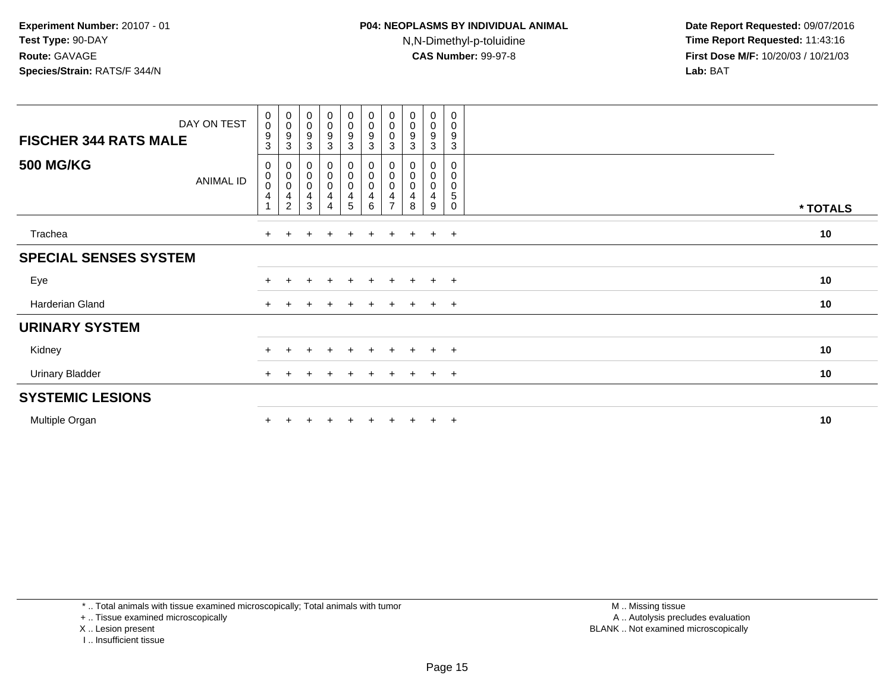| DAY ON TEST<br><b>FISCHER 344 RATS MALE</b> | $\begin{smallmatrix}0\\0\end{smallmatrix}$<br>$\boldsymbol{9}$<br>3      | $\begin{smallmatrix}0\0\0\9\end{smallmatrix}$<br>3 | $_{\rm 0}^{\rm 0}$<br>$\boldsymbol{9}$<br>$\mathbf{3}$     | $\begin{smallmatrix} 0\\0 \end{smallmatrix}$<br>$\boldsymbol{9}$<br>3 | $_{\rm 0}^{\rm 0}$<br>9<br>3                                                    | $\begin{smallmatrix} 0\\0 \end{smallmatrix}$<br>$\boldsymbol{9}$<br>3 | $\pmb{0}$<br>0<br>0<br>3 | $\begin{smallmatrix} 0\\0 \end{smallmatrix}$<br>$\boldsymbol{9}$<br>$\mathbf{3}$ | 0<br>$\pmb{0}$<br>$\boldsymbol{9}$<br>3 | 0<br>$\mathbf 0$<br>9<br>3                |          |  |
|---------------------------------------------|--------------------------------------------------------------------------|----------------------------------------------------|------------------------------------------------------------|-----------------------------------------------------------------------|---------------------------------------------------------------------------------|-----------------------------------------------------------------------|--------------------------|----------------------------------------------------------------------------------|-----------------------------------------|-------------------------------------------|----------|--|
| <b>500 MG/KG</b><br><b>ANIMAL ID</b>        | 0<br>$\pmb{0}$<br>$\pmb{0}$<br>$\overline{\mathbf{4}}$<br>$\overline{ }$ | 0<br>$\mathbf 0$<br>$\pmb{0}$<br>4<br>2            | 0<br>$\overline{0}$<br>$0$<br>$\overline{\mathbf{4}}$<br>3 | $_0^0$<br>0<br>4<br>4                                                 | $\boldsymbol{0}$<br>$\overline{0}$<br>$\pmb{0}$<br>$\overline{\mathbf{4}}$<br>5 | 0<br>$\overline{0}$<br>$0$<br>$\overline{\mathbf{4}}$<br>6            | 0<br>0<br>4              | 0<br>$\pmb{0}$<br>$\pmb{0}$<br>4<br>8                                            | 0<br>$\pmb{0}$<br>$\pmb{0}$<br>4<br>9   | 0<br>0<br>$\mathbf 0$<br>5<br>$\mathbf 0$ | * TOTALS |  |
| Trachea                                     | $+$                                                                      |                                                    |                                                            | $\ddot{}$                                                             | $\div$                                                                          | $\ddot{}$                                                             | $+$                      |                                                                                  | $+$                                     | $+$                                       | 10       |  |
| <b>SPECIAL SENSES SYSTEM</b>                |                                                                          |                                                    |                                                            |                                                                       |                                                                                 |                                                                       |                          |                                                                                  |                                         |                                           |          |  |
| Eye                                         | $\pm$                                                                    | $\pm$                                              | $\pm$                                                      | $\pm$                                                                 | $+$                                                                             | $+$                                                                   | $+$                      | $+$                                                                              | $+$                                     | $+$                                       | 10       |  |
| Harderian Gland                             | $+$                                                                      |                                                    |                                                            |                                                                       |                                                                                 | $\div$                                                                | $\pm$                    |                                                                                  | $\ddot{}$                               | $+$                                       | 10       |  |
| <b>URINARY SYSTEM</b>                       |                                                                          |                                                    |                                                            |                                                                       |                                                                                 |                                                                       |                          |                                                                                  |                                         |                                           |          |  |
| Kidney                                      | $+$                                                                      | $+$                                                | $\pm$                                                      | $+$                                                                   | $+$                                                                             | $+$                                                                   | $+$                      | $+$                                                                              | $+$                                     | $+$                                       | 10       |  |
| <b>Urinary Bladder</b>                      | $+$                                                                      |                                                    |                                                            | $\ddot{}$                                                             |                                                                                 | $+$                                                                   | $+$                      | $\pm$                                                                            | $+$                                     | $+$                                       | 10       |  |
| <b>SYSTEMIC LESIONS</b>                     |                                                                          |                                                    |                                                            |                                                                       |                                                                                 |                                                                       |                          |                                                                                  |                                         |                                           |          |  |
| Multiple Organ                              |                                                                          |                                                    |                                                            |                                                                       |                                                                                 |                                                                       |                          |                                                                                  | $\pm$                                   | $^{+}$                                    | 10       |  |

\* .. Total animals with tissue examined microscopically; Total animals with tumor

+ .. Tissue examined microscopically

X .. Lesion present

I .. Insufficient tissue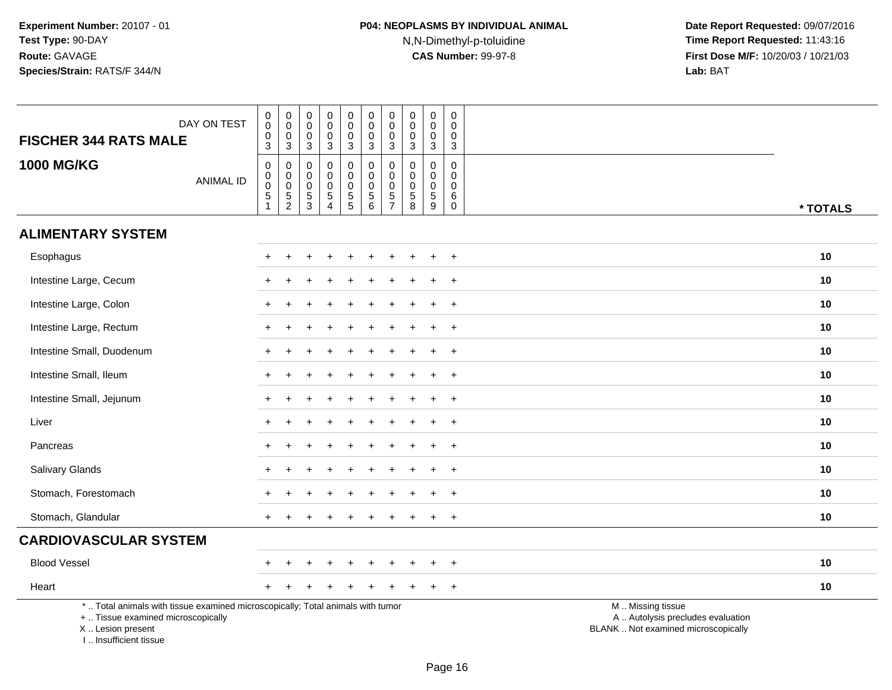# **P04: NEOPLASMS BY INDIVIDUAL ANIMAL**N,N-Dimethyl-p-toluidine

| DAY ON TEST<br><b>FISCHER 344 RATS MALE</b>                                                                                                                         | $\pmb{0}$<br>$\mathbf 0$<br>$\mathbf 0$<br>3                           | $\pmb{0}$<br>$\mathsf{O}\xspace$<br>$\mathbf 0$<br>$\mathbf{3}$ | $\pmb{0}$<br>$\mathbf 0$<br>$\mathbf 0$<br>$\mathbf{3}$                       | $\pmb{0}$<br>$\mathbf 0$<br>$\mathbf 0$<br>3                   | $\mathbf 0$<br>$\mathsf{O}\xspace$<br>$\mathsf{O}\xspace$<br>3 | $\pmb{0}$<br>$\mathbf 0$<br>$\mathbf 0$<br>$\mathbf{3}$ | $\pmb{0}$<br>$\pmb{0}$<br>$\pmb{0}$<br>$\mathbf{3}$  | $\pmb{0}$<br>$\mathbf 0$<br>$\mathbf 0$<br>$\mathbf 3$                           | $\mathbf 0$<br>$\mathbf 0$<br>$\mathbf 0$<br>$\mathbf{3}$    | $\pmb{0}$<br>$\mathbf 0$<br>$\mathbf 0$<br>$\mathbf{3}$ |                                                                                               |
|---------------------------------------------------------------------------------------------------------------------------------------------------------------------|------------------------------------------------------------------------|-----------------------------------------------------------------|-------------------------------------------------------------------------------|----------------------------------------------------------------|----------------------------------------------------------------|---------------------------------------------------------|------------------------------------------------------|----------------------------------------------------------------------------------|--------------------------------------------------------------|---------------------------------------------------------|-----------------------------------------------------------------------------------------------|
| <b>1000 MG/KG</b><br><b>ANIMAL ID</b>                                                                                                                               | $\mathbf 0$<br>$\mathbf 0$<br>$\mathsf{O}\xspace$<br>5<br>$\mathbf{1}$ | $\pmb{0}$<br>$\begin{matrix}0\\0\\5\\2\end{matrix}$             | $\mathbf 0$<br>$\mathbf 0$<br>$\mathbf 0$<br>$\overline{5}$<br>$\overline{3}$ | $\pmb{0}$<br>$\mathbf 0$<br>$\mathbf 0$<br>5<br>$\overline{4}$ | $\boldsymbol{0}$<br>$\mathbf 0$<br>$\frac{0}{5}$               | $\pmb{0}$<br>$\overline{0}$<br>$\frac{0}{5}$            | $\pmb{0}$<br>$\pmb{0}$<br>$\pmb{0}$<br>$\frac{5}{7}$ | $\mathbf 0$<br>$\mathbf 0$<br>$\pmb{0}$<br>$\begin{array}{c} 5 \\ 8 \end{array}$ | $\mathbf 0$<br>$\mathbf 0$<br>$\mathbf 0$<br>$\sqrt{5}$<br>9 | $\mathbf 0$<br>0<br>$\pmb{0}$<br>6<br>$\mathbf 0$       | * TOTALS                                                                                      |
| <b>ALIMENTARY SYSTEM</b>                                                                                                                                            |                                                                        |                                                                 |                                                                               |                                                                |                                                                |                                                         |                                                      |                                                                                  |                                                              |                                                         |                                                                                               |
| Esophagus                                                                                                                                                           |                                                                        |                                                                 |                                                                               |                                                                |                                                                |                                                         |                                                      |                                                                                  |                                                              | $\ddot{}$                                               | 10                                                                                            |
| Intestine Large, Cecum                                                                                                                                              |                                                                        |                                                                 |                                                                               |                                                                |                                                                |                                                         |                                                      |                                                                                  |                                                              | $\ddot{}$                                               | 10                                                                                            |
| Intestine Large, Colon                                                                                                                                              |                                                                        |                                                                 |                                                                               |                                                                |                                                                |                                                         |                                                      |                                                                                  |                                                              | $\overline{+}$                                          | 10                                                                                            |
| Intestine Large, Rectum                                                                                                                                             |                                                                        |                                                                 |                                                                               |                                                                |                                                                |                                                         |                                                      |                                                                                  |                                                              | $\overline{+}$                                          | 10                                                                                            |
| Intestine Small, Duodenum                                                                                                                                           |                                                                        |                                                                 |                                                                               |                                                                |                                                                |                                                         |                                                      |                                                                                  |                                                              | $\ddot{}$                                               | 10                                                                                            |
| Intestine Small, Ileum                                                                                                                                              |                                                                        |                                                                 |                                                                               |                                                                |                                                                |                                                         |                                                      |                                                                                  |                                                              | $\ddot{}$                                               | 10                                                                                            |
| Intestine Small, Jejunum                                                                                                                                            |                                                                        |                                                                 |                                                                               |                                                                |                                                                |                                                         |                                                      |                                                                                  | ÷                                                            | $+$                                                     | 10                                                                                            |
| Liver                                                                                                                                                               |                                                                        |                                                                 |                                                                               |                                                                |                                                                |                                                         |                                                      |                                                                                  |                                                              | $\ddot{}$                                               | 10                                                                                            |
| Pancreas                                                                                                                                                            |                                                                        |                                                                 |                                                                               |                                                                |                                                                |                                                         |                                                      |                                                                                  |                                                              | $\ddot{}$                                               | 10                                                                                            |
| Salivary Glands                                                                                                                                                     |                                                                        |                                                                 |                                                                               |                                                                |                                                                |                                                         |                                                      |                                                                                  | ÷.                                                           | $+$                                                     | 10                                                                                            |
| Stomach, Forestomach                                                                                                                                                |                                                                        |                                                                 |                                                                               |                                                                |                                                                |                                                         |                                                      |                                                                                  |                                                              | $\ddot{}$                                               | 10                                                                                            |
| Stomach, Glandular                                                                                                                                                  |                                                                        |                                                                 |                                                                               |                                                                |                                                                |                                                         |                                                      |                                                                                  |                                                              | $+$                                                     | 10                                                                                            |
| <b>CARDIOVASCULAR SYSTEM</b>                                                                                                                                        |                                                                        |                                                                 |                                                                               |                                                                |                                                                |                                                         |                                                      |                                                                                  |                                                              |                                                         |                                                                                               |
| <b>Blood Vessel</b>                                                                                                                                                 |                                                                        |                                                                 |                                                                               |                                                                |                                                                |                                                         |                                                      |                                                                                  |                                                              | $\overline{+}$                                          | 10                                                                                            |
| Heart                                                                                                                                                               |                                                                        |                                                                 |                                                                               |                                                                |                                                                |                                                         |                                                      |                                                                                  |                                                              | $+$                                                     | 10                                                                                            |
| *  Total animals with tissue examined microscopically; Total animals with tumor<br>+  Tissue examined microscopically<br>X  Lesion present<br>I Insufficient tissue |                                                                        |                                                                 |                                                                               |                                                                |                                                                |                                                         |                                                      |                                                                                  |                                                              |                                                         | M  Missing tissue<br>A  Autolysis precludes evaluation<br>BLANK  Not examined microscopically |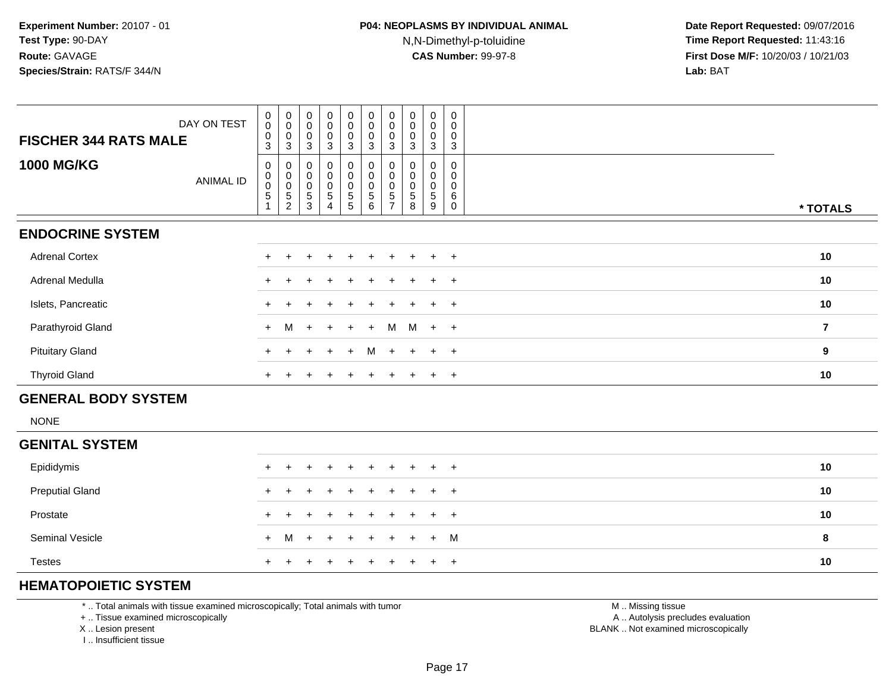**Date Report Requested:** 09/07/2016 **Time Report Requested:** 11:43:16 **First Dose M/F:** 10/20/03 / 10/21/03<br>**Lab:** BAT **Lab:** BAT

| DAY ON TEST<br><b>FISCHER 344 RATS MALE</b> | $\begin{smallmatrix}0\\0\end{smallmatrix}$<br>$\boldsymbol{0}$<br>3 | $\begin{smallmatrix} 0\\0 \end{smallmatrix}$<br>0<br>3 | 0<br>$\pmb{0}$<br>0<br>3                | $_{\rm 0}^{\rm 0}$<br>$\pmb{0}$<br>3                     | $\begin{matrix} 0 \\ 0 \\ 0 \\ 3 \end{matrix}$   | $\begin{matrix} 0 \\ 0 \\ 0 \\ 3 \end{matrix}$           | $\pmb{0}$<br>$\pmb{0}$<br>0<br>3             | $_{\rm 0}^{\rm 0}$    | $\mathsf{O}\xspace$<br>$\pmb{0}$<br>0<br>3 | $\,0\,$<br>0<br>0<br>3 |                         |
|---------------------------------------------|---------------------------------------------------------------------|--------------------------------------------------------|-----------------------------------------|----------------------------------------------------------|--------------------------------------------------|----------------------------------------------------------|----------------------------------------------|-----------------------|--------------------------------------------|------------------------|-------------------------|
| <b>1000 MG/KG</b><br><b>ANIMAL ID</b>       | 0<br>$\begin{smallmatrix}0\\0\end{smallmatrix}$<br>5                | 0<br>$\pmb{0}$<br>$\pmb{0}$<br>5<br>$\overline{2}$     | 0<br>0<br>$\pmb{0}$<br>$\mathbf 5$<br>3 | $\pmb{0}$<br>$\mathbf 0$<br>$\pmb{0}$<br>$\sqrt{5}$<br>4 | $_{\rm 0}^{\rm 0}$<br>$\pmb{0}$<br>$\frac{5}{5}$ | $_{\rm 0}^{\rm 0}$<br>$\pmb{0}$<br>$\sqrt{5}$<br>$\,6\,$ | 0<br>$\mathbf 0$<br>0<br>5<br>$\overline{ }$ | $\mathbf 0$<br>5<br>8 | 0<br>0<br>0<br>5<br>9                      | 0<br>0<br>0<br>6<br>0  | * TOTALS                |
| <b>ENDOCRINE SYSTEM</b>                     |                                                                     |                                                        |                                         |                                                          |                                                  |                                                          |                                              |                       |                                            |                        |                         |
| <b>Adrenal Cortex</b>                       |                                                                     |                                                        |                                         |                                                          |                                                  |                                                          |                                              |                       | $+$                                        | $+$                    | 10                      |
| Adrenal Medulla                             |                                                                     |                                                        |                                         |                                                          |                                                  |                                                          |                                              |                       | $\pm$                                      | $+$                    | 10                      |
| Islets, Pancreatic                          |                                                                     |                                                        |                                         |                                                          |                                                  |                                                          |                                              |                       | $+$                                        | $+$                    | 10                      |
| Parathyroid Gland                           | $+$                                                                 | M                                                      | $+$                                     | $+$                                                      | $+$                                              | $+$                                                      | M                                            |                       | $M + +$                                    |                        | $\overline{\mathbf{7}}$ |
| <b>Pituitary Gland</b>                      | $+$                                                                 |                                                        | ÷.                                      | $\ddot{}$                                                | $+$                                              | M                                                        | $+$                                          | $+$                   | $+$                                        | $+$                    | 9                       |
| <b>Thyroid Gland</b>                        | $+$                                                                 |                                                        |                                         |                                                          | $\pm$                                            | $\pm$                                                    | $\div$                                       |                       | $+$                                        | $+$                    | 10                      |
| <b>GENERAL BODY SYSTEM</b>                  |                                                                     |                                                        |                                         |                                                          |                                                  |                                                          |                                              |                       |                                            |                        |                         |

NONE

| <b>GENITAL SYSTEM</b>  |                     |  |  |  |  |    |
|------------------------|---------------------|--|--|--|--|----|
| Epididymis             | + + + + + + + + + + |  |  |  |  | 10 |
| <b>Preputial Gland</b> | + + + + + + + + + + |  |  |  |  | 10 |
| Prostate               | + + + + + + + + + + |  |  |  |  | 10 |
| <b>Seminal Vesicle</b> | + M + + + + + + + M |  |  |  |  | 8  |
| <b>Testes</b>          | + + + + + + + + + + |  |  |  |  | 10 |

### **HEMATOPOIETIC SYSTEM**

\* .. Total animals with tissue examined microscopically; Total animals with tumor

+ .. Tissue examined microscopically

X .. Lesion present

I .. Insufficient tissue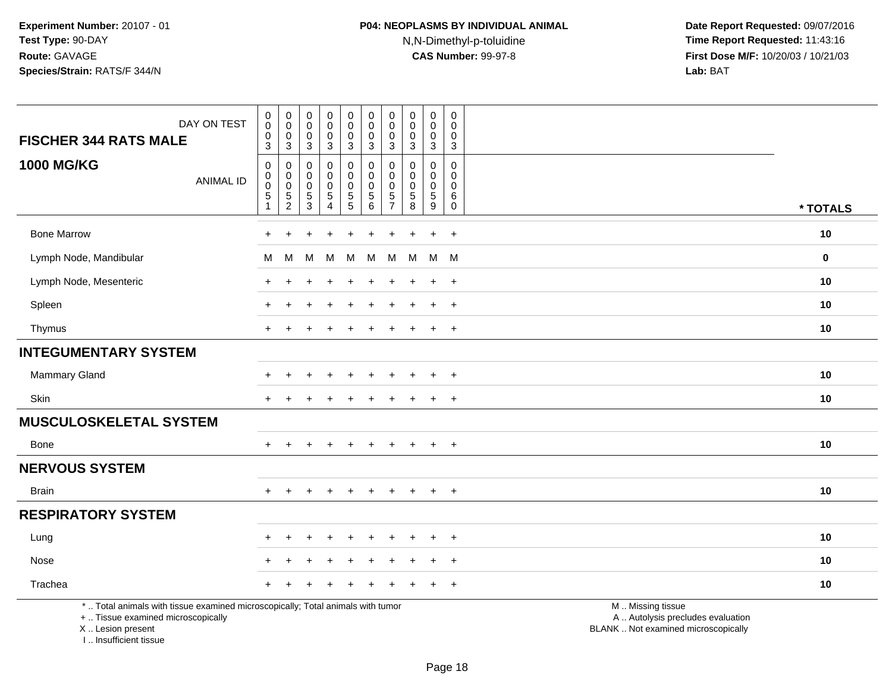| <b>FISCHER 344 RATS MALE</b>  | DAY ON TEST                                                                                                           | $\begin{smallmatrix}0\\0\end{smallmatrix}$<br>$\pmb{0}$<br>$\overline{3}$ | $\begin{smallmatrix}0\\0\end{smallmatrix}$<br>0<br>$\mathbf{3}$ | $\pmb{0}$<br>$\mathbf 0$<br>0<br>$\overline{3}$            | $_0^0$<br>$\frac{0}{3}$                          | $\begin{smallmatrix}0\\0\end{smallmatrix}$<br>$\frac{0}{3}$ | $_{\rm 0}^{\rm 0}$<br>$\pmb{0}$<br>$\overline{3}$        | $\pmb{0}$<br>$\mathbf 0$<br>0<br>$\mathbf{3}$                               | $\pmb{0}$<br>$\mathbf 0$<br>0<br>$\overline{3}$                         | $\pmb{0}$<br>$\mathbf 0$<br>$\mathbf 0$<br>$\overline{3}$  | $\pmb{0}$<br>$\mathbf 0$<br>0<br>$\sqrt{3}$      |                                                        |          |  |
|-------------------------------|-----------------------------------------------------------------------------------------------------------------------|---------------------------------------------------------------------------|-----------------------------------------------------------------|------------------------------------------------------------|--------------------------------------------------|-------------------------------------------------------------|----------------------------------------------------------|-----------------------------------------------------------------------------|-------------------------------------------------------------------------|------------------------------------------------------------|--------------------------------------------------|--------------------------------------------------------|----------|--|
| <b>1000 MG/KG</b>             | <b>ANIMAL ID</b>                                                                                                      | $\pmb{0}$<br>$\mathsf{O}\xspace$<br>$\pmb{0}$<br>5<br>1                   | 0<br>$\mathbf 0$<br>0<br>$\frac{5}{2}$                          | $\mathbf 0$<br>$\mathbf 0$<br>$\mathbf 0$<br>$\frac{5}{3}$ | 0<br>$\mathbf 0$<br>$\mathbf 0$<br>$\frac{5}{4}$ | $\pmb{0}$<br>$\mathbf 0$<br>$\mathbf 0$<br>$\frac{5}{5}$    | $\pmb{0}$<br>$\mathbf 0$<br>$\mathbf 0$<br>$\frac{5}{6}$ | $\mathbf 0$<br>$\Omega$<br>$\mathbf 0$<br>$5\phantom{.0}$<br>$\overline{7}$ | $\Omega$<br>$\Omega$<br>$\mathbf 0$<br>$\overline{5}$<br>$\overline{8}$ | $\mathbf 0$<br>$\mathbf 0$<br>$\mathbf 0$<br>$\frac{5}{9}$ | $\Omega$<br>$\mathbf 0$<br>0<br>6<br>$\mathbf 0$ |                                                        | * TOTALS |  |
| <b>Bone Marrow</b>            |                                                                                                                       |                                                                           | +                                                               |                                                            | $\ddot{}$                                        | ÷                                                           | $\overline{ }$                                           | $\pm$                                                                       |                                                                         | $\ddot{+}$                                                 | $\ddot{}$                                        |                                                        | 10       |  |
| Lymph Node, Mandibular        |                                                                                                                       | M                                                                         | M                                                               | M                                                          | М                                                | M                                                           | M                                                        | M                                                                           | M                                                                       | M                                                          | M                                                |                                                        | $\bf{0}$ |  |
| Lymph Node, Mesenteric        |                                                                                                                       |                                                                           |                                                                 |                                                            |                                                  |                                                             |                                                          |                                                                             |                                                                         | $\ddot{}$                                                  | $+$                                              |                                                        | 10       |  |
| Spleen                        |                                                                                                                       |                                                                           |                                                                 |                                                            |                                                  |                                                             |                                                          |                                                                             |                                                                         | ÷                                                          | $\overline{+}$                                   |                                                        | 10       |  |
| Thymus                        |                                                                                                                       | $\pm$                                                                     |                                                                 |                                                            |                                                  |                                                             |                                                          |                                                                             |                                                                         | $\ddot{}$                                                  | $+$                                              |                                                        | 10       |  |
| <b>INTEGUMENTARY SYSTEM</b>   |                                                                                                                       |                                                                           |                                                                 |                                                            |                                                  |                                                             |                                                          |                                                                             |                                                                         |                                                            |                                                  |                                                        |          |  |
| <b>Mammary Gland</b>          |                                                                                                                       |                                                                           |                                                                 |                                                            |                                                  |                                                             |                                                          |                                                                             |                                                                         |                                                            | $\ddot{}$                                        |                                                        | 10       |  |
| Skin                          |                                                                                                                       | $\div$                                                                    |                                                                 |                                                            |                                                  |                                                             |                                                          |                                                                             |                                                                         | $\ddot{}$                                                  | $\ddot{}$                                        |                                                        | 10       |  |
| <b>MUSCULOSKELETAL SYSTEM</b> |                                                                                                                       |                                                                           |                                                                 |                                                            |                                                  |                                                             |                                                          |                                                                             |                                                                         |                                                            |                                                  |                                                        |          |  |
| Bone                          |                                                                                                                       |                                                                           |                                                                 |                                                            |                                                  |                                                             |                                                          |                                                                             |                                                                         | $\ddot{}$                                                  | $+$                                              |                                                        | 10       |  |
| <b>NERVOUS SYSTEM</b>         |                                                                                                                       |                                                                           |                                                                 |                                                            |                                                  |                                                             |                                                          |                                                                             |                                                                         |                                                            |                                                  |                                                        |          |  |
| <b>Brain</b>                  |                                                                                                                       | $+$                                                                       | $\ddot{}$                                                       |                                                            | $\ddot{}$                                        | $\ddot{}$                                                   | $\ddot{}$                                                | $+$                                                                         | $\pm$                                                                   | $\ddot{}$                                                  | $+$                                              |                                                        | 10       |  |
| <b>RESPIRATORY SYSTEM</b>     |                                                                                                                       |                                                                           |                                                                 |                                                            |                                                  |                                                             |                                                          |                                                                             |                                                                         |                                                            |                                                  |                                                        |          |  |
| Lung                          |                                                                                                                       |                                                                           |                                                                 |                                                            |                                                  |                                                             |                                                          |                                                                             |                                                                         | $\div$                                                     | $\overline{+}$                                   |                                                        | 10       |  |
| Nose                          |                                                                                                                       |                                                                           |                                                                 |                                                            |                                                  |                                                             |                                                          |                                                                             |                                                                         |                                                            | $\overline{+}$                                   |                                                        | 10       |  |
| Trachea                       |                                                                                                                       |                                                                           |                                                                 |                                                            |                                                  |                                                             |                                                          |                                                                             |                                                                         |                                                            | $\ddot{}$                                        |                                                        | 10       |  |
|                               | *  Total animals with tissue examined microscopically; Total animals with tumor<br>+  Tissue examined microscopically |                                                                           |                                                                 |                                                            |                                                  |                                                             |                                                          |                                                                             |                                                                         |                                                            |                                                  | M  Missing tissue<br>A  Autolysis precludes evaluation |          |  |

X .. Lesion present

I .. Insufficient tissue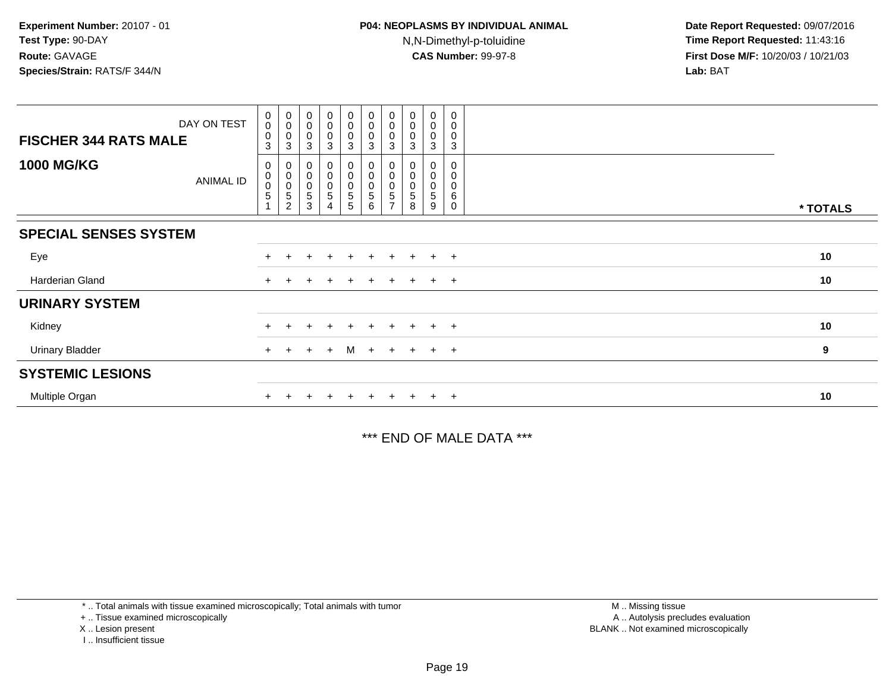| DAY ON TEST<br><b>FISCHER 344 RATS MALE</b> | $\pmb{0}$<br>$\pmb{0}$<br>$\mathbf 0$ | $_{\rm 0}^{\rm 0}$<br>$\pmb{0}$                                        | $\boldsymbol{0}$<br>$\boldsymbol{0}$<br>$\mathbf 0$ | $_0^0$<br>0                   | $\begin{smallmatrix} 0\\0 \end{smallmatrix}$<br>$\mathbf 0$ | $_{\rm 0}^{\rm 0}$<br>$\mathbf 0$ | $\begin{smallmatrix} 0\\0 \end{smallmatrix}$<br>$\mathbf 0$ | $_{\rm 0}^{\rm 0}$<br>0 | 0<br>0<br>0           | 0<br>$\mathbf 0$<br>$\mathbf 0$ |          |
|---------------------------------------------|---------------------------------------|------------------------------------------------------------------------|-----------------------------------------------------|-------------------------------|-------------------------------------------------------------|-----------------------------------|-------------------------------------------------------------|-------------------------|-----------------------|---------------------------------|----------|
|                                             | 3                                     | 3                                                                      | 3                                                   | 3                             | $\mathbf{3}$                                                | 3                                 | 3                                                           | 3                       | 3                     | 3                               |          |
| <b>1000 MG/KG</b><br>ANIMAL ID              | 0<br>$\,0\,$<br>$\pmb{0}$<br>5        | 0<br>$\begin{smallmatrix}0\\0\end{smallmatrix}$<br>5<br>$\overline{c}$ | $\mathbf 0$<br>$\mathbf 0$<br>5<br>3                | 0<br>0<br>$\pmb{0}$<br>5<br>4 | 0<br>$\bar{0}$<br>$\pmb{0}$<br>5<br>5                       | 0<br>0<br>$\mathbf 0$<br>5<br>6   | 0<br>$\pmb{0}$<br>$\pmb{0}$<br>$\,$ 5 $\,$                  | 0<br>5<br>8             | 0<br>0<br>0<br>5<br>9 | 0<br>0<br>6<br>0                | * TOTALS |
|                                             |                                       |                                                                        |                                                     |                               |                                                             |                                   |                                                             |                         |                       |                                 |          |
| <b>SPECIAL SENSES SYSTEM</b>                |                                       |                                                                        |                                                     |                               |                                                             |                                   |                                                             |                         |                       |                                 |          |
| Eye                                         |                                       |                                                                        |                                                     |                               | $\pm$                                                       | $\pm$                             |                                                             | $\pm$                   | $\ddot{}$             | $+$                             | 10       |
| Harderian Gland                             | $+$                                   |                                                                        |                                                     |                               | $\pm$                                                       | $\pm$                             | $+$                                                         | $+$                     | $+$                   | $+$                             | 10       |
| <b>URINARY SYSTEM</b>                       |                                       |                                                                        |                                                     |                               |                                                             |                                   |                                                             |                         |                       |                                 |          |
| Kidney                                      |                                       |                                                                        |                                                     |                               |                                                             |                                   |                                                             |                         | $\pm$                 | $+$                             | 10       |
| <b>Urinary Bladder</b>                      | $+$                                   | $^{+}$                                                                 | $+$                                                 | $+$                           | M                                                           | $+$                               |                                                             | $+$ $+$ $+$ $+$         |                       |                                 | 9        |
| <b>SYSTEMIC LESIONS</b>                     |                                       |                                                                        |                                                     |                               |                                                             |                                   |                                                             |                         |                       |                                 |          |
| Multiple Organ                              |                                       |                                                                        |                                                     |                               |                                                             |                                   |                                                             |                         | $\pm$                 | $+$                             | 10       |

\*\*\* END OF MALE DATA \*\*\*

\* .. Total animals with tissue examined microscopically; Total animals with tumor

+ .. Tissue examined microscopically

X .. Lesion present

I .. Insufficient tissue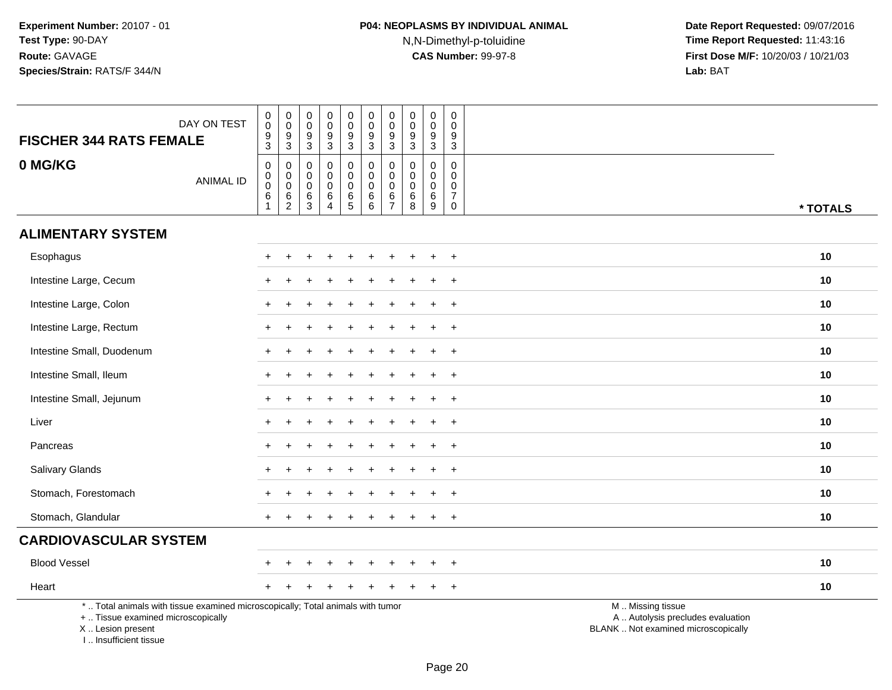| <b>FISCHER 344 RATS FEMALE</b>                                                                                                                                      | DAY ON TEST      | $\begin{smallmatrix}0\0\0\end{smallmatrix}$<br>$\boldsymbol{9}$<br>3 | $_{\rm 0}^{\rm 0}$<br>$\frac{9}{3}$  | $\pmb{0}$<br>$\mathbf 0$<br>$9\,$<br>$\mathbf{3}$             | 0<br>$\mathbf 0$<br>$\boldsymbol{9}$<br>3                        | $\begin{smallmatrix} 0\\0 \end{smallmatrix}$<br>$\overline{9}$<br>$\mathbf{3}$ | $\begin{smallmatrix} 0\\0 \end{smallmatrix}$<br>$\overline{9}$<br>$\mathbf{3}$ | $_{\rm 0}^{\rm 0}$<br>$\boldsymbol{9}$<br>3              | ${\bf 0}$<br>$\mathbf 0$<br>$\overline{9}$<br>3 | $\mathsf{O}\xspace$<br>$\mathbf 0$<br>$9\,$<br>$\mathbf{3}$ | 0<br>$\mathbf 0$<br>9<br>3                                     |                                                                                               |
|---------------------------------------------------------------------------------------------------------------------------------------------------------------------|------------------|----------------------------------------------------------------------|--------------------------------------|---------------------------------------------------------------|------------------------------------------------------------------|--------------------------------------------------------------------------------|--------------------------------------------------------------------------------|----------------------------------------------------------|-------------------------------------------------|-------------------------------------------------------------|----------------------------------------------------------------|-----------------------------------------------------------------------------------------------|
| 0 MG/KG                                                                                                                                                             | <b>ANIMAL ID</b> | 0<br>$\mathbf 0$<br>$\mathbf 0$<br>$\,6\,$<br>$\mathbf{1}$           | 0<br>$\overline{0}$<br>$\frac{6}{2}$ | 0<br>$\boldsymbol{0}$<br>$\mathbf 0$<br>$\,6$<br>$\mathbf{3}$ | $\mathbf 0$<br>$\mathbf 0$<br>$\mathbf 0$<br>6<br>$\overline{4}$ | 0<br>$\mathbf 0$<br>$\mathbf 0$<br>$\frac{6}{5}$                               | 0<br>$\boldsymbol{0}$<br>$\mathbf 0$<br>$\overline{6}$<br>$6$                  | $\mathbf 0$<br>$\pmb{0}$<br>$\mathbf 0$<br>$\frac{6}{7}$ | 0<br>$\mathbf 0$<br>$\mathbf 0$<br>$\,6\,$<br>8 | $\mathbf 0$<br>$\mathbf 0$<br>$\mathbf 0$<br>$\,6\,$<br>9   | $\mathbf 0$<br>$\mathbf 0$<br>0<br>$\overline{7}$<br>$\pmb{0}$ | * TOTALS                                                                                      |
| <b>ALIMENTARY SYSTEM</b>                                                                                                                                            |                  |                                                                      |                                      |                                                               |                                                                  |                                                                                |                                                                                |                                                          |                                                 |                                                             |                                                                |                                                                                               |
| Esophagus                                                                                                                                                           |                  |                                                                      |                                      |                                                               |                                                                  |                                                                                |                                                                                |                                                          |                                                 |                                                             | $\ddot{}$                                                      | 10                                                                                            |
| Intestine Large, Cecum                                                                                                                                              |                  |                                                                      |                                      |                                                               |                                                                  |                                                                                |                                                                                |                                                          |                                                 |                                                             | $\ddot{}$                                                      | 10                                                                                            |
| Intestine Large, Colon                                                                                                                                              |                  |                                                                      |                                      |                                                               |                                                                  |                                                                                |                                                                                |                                                          |                                                 |                                                             | $\ddot{}$                                                      | 10                                                                                            |
| Intestine Large, Rectum                                                                                                                                             |                  |                                                                      |                                      |                                                               |                                                                  |                                                                                |                                                                                |                                                          |                                                 |                                                             | $\ddot{}$                                                      | 10                                                                                            |
| Intestine Small, Duodenum                                                                                                                                           |                  |                                                                      |                                      |                                                               |                                                                  |                                                                                |                                                                                |                                                          |                                                 |                                                             | $\ddot{}$                                                      | 10                                                                                            |
| Intestine Small, Ileum                                                                                                                                              |                  |                                                                      |                                      |                                                               |                                                                  |                                                                                |                                                                                |                                                          |                                                 |                                                             | $+$                                                            | 10                                                                                            |
| Intestine Small, Jejunum                                                                                                                                            |                  |                                                                      |                                      |                                                               |                                                                  |                                                                                |                                                                                |                                                          |                                                 | $\ddot{}$                                                   | $+$                                                            | 10                                                                                            |
| Liver                                                                                                                                                               |                  |                                                                      |                                      |                                                               |                                                                  |                                                                                |                                                                                |                                                          |                                                 |                                                             | $\ddot{}$                                                      | 10                                                                                            |
| Pancreas                                                                                                                                                            |                  |                                                                      |                                      |                                                               |                                                                  |                                                                                |                                                                                |                                                          |                                                 |                                                             | $\ddot{}$                                                      | 10                                                                                            |
| Salivary Glands                                                                                                                                                     |                  |                                                                      |                                      |                                                               |                                                                  |                                                                                |                                                                                |                                                          |                                                 |                                                             | $+$                                                            | 10                                                                                            |
| Stomach, Forestomach                                                                                                                                                |                  |                                                                      |                                      |                                                               |                                                                  |                                                                                |                                                                                |                                                          |                                                 |                                                             | $\ddot{}$                                                      | 10                                                                                            |
| Stomach, Glandular                                                                                                                                                  |                  |                                                                      |                                      |                                                               |                                                                  |                                                                                |                                                                                |                                                          |                                                 |                                                             | $\overline{+}$                                                 | 10                                                                                            |
| <b>CARDIOVASCULAR SYSTEM</b>                                                                                                                                        |                  |                                                                      |                                      |                                                               |                                                                  |                                                                                |                                                                                |                                                          |                                                 |                                                             |                                                                |                                                                                               |
| <b>Blood Vessel</b>                                                                                                                                                 |                  |                                                                      |                                      |                                                               |                                                                  |                                                                                |                                                                                |                                                          |                                                 |                                                             | $\overline{+}$                                                 | 10                                                                                            |
| Heart                                                                                                                                                               |                  |                                                                      |                                      |                                                               |                                                                  |                                                                                |                                                                                |                                                          |                                                 |                                                             | $\overline{+}$                                                 | 10                                                                                            |
| *  Total animals with tissue examined microscopically; Total animals with tumor<br>+  Tissue examined microscopically<br>X  Lesion present<br>I Insufficient tissue |                  |                                                                      |                                      |                                                               |                                                                  |                                                                                |                                                                                |                                                          |                                                 |                                                             |                                                                | M  Missing tissue<br>A  Autolysis precludes evaluation<br>BLANK  Not examined microscopically |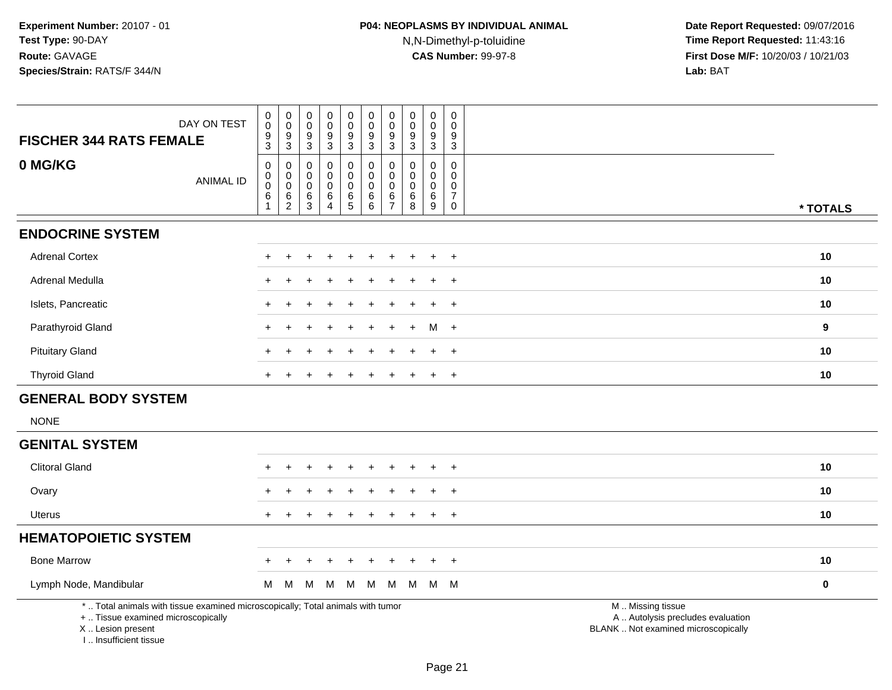| <b>FISCHER 344 RATS FEMALE</b> | DAY ON TEST      | 0<br>$\ddot{\mathbf{0}}$<br>$\frac{9}{3}$       | $\begin{smallmatrix}0\\0\end{smallmatrix}$<br>$\frac{9}{3}$                            | 0<br>0<br>9<br>3                | $\pmb{0}$<br>$\pmb{0}$<br>9<br>$\mathbf{3}$                    | $_{\rm 0}^{\rm 0}$<br>$\frac{9}{3}$            | $\pmb{0}$<br>$\ddot{\mathbf{0}}$<br>9<br>3                         | $\begin{smallmatrix} 0\\0 \end{smallmatrix}$<br>$\frac{9}{3}$    | 0<br>0<br>9<br>$\mathbf{3}$                         | $\pmb{0}$<br>0<br>9<br>$\sqrt{3}$                   | 0<br>0<br>9<br>3                                     |          |
|--------------------------------|------------------|-------------------------------------------------|----------------------------------------------------------------------------------------|---------------------------------|----------------------------------------------------------------|------------------------------------------------|--------------------------------------------------------------------|------------------------------------------------------------------|-----------------------------------------------------|-----------------------------------------------------|------------------------------------------------------|----------|
| 0 MG/KG                        | <b>ANIMAL ID</b> | 0<br>$\boldsymbol{0}$<br>$\mathbf 0$<br>$\,6\,$ | 0<br>$\begin{smallmatrix} 0\\0 \end{smallmatrix}$<br>$6\phantom{1}6$<br>$\overline{2}$ | 0<br>0<br>$\mathbf 0$<br>6<br>3 | 0<br>$\mathbf 0$<br>$\mathbf 0$<br>6<br>$\boldsymbol{\Lambda}$ | 0<br>$\pmb{0}$<br>$\mathbf 0$<br>$\frac{6}{5}$ | $\mathbf 0$<br>$\overline{0}$<br>$\mathsf{O}\xspace$<br>$\,6$<br>6 | $\pmb{0}$<br>$\pmb{0}$<br>$\pmb{0}$<br>$\,6\,$<br>$\overline{7}$ | $\mathbf 0$<br>$\mathbf 0$<br>$\mathbf 0$<br>6<br>8 | $\mathbf 0$<br>$\mathbf 0$<br>$\mathbf 0$<br>6<br>9 | 0<br>$\mathbf 0$<br>0<br>$\overline{7}$<br>$\pmb{0}$ | * TOTALS |
| <b>ENDOCRINE SYSTEM</b>        |                  |                                                 |                                                                                        |                                 |                                                                |                                                |                                                                    |                                                                  |                                                     |                                                     |                                                      |          |
| <b>Adrenal Cortex</b>          |                  |                                                 |                                                                                        |                                 |                                                                |                                                |                                                                    |                                                                  |                                                     |                                                     | $+$                                                  | 10       |
| Adrenal Medulla                |                  |                                                 |                                                                                        |                                 |                                                                |                                                |                                                                    |                                                                  |                                                     |                                                     | $\overline{1}$                                       | 10       |
| Islets, Pancreatic             |                  | $\pm$                                           |                                                                                        |                                 |                                                                |                                                |                                                                    |                                                                  |                                                     |                                                     | $\ddot{}$                                            | 10       |
| Parathyroid Gland              |                  | $\pm$                                           |                                                                                        |                                 |                                                                |                                                | ÷                                                                  |                                                                  | $\ddot{}$                                           |                                                     | $M +$                                                | 9        |
| <b>Pituitary Gland</b>         |                  |                                                 |                                                                                        |                                 |                                                                |                                                |                                                                    |                                                                  |                                                     | $\pm$                                               | $^{+}$                                               | 10       |
| <b>Thyroid Gland</b>           |                  | $\ddot{}$                                       |                                                                                        |                                 |                                                                |                                                | ÷                                                                  | $\ddot{}$                                                        | $\ddot{}$                                           | $+$                                                 | $+$                                                  | 10       |
| <b>GENERAL BODY SYSTEM</b>     |                  |                                                 |                                                                                        |                                 |                                                                |                                                |                                                                    |                                                                  |                                                     |                                                     |                                                      |          |
| <b>NONE</b>                    |                  |                                                 |                                                                                        |                                 |                                                                |                                                |                                                                    |                                                                  |                                                     |                                                     |                                                      |          |
| <b>GENITAL SYSTEM</b>          |                  |                                                 |                                                                                        |                                 |                                                                |                                                |                                                                    |                                                                  |                                                     |                                                     |                                                      |          |
| <b>Clitoral Gland</b>          |                  |                                                 |                                                                                        |                                 |                                                                |                                                |                                                                    |                                                                  |                                                     |                                                     | $\ddot{}$                                            | 10       |
| Ovary                          |                  | $+$                                             |                                                                                        |                                 |                                                                |                                                |                                                                    |                                                                  |                                                     |                                                     | $\overline{+}$                                       | 10       |
| <b>Uterus</b>                  |                  | $\pm$                                           |                                                                                        |                                 |                                                                |                                                |                                                                    |                                                                  |                                                     |                                                     | $\ddot{}$                                            | 10       |
| <b>HEMATOPOIETIC SYSTEM</b>    |                  |                                                 |                                                                                        |                                 |                                                                |                                                |                                                                    |                                                                  |                                                     |                                                     |                                                      |          |
| <b>Bone Marrow</b>             |                  | $\pm$                                           |                                                                                        |                                 |                                                                | $\div$                                         | $\pm$                                                              |                                                                  | ÷                                                   | $+$                                                 | $+$                                                  | 10       |
| Lymph Node, Mandibular         |                  | M                                               | M                                                                                      | M                               | M                                                              | M                                              | M                                                                  | M                                                                | M                                                   |                                                     | M M                                                  | $\bf{0}$ |

\* .. Total animals with tissue examined microscopically; Total animals with tumor

+ .. Tissue examined microscopically

X .. Lesion present

I .. Insufficient tissue

M .. Missing tissue

y the contract of the contract of the contract of the contract of the contract of the contract of the contract of  $A$ . Autolysis precludes evaluation

Lesion present BLANK .. Not examined microscopically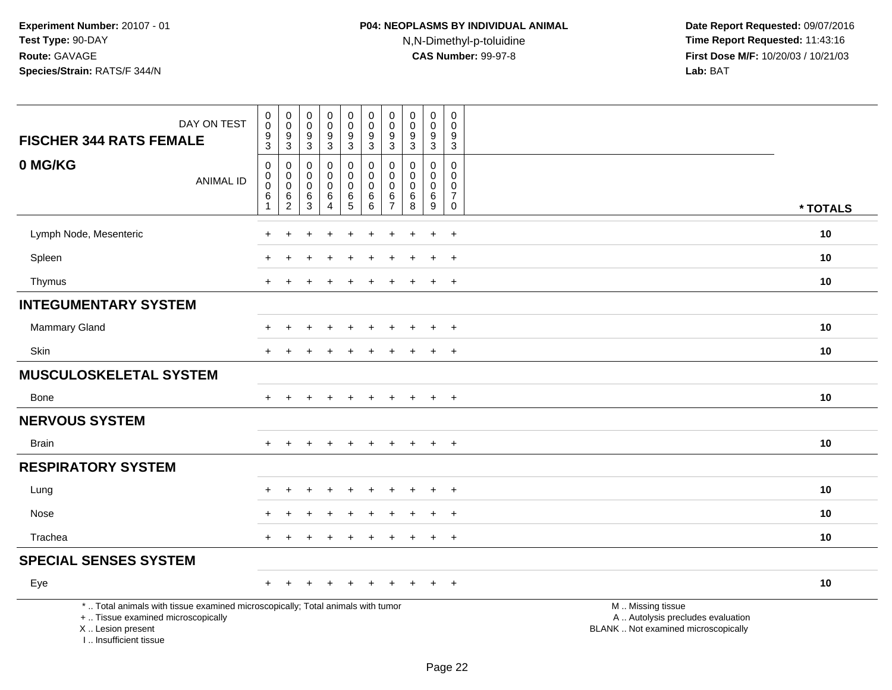| DAY ON TEST<br><b>FISCHER 344 RATS FEMALE</b>                                                                                                                       | 0<br>$\mathsf{O}\xspace$<br>9<br>$\overline{3}$    | $\mathbf 0$<br>$\mathbf 0$<br>9<br>$\overline{3}$ | $_{\rm 0}^{\rm 0}$<br>$\boldsymbol{9}$<br>$\overline{3}$ | $\pmb{0}$<br>$\ddot{\mathbf{0}}$<br>$\frac{9}{3}$    | $\mathbf 0$<br>$\mathsf{O}\xspace$<br>$\frac{9}{3}$ | $\pmb{0}$<br>$\mathbf 0$<br>$\boldsymbol{9}$<br>$\overline{3}$          | $\pmb{0}$<br>$\pmb{0}$<br>9<br>$\sqrt{3}$              | $\begin{smallmatrix} 0\\0 \end{smallmatrix}$<br>$\boldsymbol{9}$<br>$\overline{3}$ | $\begin{smallmatrix}0\0\0\end{smallmatrix}$<br>9<br>$\overline{3}$ | $\mathsf{O}$<br>$\pmb{0}$<br>9<br>$\overline{3}$ |                                                                                               |
|---------------------------------------------------------------------------------------------------------------------------------------------------------------------|----------------------------------------------------|---------------------------------------------------|----------------------------------------------------------|------------------------------------------------------|-----------------------------------------------------|-------------------------------------------------------------------------|--------------------------------------------------------|------------------------------------------------------------------------------------|--------------------------------------------------------------------|--------------------------------------------------|-----------------------------------------------------------------------------------------------|
| 0 MG/KG<br><b>ANIMAL ID</b>                                                                                                                                         | $\mathsf 0$<br>0<br>$\pmb{0}$<br>6<br>$\mathbf{1}$ | 0<br>0<br>$\pmb{0}$<br>$\frac{6}{2}$              | 0<br>$\mathbf 0$<br>$\pmb{0}$<br>$^6_3$                  | $\pmb{0}$<br>0<br>$\mathsf 0$<br>6<br>$\overline{4}$ | 0<br>$\mathbf 0$<br>$\mathbf 0$<br>$6\over 5$       | $\mathbf 0$<br>$\mathbf 0$<br>$\mathbf 0$<br>$\,6\,$<br>$6\overline{6}$ | 0<br>$\mathbf 0$<br>$\mathbf 0$<br>6<br>$\overline{7}$ | 0<br>$\mathbf 0$<br>$\pmb{0}$<br>$^6_8$                                            | 0<br>$\mathbf 0$<br>$\mathbf 0$<br>$^6_9$                          | 0<br>0<br>0<br>$\overline{7}$<br>$\mathbf 0$     | * TOTALS                                                                                      |
| Lymph Node, Mesenteric                                                                                                                                              |                                                    |                                                   |                                                          |                                                      |                                                     |                                                                         |                                                        |                                                                                    | $\ddot{}$                                                          | $\ddot{}$                                        | 10                                                                                            |
| Spleen                                                                                                                                                              |                                                    |                                                   |                                                          |                                                      |                                                     |                                                                         |                                                        |                                                                                    | $\ddot{}$                                                          | $+$                                              | 10                                                                                            |
| Thymus                                                                                                                                                              | $+$                                                |                                                   |                                                          |                                                      |                                                     |                                                                         |                                                        |                                                                                    | $+$                                                                | $+$                                              | 10                                                                                            |
| <b>INTEGUMENTARY SYSTEM</b>                                                                                                                                         |                                                    |                                                   |                                                          |                                                      |                                                     |                                                                         |                                                        |                                                                                    |                                                                    |                                                  |                                                                                               |
| Mammary Gland                                                                                                                                                       |                                                    |                                                   |                                                          |                                                      |                                                     |                                                                         |                                                        |                                                                                    | $\ddot{}$                                                          | $+$                                              | 10                                                                                            |
| Skin                                                                                                                                                                |                                                    |                                                   |                                                          |                                                      |                                                     |                                                                         |                                                        |                                                                                    | $\ddot{}$                                                          | $\ddot{}$                                        | 10                                                                                            |
| <b>MUSCULOSKELETAL SYSTEM</b>                                                                                                                                       |                                                    |                                                   |                                                          |                                                      |                                                     |                                                                         |                                                        |                                                                                    |                                                                    |                                                  |                                                                                               |
| Bone                                                                                                                                                                | $+$                                                | $\ddot{}$                                         | $+$                                                      | $+$                                                  | $\ddot{}$                                           | $+$                                                                     | $+$                                                    | $+$                                                                                | $+$                                                                | $+$                                              | 10                                                                                            |
| <b>NERVOUS SYSTEM</b>                                                                                                                                               |                                                    |                                                   |                                                          |                                                      |                                                     |                                                                         |                                                        |                                                                                    |                                                                    |                                                  |                                                                                               |
| <b>Brain</b>                                                                                                                                                        |                                                    |                                                   |                                                          |                                                      |                                                     |                                                                         |                                                        |                                                                                    | $+$                                                                | $+$                                              | 10                                                                                            |
| <b>RESPIRATORY SYSTEM</b>                                                                                                                                           |                                                    |                                                   |                                                          |                                                      |                                                     |                                                                         |                                                        |                                                                                    |                                                                    |                                                  |                                                                                               |
| Lung                                                                                                                                                                |                                                    |                                                   |                                                          |                                                      |                                                     |                                                                         |                                                        |                                                                                    | $\ddot{}$                                                          | $\overline{+}$                                   | 10                                                                                            |
| Nose                                                                                                                                                                |                                                    |                                                   |                                                          |                                                      |                                                     |                                                                         |                                                        |                                                                                    | $\overline{+}$                                                     | $+$                                              | 10                                                                                            |
| Trachea                                                                                                                                                             | $+$                                                |                                                   |                                                          |                                                      |                                                     |                                                                         |                                                        |                                                                                    | $\ddot{}$                                                          | $+$                                              | 10                                                                                            |
| <b>SPECIAL SENSES SYSTEM</b>                                                                                                                                        |                                                    |                                                   |                                                          |                                                      |                                                     |                                                                         |                                                        |                                                                                    |                                                                    |                                                  |                                                                                               |
| Eye                                                                                                                                                                 | $\div$                                             |                                                   |                                                          |                                                      |                                                     |                                                                         |                                                        |                                                                                    | $\pm$                                                              | $+$                                              | 10                                                                                            |
| *  Total animals with tissue examined microscopically; Total animals with tumor<br>+  Tissue examined microscopically<br>X  Lesion present<br>I Insufficient tissue |                                                    |                                                   |                                                          |                                                      |                                                     |                                                                         |                                                        |                                                                                    |                                                                    |                                                  | M  Missing tissue<br>A  Autolysis precludes evaluation<br>BLANK  Not examined microscopically |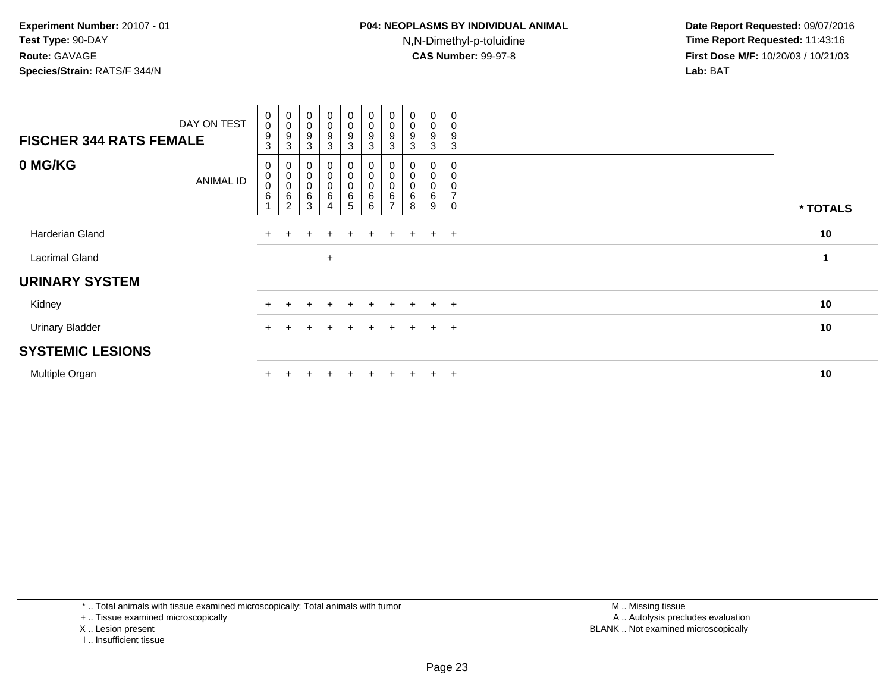| DAY ON TEST<br><b>FISCHER 344 RATS FEMALE</b> | $\begin{smallmatrix}0\0\0\end{smallmatrix}$<br>9<br>3 | $\begin{smallmatrix} 0\\0 \end{smallmatrix}$<br>$\boldsymbol{9}$<br>$\sqrt{3}$ | $\begin{smallmatrix}0\\0\end{smallmatrix}$<br>$\boldsymbol{9}$<br>3 | $\begin{smallmatrix}0\0\0\end{smallmatrix}$<br>9<br>3 | $_{\rm 0}^{\rm 0}$<br>$\boldsymbol{9}$<br>3 | $\begin{smallmatrix}0\0\0\end{smallmatrix}$<br>9<br>3 | $\pmb{0}$<br>$\mathsf 0$<br>9<br>3 | $\begin{smallmatrix}0\\0\end{smallmatrix}$<br>$9\,$<br>3 | 0<br>0<br>9<br>3              | $\mathbf 0$<br>$\mathbf 0$<br>9<br>3                                     |          |  |
|-----------------------------------------------|-------------------------------------------------------|--------------------------------------------------------------------------------|---------------------------------------------------------------------|-------------------------------------------------------|---------------------------------------------|-------------------------------------------------------|------------------------------------|----------------------------------------------------------|-------------------------------|--------------------------------------------------------------------------|----------|--|
| 0 MG/KG<br><b>ANIMAL ID</b>                   | 0<br>$\mathbf 0$<br>$\mathbf 0$<br>$\,6\,$            | $\begin{matrix} 0 \\ 0 \\ 0 \\ 6 \end{matrix}$<br>$\overline{2}$               | $\begin{matrix}0\\0\\0\end{matrix}$<br>$\,6$<br>3                   | 0<br>0<br>$\mathbf 0$<br>6<br>4                       | $\pmb{0}$<br>$\pmb{0}$<br>$\,6$<br>5        | $\overline{0}$<br>$\overline{0}$<br>0<br>6<br>6       | 6                                  | 0<br>$\pmb{0}$<br>$\pmb{0}$<br>$\,6\,$<br>8              | 0<br>$\pmb{0}$<br>0<br>6<br>9 | $\mathbf 0$<br>$\mathbf 0$<br>$\pmb{0}$<br>$\overline{ }$<br>$\mathbf 0$ | * TOTALS |  |
| Harderian Gland                               |                                                       |                                                                                | $\div$                                                              | $\pm$                                                 | $+$                                         | $\pm$                                                 | $+$                                | $+$                                                      | $+$                           | $+$                                                                      | 10       |  |
| Lacrimal Gland                                |                                                       |                                                                                |                                                                     | $\ddot{}$                                             |                                             |                                                       |                                    |                                                          |                               |                                                                          | 1        |  |
| <b>URINARY SYSTEM</b>                         |                                                       |                                                                                |                                                                     |                                                       |                                             |                                                       |                                    |                                                          |                               |                                                                          |          |  |
| Kidney                                        |                                                       |                                                                                |                                                                     | $\ddot{}$                                             |                                             | $+$                                                   | $+$                                | $+$                                                      | $+$                           | $+$                                                                      | 10       |  |
| <b>Urinary Bladder</b>                        |                                                       |                                                                                |                                                                     | $\div$                                                |                                             | $\pm$                                                 | $+$                                | $+$                                                      | $+$                           | $+$                                                                      | 10       |  |
| <b>SYSTEMIC LESIONS</b>                       |                                                       |                                                                                |                                                                     |                                                       |                                             |                                                       |                                    |                                                          |                               |                                                                          |          |  |
| Multiple Organ                                |                                                       |                                                                                |                                                                     |                                                       |                                             |                                                       | ÷.                                 |                                                          | $+$                           | $+$                                                                      | 10       |  |

\* .. Total animals with tissue examined microscopically; Total animals with tumor

+ .. Tissue examined microscopically

- X .. Lesion present
- I .. Insufficient tissue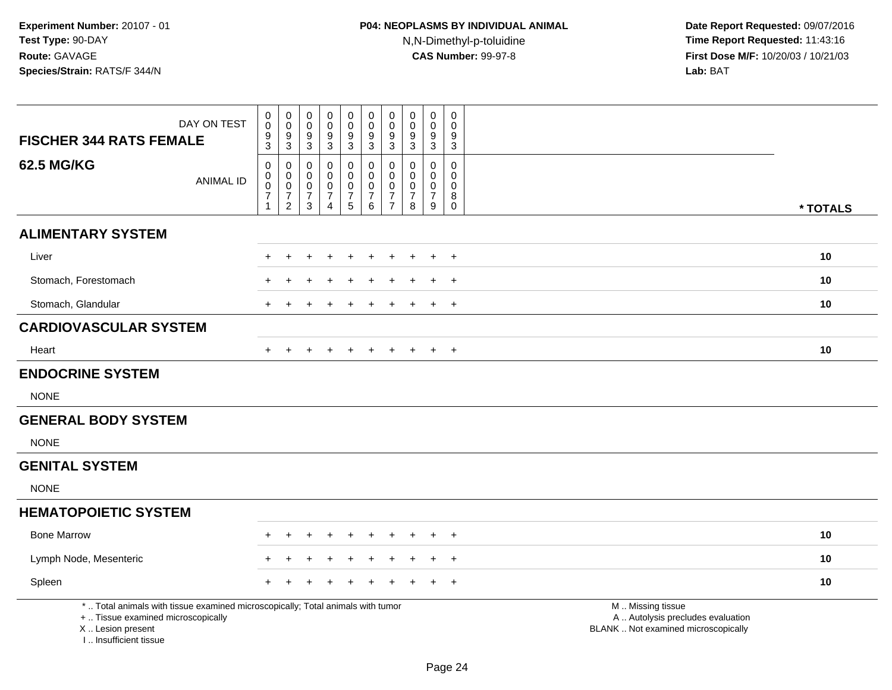| DAY ON TEST<br><b>FISCHER 344 RATS FEMALE</b>                                                                                                                       | $\boldsymbol{0}$<br>$\mathbf 0$<br>$\frac{9}{3}$      | $\pmb{0}$<br>$\,0\,$<br>$9\,$<br>$\overline{3}$                           | 0<br>$\pmb{0}$<br>9<br>$\mathbf{3}$ | $\pmb{0}$<br>$\mathbf 0$<br>9<br>$\sqrt{3}$                       | $\pmb{0}$<br>$\pmb{0}$<br>$\frac{9}{3}$              | $\mathbf 0$<br>$\mathsf{O}\xspace$<br>9<br>$\overline{3}$     | $\boldsymbol{0}$<br>$\pmb{0}$<br>9<br>$\overline{3}$                               | 0<br>$\mathbf 0$<br>9<br>$\sqrt{3}$                          | $\pmb{0}$<br>$\mathbf 0$<br>9<br>$\sqrt{3}$                  | $\pmb{0}$<br>$\Omega$<br>9<br>$\overline{3}$              |                                                                                               |          |
|---------------------------------------------------------------------------------------------------------------------------------------------------------------------|-------------------------------------------------------|---------------------------------------------------------------------------|-------------------------------------|-------------------------------------------------------------------|------------------------------------------------------|---------------------------------------------------------------|------------------------------------------------------------------------------------|--------------------------------------------------------------|--------------------------------------------------------------|-----------------------------------------------------------|-----------------------------------------------------------------------------------------------|----------|
| <b>62.5 MG/KG</b><br><b>ANIMAL ID</b>                                                                                                                               | $\mathsf 0$<br>0<br>$\pmb{0}$<br>$\overline{7}$<br>-1 | $\pmb{0}$<br>$\mathbf 0$<br>$\,0\,$<br>$\boldsymbol{7}$<br>$\overline{2}$ | 0<br>0<br>0<br>7<br>$\mathfrak{S}$  | 0<br>$\mathbf 0$<br>$\pmb{0}$<br>$\overline{7}$<br>$\overline{4}$ | $\pmb{0}$<br>0<br>$\pmb{0}$<br>$\boldsymbol{7}$<br>5 | 0<br>$\mathbf{0}$<br>$\mathbf 0$<br>$\overline{7}$<br>$\,6\,$ | $\mathbf 0$<br>$\mathbf 0$<br>$\boldsymbol{0}$<br>$\overline{7}$<br>$\overline{7}$ | 0<br>$\mathbf 0$<br>$\mathbf 0$<br>$\overline{7}$<br>$\,8\,$ | $\pmb{0}$<br>$\mathbf 0$<br>$\pmb{0}$<br>$\overline{7}$<br>9 | 0<br>$\mathbf 0$<br>$\mathsf{O}\xspace$<br>8<br>$\pmb{0}$ |                                                                                               | * TOTALS |
| <b>ALIMENTARY SYSTEM</b>                                                                                                                                            |                                                       |                                                                           |                                     |                                                                   |                                                      |                                                               |                                                                                    |                                                              |                                                              |                                                           |                                                                                               |          |
| Liver                                                                                                                                                               |                                                       |                                                                           |                                     |                                                                   |                                                      |                                                               |                                                                                    |                                                              |                                                              | $\pm$                                                     |                                                                                               | 10       |
| Stomach, Forestomach                                                                                                                                                |                                                       |                                                                           |                                     |                                                                   |                                                      |                                                               |                                                                                    |                                                              |                                                              | $\pm$                                                     |                                                                                               | 10       |
| Stomach, Glandular                                                                                                                                                  | $+$                                                   |                                                                           |                                     |                                                                   |                                                      |                                                               |                                                                                    |                                                              |                                                              | $\overline{+}$                                            |                                                                                               | 10       |
| <b>CARDIOVASCULAR SYSTEM</b>                                                                                                                                        |                                                       |                                                                           |                                     |                                                                   |                                                      |                                                               |                                                                                    |                                                              |                                                              |                                                           |                                                                                               |          |
| Heart                                                                                                                                                               |                                                       |                                                                           |                                     |                                                                   |                                                      | $\div$                                                        |                                                                                    |                                                              |                                                              | $+$                                                       |                                                                                               | 10       |
| <b>ENDOCRINE SYSTEM</b>                                                                                                                                             |                                                       |                                                                           |                                     |                                                                   |                                                      |                                                               |                                                                                    |                                                              |                                                              |                                                           |                                                                                               |          |
| <b>NONE</b>                                                                                                                                                         |                                                       |                                                                           |                                     |                                                                   |                                                      |                                                               |                                                                                    |                                                              |                                                              |                                                           |                                                                                               |          |
| <b>GENERAL BODY SYSTEM</b>                                                                                                                                          |                                                       |                                                                           |                                     |                                                                   |                                                      |                                                               |                                                                                    |                                                              |                                                              |                                                           |                                                                                               |          |
| <b>NONE</b>                                                                                                                                                         |                                                       |                                                                           |                                     |                                                                   |                                                      |                                                               |                                                                                    |                                                              |                                                              |                                                           |                                                                                               |          |
| <b>GENITAL SYSTEM</b>                                                                                                                                               |                                                       |                                                                           |                                     |                                                                   |                                                      |                                                               |                                                                                    |                                                              |                                                              |                                                           |                                                                                               |          |
| <b>NONE</b>                                                                                                                                                         |                                                       |                                                                           |                                     |                                                                   |                                                      |                                                               |                                                                                    |                                                              |                                                              |                                                           |                                                                                               |          |
| <b>HEMATOPOIETIC SYSTEM</b>                                                                                                                                         |                                                       |                                                                           |                                     |                                                                   |                                                      |                                                               |                                                                                    |                                                              |                                                              |                                                           |                                                                                               |          |
| <b>Bone Marrow</b>                                                                                                                                                  |                                                       |                                                                           |                                     |                                                                   |                                                      |                                                               |                                                                                    |                                                              |                                                              | $\ddot{}$                                                 |                                                                                               | 10       |
| Lymph Node, Mesenteric                                                                                                                                              |                                                       |                                                                           |                                     |                                                                   |                                                      |                                                               |                                                                                    |                                                              |                                                              | $\ddot{}$                                                 |                                                                                               | 10       |
| Spleen                                                                                                                                                              |                                                       |                                                                           |                                     |                                                                   |                                                      |                                                               |                                                                                    |                                                              |                                                              | $\ddot{}$                                                 |                                                                                               | 10       |
| *  Total animals with tissue examined microscopically; Total animals with tumor<br>+  Tissue examined microscopically<br>X  Lesion present<br>I Insufficient tissue |                                                       |                                                                           |                                     |                                                                   |                                                      |                                                               |                                                                                    |                                                              |                                                              |                                                           | M  Missing tissue<br>A  Autolysis precludes evaluation<br>BLANK  Not examined microscopically |          |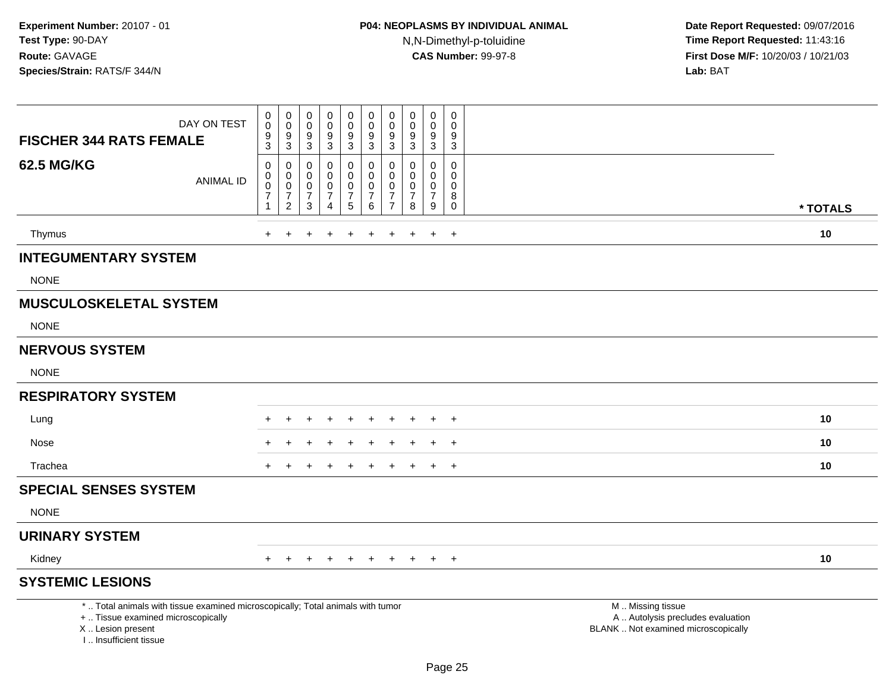| DAY ON TEST<br><b>FISCHER 344 RATS FEMALE</b>                                                                                                                       | 0<br>$\mathsf 0$<br>$\boldsymbol{9}$<br>3                       | 0<br>$\mathsf{O}\xspace$<br>$\boldsymbol{9}$<br>$\mathbf{3}$    | $\pmb{0}$<br>$\pmb{0}$<br>$\boldsymbol{9}$<br>$\sqrt{3}$       | $\pmb{0}$<br>$\pmb{0}$<br>$\boldsymbol{9}$<br>$\mathbf{3}$              | 0<br>$\mathsf 0$<br>$\boldsymbol{9}$<br>3                         | $\pmb{0}$<br>$\mathsf{O}\xspace$<br>$\boldsymbol{9}$<br>$\ensuremath{\mathsf{3}}$ | 0<br>$\pmb{0}$<br>9<br>$\mathbf{3}$             | $\pmb{0}$<br>0<br>$\boldsymbol{9}$<br>3                   | $\pmb{0}$<br>$\mathbf 0$<br>$\boldsymbol{9}$<br>$\mathbf{3}$     | 0<br>$\mathbf 0$<br>9<br>$\mathbf{3}$                         |                                                                                               |          |
|---------------------------------------------------------------------------------------------------------------------------------------------------------------------|-----------------------------------------------------------------|-----------------------------------------------------------------|----------------------------------------------------------------|-------------------------------------------------------------------------|-------------------------------------------------------------------|-----------------------------------------------------------------------------------|-------------------------------------------------|-----------------------------------------------------------|------------------------------------------------------------------|---------------------------------------------------------------|-----------------------------------------------------------------------------------------------|----------|
| <b>62.5 MG/KG</b><br><b>ANIMAL ID</b>                                                                                                                               | $\mathbf 0$<br>0<br>$\pmb{0}$<br>$\overline{7}$<br>$\mathbf{1}$ | 0<br>$\pmb{0}$<br>$\pmb{0}$<br>$\overline{7}$<br>$\overline{2}$ | $\mathbf 0$<br>$\mathbf 0$<br>$\pmb{0}$<br>$\overline{7}$<br>3 | $\pmb{0}$<br>$\pmb{0}$<br>$\pmb{0}$<br>$\overline{7}$<br>$\overline{4}$ | 0<br>$\mathsf 0$<br>$\pmb{0}$<br>$\overline{7}$<br>$\overline{5}$ | $\mathbf 0$<br>$\pmb{0}$<br>$\pmb{0}$<br>$\overline{7}$<br>6                      | 0<br>0<br>0<br>$\overline{7}$<br>$\overline{7}$ | $\Omega$<br>0<br>$\mathbf 0$<br>$\overline{7}$<br>$\,8\,$ | $\mathbf 0$<br>$\mathbf 0$<br>$\mathbf 0$<br>$\overline{7}$<br>9 | $\mathbf 0$<br>$\mathbf 0$<br>$\mathbf 0$<br>8<br>$\mathbf 0$ |                                                                                               | * TOTALS |
| Thymus                                                                                                                                                              | $+$                                                             |                                                                 |                                                                |                                                                         | $\ddot{}$                                                         | +                                                                                 | $\ddot{}$                                       | $\ddot{}$                                                 | $\ddot{}$                                                        | $+$                                                           |                                                                                               | 10       |
| <b>INTEGUMENTARY SYSTEM</b>                                                                                                                                         |                                                                 |                                                                 |                                                                |                                                                         |                                                                   |                                                                                   |                                                 |                                                           |                                                                  |                                                               |                                                                                               |          |
| <b>NONE</b>                                                                                                                                                         |                                                                 |                                                                 |                                                                |                                                                         |                                                                   |                                                                                   |                                                 |                                                           |                                                                  |                                                               |                                                                                               |          |
| <b>MUSCULOSKELETAL SYSTEM</b>                                                                                                                                       |                                                                 |                                                                 |                                                                |                                                                         |                                                                   |                                                                                   |                                                 |                                                           |                                                                  |                                                               |                                                                                               |          |
| <b>NONE</b>                                                                                                                                                         |                                                                 |                                                                 |                                                                |                                                                         |                                                                   |                                                                                   |                                                 |                                                           |                                                                  |                                                               |                                                                                               |          |
| <b>NERVOUS SYSTEM</b>                                                                                                                                               |                                                                 |                                                                 |                                                                |                                                                         |                                                                   |                                                                                   |                                                 |                                                           |                                                                  |                                                               |                                                                                               |          |
| <b>NONE</b>                                                                                                                                                         |                                                                 |                                                                 |                                                                |                                                                         |                                                                   |                                                                                   |                                                 |                                                           |                                                                  |                                                               |                                                                                               |          |
| <b>RESPIRATORY SYSTEM</b>                                                                                                                                           |                                                                 |                                                                 |                                                                |                                                                         |                                                                   |                                                                                   |                                                 |                                                           |                                                                  |                                                               |                                                                                               |          |
| Lung                                                                                                                                                                |                                                                 |                                                                 |                                                                |                                                                         | $\div$                                                            |                                                                                   |                                                 |                                                           | $\overline{ }$                                                   | $+$                                                           |                                                                                               | 10       |
| Nose                                                                                                                                                                |                                                                 |                                                                 |                                                                |                                                                         |                                                                   |                                                                                   |                                                 |                                                           |                                                                  |                                                               |                                                                                               | 10       |
| Trachea                                                                                                                                                             |                                                                 |                                                                 |                                                                |                                                                         |                                                                   |                                                                                   |                                                 |                                                           | $\div$                                                           | $\ddot{}$                                                     |                                                                                               | 10       |
| <b>SPECIAL SENSES SYSTEM</b>                                                                                                                                        |                                                                 |                                                                 |                                                                |                                                                         |                                                                   |                                                                                   |                                                 |                                                           |                                                                  |                                                               |                                                                                               |          |
| <b>NONE</b>                                                                                                                                                         |                                                                 |                                                                 |                                                                |                                                                         |                                                                   |                                                                                   |                                                 |                                                           |                                                                  |                                                               |                                                                                               |          |
| <b>URINARY SYSTEM</b>                                                                                                                                               |                                                                 |                                                                 |                                                                |                                                                         |                                                                   |                                                                                   |                                                 |                                                           |                                                                  |                                                               |                                                                                               |          |
| Kidney                                                                                                                                                              |                                                                 |                                                                 |                                                                | $\div$                                                                  | $\pm$                                                             | $+$                                                                               | $+$                                             | $+$                                                       | $+$                                                              | $+$                                                           |                                                                                               | 10       |
| <b>SYSTEMIC LESIONS</b>                                                                                                                                             |                                                                 |                                                                 |                                                                |                                                                         |                                                                   |                                                                                   |                                                 |                                                           |                                                                  |                                                               |                                                                                               |          |
| *  Total animals with tissue examined microscopically; Total animals with tumor<br>+  Tissue examined microscopically<br>X  Lesion present<br>I Insufficient tissue |                                                                 |                                                                 |                                                                |                                                                         |                                                                   |                                                                                   |                                                 |                                                           |                                                                  |                                                               | M  Missing tissue<br>A  Autolysis precludes evaluation<br>BLANK  Not examined microscopically |          |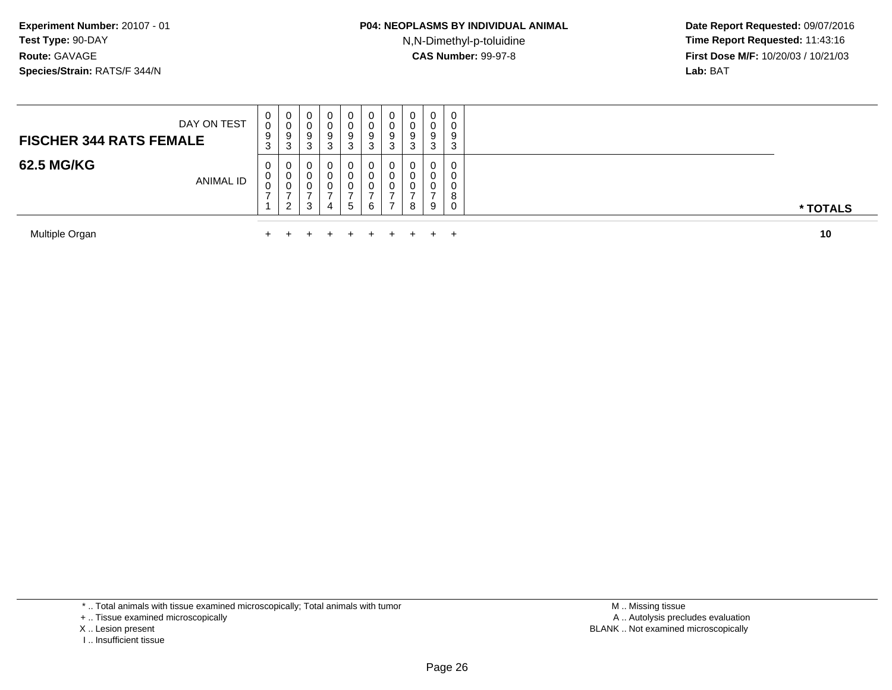N,N-Dimethyl-p-toluidine

 **Date Report Requested:** 09/07/2016 **Time Report Requested:** 11:43:16 **First Dose M/F:** 10/20/03 / 10/21/03<br>**Lab:** BAT **Lab:** BAT

| Multiple Organ                                |             |                             |                  |                  | $\pm$                      | $+$                     |         |        | $\pm$                       |                                 | 10       |
|-----------------------------------------------|-------------|-----------------------------|------------------|------------------|----------------------------|-------------------------|---------|--------|-----------------------------|---------------------------------|----------|
| 62.5 MG/KG<br><b>ANIMAL ID</b>                | U<br>U<br>v | $\mathbf{0}$<br>0<br>U<br>ົ | U<br>U<br>3      | 0<br>U<br>0<br>4 | 0<br>U<br>U<br>$5^{\circ}$ | 6                       |         | 8      | 0<br>0<br>0<br>9            | 0<br>0<br>$\mathbf 0$<br>8<br>0 | * TOTALS |
| DAY ON TEST<br><b>FISCHER 344 RATS FEMALE</b> | U<br>9<br>ত | 0<br>v<br>9<br>ີ<br>J       | U<br>9<br>ົ<br>J | 0<br>O<br>9<br>3 | 0<br>U<br>9<br>C.<br>J     | <b>U</b><br>9<br>⌒<br>◡ | 9<br>ر. | g<br>د | $\mathbf{0}$<br>0<br>9<br>3 | 0<br>0<br>9<br>3                |          |

Multiple Organn  $+$ 

\* .. Total animals with tissue examined microscopically; Total animals with tumor

+ .. Tissue examined microscopically

X .. Lesion present

I .. Insufficient tissue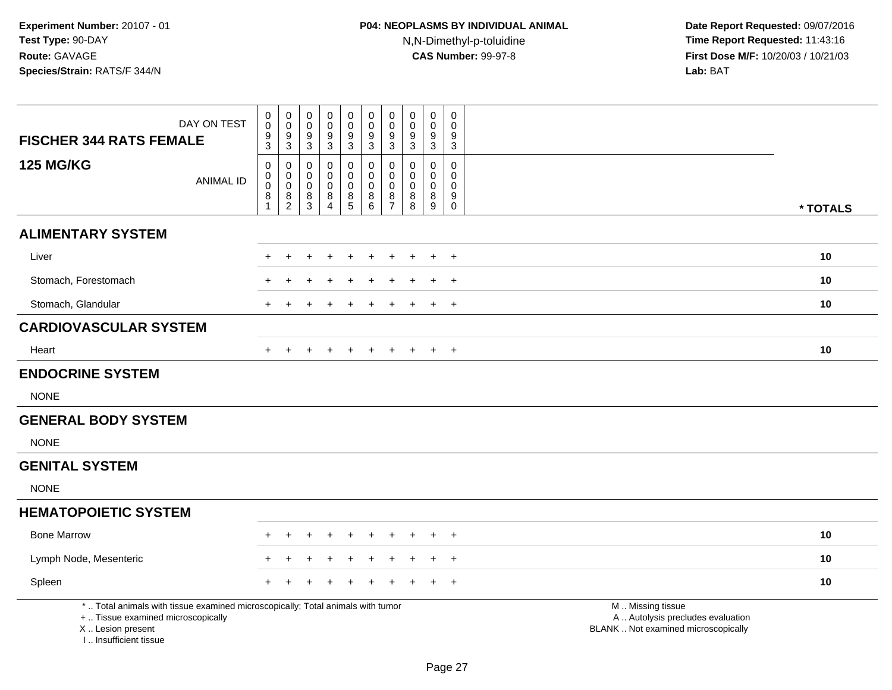| <b>FISCHER 344 RATS FEMALE</b>                                                   | DAY ON TEST                                                                     | $\pmb{0}$<br>$\mathbf 0$<br>9<br>3          | $\pmb{0}$<br>$\pmb{0}$<br>9<br>$\mathfrak{S}$ | 0<br>$\pmb{0}$<br>9<br>3 | $\pmb{0}$<br>$\pmb{0}$<br>9<br>$\mathbf{3}$ | 0<br>$\boldsymbol{0}$<br>$\overline{9}$<br>$\mathbf{3}$                  | $\pmb{0}$<br>$\pmb{0}$<br>$\boldsymbol{9}$<br>$\overline{3}$ | $\mathbf 0$<br>$\mathbf 0$<br>9<br>$\overline{3}$ | $\pmb{0}$<br>$\mathbf 0$<br>$9\,$<br>$\mathbf{3}$ | 0<br>$\pmb{0}$<br>$\boldsymbol{9}$<br>$\sqrt{3}$ | 0<br>$\mathbf 0$<br>9<br>$\mathbf{3}$       |                                                                                               |          |
|----------------------------------------------------------------------------------|---------------------------------------------------------------------------------|---------------------------------------------|-----------------------------------------------|--------------------------|---------------------------------------------|--------------------------------------------------------------------------|--------------------------------------------------------------|---------------------------------------------------|---------------------------------------------------|--------------------------------------------------|---------------------------------------------|-----------------------------------------------------------------------------------------------|----------|
| <b>125 MG/KG</b>                                                                 | <b>ANIMAL ID</b>                                                                | $\mathbf 0$<br>$\mathsf 0$<br>$\Omega$<br>8 | 0<br>$\boldsymbol{0}$<br>$\pmb{0}$<br>8       | 0<br>0<br>0<br>$\bf 8$   | $\mathbf 0$<br>$\mathbf 0$<br>0<br>8        | 0<br>$\mathbf 0$<br>$\mathbf 0$<br>$\begin{array}{c} 8 \\ 5 \end{array}$ | 0<br>$\mathbf 0$<br>$\pmb{0}$<br>$^8_6$                      | 0<br>$\mathbf 0$<br>0<br>$\frac{8}{7}$            | $\mathbf{0}$<br>$\Omega$<br>$\Omega$<br>8         | 0<br>$\mathbf 0$<br>$\mathbf 0$<br>$\, 8$        | $\mathbf 0$<br>$\mathbf 0$<br>$\Omega$<br>9 |                                                                                               |          |
|                                                                                  |                                                                                 | 1                                           | $\overline{2}$                                | $\mathbf{3}$             | $\overline{4}$                              |                                                                          |                                                              |                                                   | 8                                                 | $9\,$                                            | $\mathbf 0$                                 |                                                                                               | * TOTALS |
| <b>ALIMENTARY SYSTEM</b>                                                         |                                                                                 |                                             |                                               |                          |                                             |                                                                          |                                                              |                                                   |                                                   |                                                  |                                             |                                                                                               |          |
| Liver                                                                            |                                                                                 |                                             |                                               |                          | +                                           | ÷                                                                        |                                                              |                                                   |                                                   | $\ddot{+}$                                       | $+$                                         |                                                                                               | 10       |
| Stomach, Forestomach                                                             |                                                                                 |                                             |                                               |                          | +                                           | $\pm$                                                                    | ÷                                                            |                                                   |                                                   | $+$                                              | $+$                                         |                                                                                               | 10       |
| Stomach, Glandular                                                               |                                                                                 |                                             |                                               |                          |                                             |                                                                          |                                                              |                                                   |                                                   | $\div$                                           | $+$                                         |                                                                                               | 10       |
| <b>CARDIOVASCULAR SYSTEM</b>                                                     |                                                                                 |                                             |                                               |                          |                                             |                                                                          |                                                              |                                                   |                                                   |                                                  |                                             |                                                                                               |          |
| Heart                                                                            |                                                                                 | $+$                                         | $\pm$                                         |                          | $\overline{+}$                              | $\ddot{}$                                                                | $\pm$                                                        | $+$                                               | $\pm$                                             | $+$                                              | $+$                                         |                                                                                               | 10       |
| <b>ENDOCRINE SYSTEM</b>                                                          |                                                                                 |                                             |                                               |                          |                                             |                                                                          |                                                              |                                                   |                                                   |                                                  |                                             |                                                                                               |          |
| <b>NONE</b>                                                                      |                                                                                 |                                             |                                               |                          |                                             |                                                                          |                                                              |                                                   |                                                   |                                                  |                                             |                                                                                               |          |
| <b>GENERAL BODY SYSTEM</b>                                                       |                                                                                 |                                             |                                               |                          |                                             |                                                                          |                                                              |                                                   |                                                   |                                                  |                                             |                                                                                               |          |
| <b>NONE</b>                                                                      |                                                                                 |                                             |                                               |                          |                                             |                                                                          |                                                              |                                                   |                                                   |                                                  |                                             |                                                                                               |          |
| <b>GENITAL SYSTEM</b>                                                            |                                                                                 |                                             |                                               |                          |                                             |                                                                          |                                                              |                                                   |                                                   |                                                  |                                             |                                                                                               |          |
| <b>NONE</b>                                                                      |                                                                                 |                                             |                                               |                          |                                             |                                                                          |                                                              |                                                   |                                                   |                                                  |                                             |                                                                                               |          |
| <b>HEMATOPOIETIC SYSTEM</b>                                                      |                                                                                 |                                             |                                               |                          |                                             |                                                                          |                                                              |                                                   |                                                   |                                                  |                                             |                                                                                               |          |
| <b>Bone Marrow</b>                                                               |                                                                                 |                                             | ÷                                             |                          | $\div$                                      | $\ddot{}$                                                                | $\div$                                                       |                                                   | ÷                                                 | $\ddot{}$                                        | $+$                                         |                                                                                               | 10       |
| Lymph Node, Mesenteric                                                           |                                                                                 |                                             |                                               |                          |                                             |                                                                          |                                                              |                                                   |                                                   |                                                  | $+$                                         |                                                                                               | 10       |
| Spleen                                                                           |                                                                                 |                                             |                                               |                          |                                             |                                                                          |                                                              |                                                   |                                                   |                                                  | $\ddot{}$                                   |                                                                                               | 10       |
| +  Tissue examined microscopically<br>X  Lesion present<br>I Insufficient tissue | *  Total animals with tissue examined microscopically; Total animals with tumor |                                             |                                               |                          |                                             |                                                                          |                                                              |                                                   |                                                   |                                                  |                                             | M  Missing tissue<br>A  Autolysis precludes evaluation<br>BLANK  Not examined microscopically |          |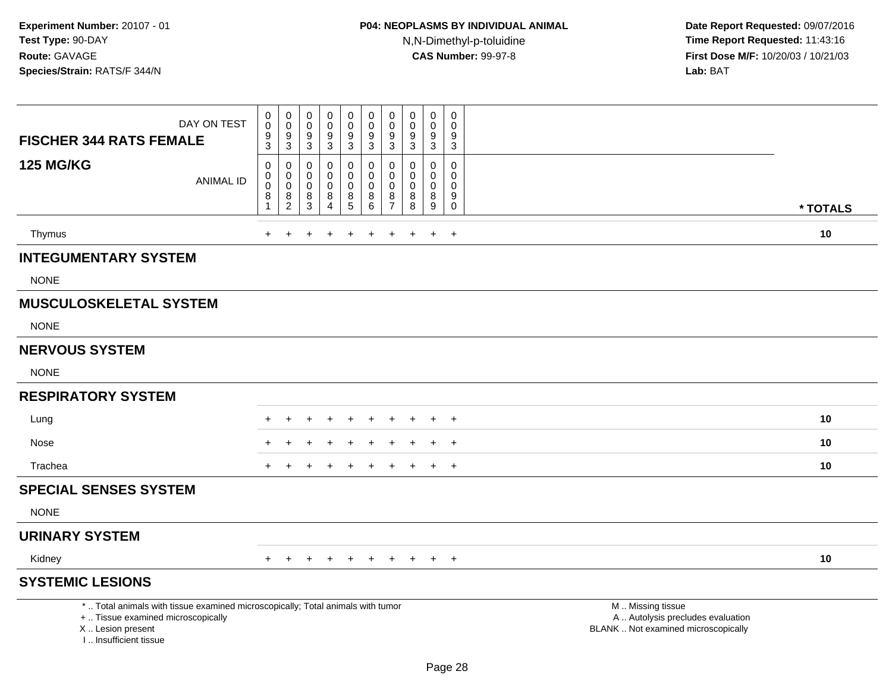| DAY ON TEST<br><b>FISCHER 344 RATS FEMALE</b>                                                                                                                       | $\pmb{0}$<br>$\mathbf 0$<br>$\boldsymbol{9}$<br>$\overline{3}$     | $\mathbf 0$<br>$\mathbf 0$<br>9<br>$\mathsf 3$ | $\boldsymbol{0}$<br>$\mathsf{O}\xspace$<br>9<br>$\overline{3}$ | 0<br>$\pmb{0}$<br>$\boldsymbol{9}$<br>$\sqrt{3}$ | $\mathbf 0$<br>$\mathbf 0$<br>$\boldsymbol{9}$<br>$\mathbf{3}$ | 0<br>0<br>9<br>$\mathbf{3}$  | 0<br>$\pmb{0}$<br>$9\,$<br>$\sqrt{3}$                                  | $\mathbf 0$<br>$\mathbf 0$<br>9<br>3              | $\mathbf 0$<br>$\pmb{0}$<br>9<br>$\overline{3}$ | $\mathbf 0$<br>$\mathbf 0$<br>9<br>$\mathbf{3}$     |                                                                                               |          |
|---------------------------------------------------------------------------------------------------------------------------------------------------------------------|--------------------------------------------------------------------|------------------------------------------------|----------------------------------------------------------------|--------------------------------------------------|----------------------------------------------------------------|------------------------------|------------------------------------------------------------------------|---------------------------------------------------|-------------------------------------------------|-----------------------------------------------------|-----------------------------------------------------------------------------------------------|----------|
| <b>125 MG/KG</b><br><b>ANIMAL ID</b>                                                                                                                                | $\pmb{0}$<br>$\mathbf 0$<br>$\pmb{0}$<br>$\bf 8$<br>$\overline{1}$ | 0<br>0<br>$\pmb{0}$<br>8<br>$\overline{2}$     | $\mathbf 0$<br>$\mathbf 0$<br>$\mathbf 0$<br>8<br>3            | 0<br>0<br>$\pmb{0}$<br>8<br>4                    | 0<br>$\mathbf 0$<br>$\mathbf 0$<br>$\,8\,$<br>5                | $\Omega$<br>0<br>0<br>8<br>6 | $\mathbf 0$<br>$\mathbf 0$<br>$\mathbf 0$<br>$\bf 8$<br>$\overline{7}$ | $\mathbf{0}$<br>$\Omega$<br>$\mathbf 0$<br>8<br>8 | 0<br>$\mathbf 0$<br>$\mathbf 0$<br>$\bf 8$<br>9 | $\mathbf 0$<br>$\mathbf 0$<br>0<br>9<br>$\mathbf 0$ |                                                                                               | * TOTALS |
| Thymus                                                                                                                                                              | $\ddot{}$                                                          |                                                |                                                                |                                                  |                                                                |                              |                                                                        | $\ddot{}$                                         | $+$                                             | $\ddot{}$                                           |                                                                                               | 10       |
| <b>INTEGUMENTARY SYSTEM</b>                                                                                                                                         |                                                                    |                                                |                                                                |                                                  |                                                                |                              |                                                                        |                                                   |                                                 |                                                     |                                                                                               |          |
| <b>NONE</b>                                                                                                                                                         |                                                                    |                                                |                                                                |                                                  |                                                                |                              |                                                                        |                                                   |                                                 |                                                     |                                                                                               |          |
| <b>MUSCULOSKELETAL SYSTEM</b>                                                                                                                                       |                                                                    |                                                |                                                                |                                                  |                                                                |                              |                                                                        |                                                   |                                                 |                                                     |                                                                                               |          |
| <b>NONE</b>                                                                                                                                                         |                                                                    |                                                |                                                                |                                                  |                                                                |                              |                                                                        |                                                   |                                                 |                                                     |                                                                                               |          |
| <b>NERVOUS SYSTEM</b>                                                                                                                                               |                                                                    |                                                |                                                                |                                                  |                                                                |                              |                                                                        |                                                   |                                                 |                                                     |                                                                                               |          |
| <b>NONE</b>                                                                                                                                                         |                                                                    |                                                |                                                                |                                                  |                                                                |                              |                                                                        |                                                   |                                                 |                                                     |                                                                                               |          |
| <b>RESPIRATORY SYSTEM</b>                                                                                                                                           |                                                                    |                                                |                                                                |                                                  |                                                                |                              |                                                                        |                                                   |                                                 |                                                     |                                                                                               |          |
| Lung                                                                                                                                                                |                                                                    |                                                |                                                                |                                                  |                                                                |                              |                                                                        |                                                   | $\ddot{}$                                       | $\overline{+}$                                      |                                                                                               | 10       |
| Nose                                                                                                                                                                |                                                                    |                                                |                                                                |                                                  |                                                                |                              |                                                                        |                                                   |                                                 | $\ddot{}$                                           |                                                                                               | 10       |
| Trachea                                                                                                                                                             |                                                                    |                                                |                                                                |                                                  |                                                                |                              |                                                                        |                                                   | $\ddot{}$                                       | $\overline{+}$                                      |                                                                                               | 10       |
| <b>SPECIAL SENSES SYSTEM</b>                                                                                                                                        |                                                                    |                                                |                                                                |                                                  |                                                                |                              |                                                                        |                                                   |                                                 |                                                     |                                                                                               |          |
| <b>NONE</b>                                                                                                                                                         |                                                                    |                                                |                                                                |                                                  |                                                                |                              |                                                                        |                                                   |                                                 |                                                     |                                                                                               |          |
| <b>URINARY SYSTEM</b>                                                                                                                                               |                                                                    |                                                |                                                                |                                                  |                                                                |                              |                                                                        |                                                   |                                                 |                                                     |                                                                                               |          |
| Kidney                                                                                                                                                              | $\pm$                                                              |                                                |                                                                | $\div$                                           | $\ddot{}$                                                      | $\ddot{}$                    | $\pm$                                                                  | $+$                                               | $+$                                             | $+$                                                 |                                                                                               | 10       |
| <b>SYSTEMIC LESIONS</b>                                                                                                                                             |                                                                    |                                                |                                                                |                                                  |                                                                |                              |                                                                        |                                                   |                                                 |                                                     |                                                                                               |          |
| *  Total animals with tissue examined microscopically; Total animals with tumor<br>+  Tissue examined microscopically<br>X  Lesion present<br>I Insufficient tissue |                                                                    |                                                |                                                                |                                                  |                                                                |                              |                                                                        |                                                   |                                                 |                                                     | M  Missing tissue<br>A  Autolysis precludes evaluation<br>BLANK  Not examined microscopically |          |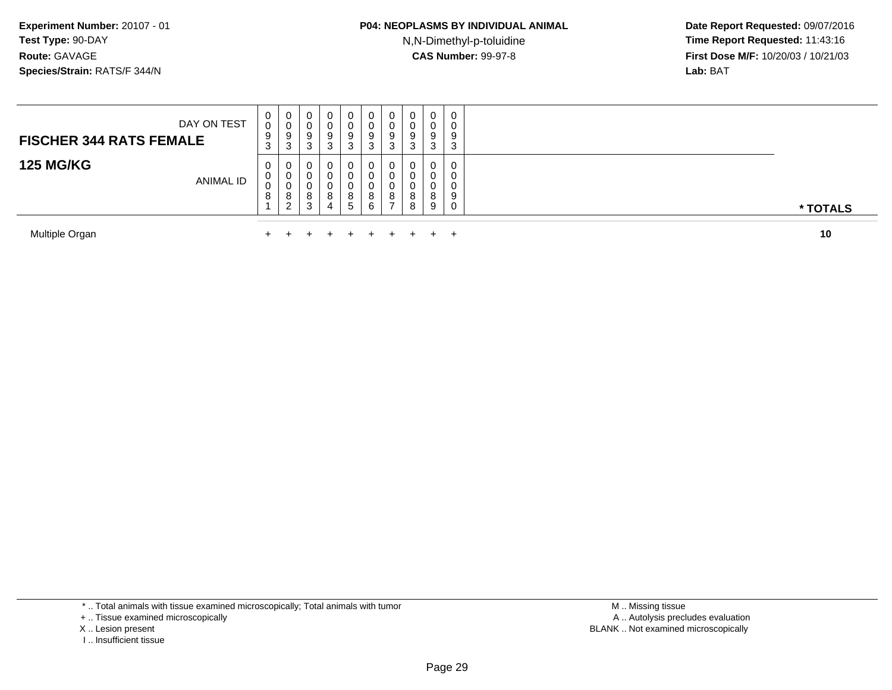N,N-Dimethyl-p-toluidine

 **Date Report Requested:** 09/07/2016 **Time Report Requested:** 11:43:16 **First Dose M/F:** 10/20/03 / 10/21/03<br>**Lab:** BAT **Lab:** BAT

| Multiple Organ                 |             |                  | $\pm$                                           |                                   | $+$                   | $\pm$                 |                    | $\pm$                 | $\pm$ .               | $\leftarrow$            |                       | 10       |
|--------------------------------|-------------|------------------|-------------------------------------------------|-----------------------------------|-----------------------|-----------------------|--------------------|-----------------------|-----------------------|-------------------------|-----------------------|----------|
| <b>125 MG/KG</b>               | ANIMAL ID   | 0<br>U<br>◡<br>8 | υ<br>U<br>U<br>Ω<br>o<br>$\sqrt{2}$<br><u>_</u> | 0<br>U<br>୪<br>3                  | 0<br>0<br>0<br>8<br>4 | 0<br>0<br>U<br>8<br>5 | 6                  | υ<br>υ<br>8           | ິ<br>8                | 0<br>0<br>$\circ$<br>-9 | 0<br>υ<br>υ<br>9<br>0 | * TOTALS |
| <b>FISCHER 344 RATS FEMALE</b> | DAY ON TEST | 0<br>0<br>9<br>3 | U<br>v<br>9<br>3                                | $\mathbf{0}$<br>U<br>9<br>ົ<br>J. | 0<br>0<br>9<br>3      | 0<br>υ<br>9<br>◠<br>◡ | υ<br>9<br><b>ت</b> | U<br>ν<br>9<br>◠<br>C | U<br>U<br>9<br>◠<br>J | 0<br>9<br>3             | 0<br>U<br>9<br>3      |          |

Multiple Organn  $+$ 

\* .. Total animals with tissue examined microscopically; Total animals with tumor

+ .. Tissue examined microscopically

X .. Lesion present

I .. Insufficient tissue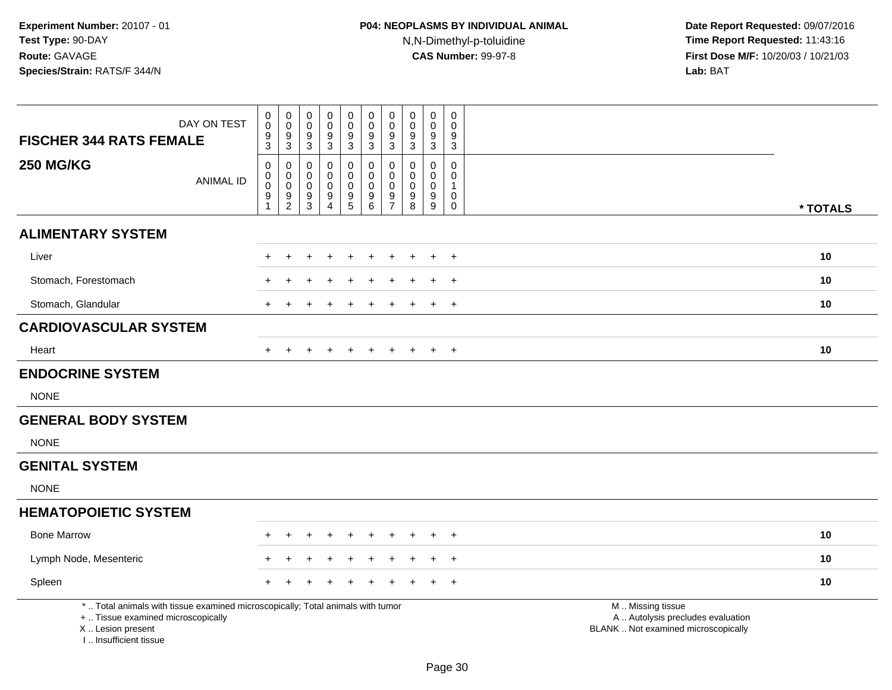| DAY ON TEST<br><b>FISCHER 344 RATS FEMALE</b>                                                                                                                       | $\pmb{0}$<br>$\mathsf{O}\xspace$<br>9<br>$\overline{3}$     | $\pmb{0}$<br>$\pmb{0}$<br>9<br>$\mathbf 3$       | $_{\rm 0}^{\rm 0}$<br>$\boldsymbol{9}$<br>$\overline{3}$   | 0<br>$\boldsymbol{0}$<br>$\overline{9}$<br>$\overline{3}$ | $_{\rm 0}^{\rm 0}$<br>$\overline{9}$<br>$\overline{3}$ | $\pmb{0}$<br>$\pmb{0}$<br>9<br>$\sqrt{3}$ | $\pmb{0}$<br>$\pmb{0}$<br>9<br>3                 | $\pmb{0}$<br>$\mathbf 0$<br>9<br>$\mathbf{3}$ | 0<br>$\mathbf 0$<br>9<br>$\mathbf{3}$               | $\mathbf 0$<br>$\mathbf 0$<br>9<br>$\mathbf{3}$ |                                                                                               |          |
|---------------------------------------------------------------------------------------------------------------------------------------------------------------------|-------------------------------------------------------------|--------------------------------------------------|------------------------------------------------------------|-----------------------------------------------------------|--------------------------------------------------------|-------------------------------------------|--------------------------------------------------|-----------------------------------------------|-----------------------------------------------------|-------------------------------------------------|-----------------------------------------------------------------------------------------------|----------|
| <b>250 MG/KG</b><br><b>ANIMAL ID</b>                                                                                                                                | $\mathbf 0$<br>$\mathbf 0$<br>$\pmb{0}$<br>$\boldsymbol{9}$ | 0<br>$\mathbf 0$<br>$\mathbf 0$<br>$\frac{9}{2}$ | $\mathbf 0$<br>$\mathbf 0$<br>$\mathbf 0$<br>$\frac{9}{3}$ | 0<br>$\mathbf 0$<br>0<br>$9\,$                            | 0<br>$\mathsf{O}$<br>$\pmb{0}$<br>$\frac{9}{5}$        | 0<br>$\pmb{0}$<br>0<br>$^9$ 6             | 0<br>$\mathbf 0$<br>$\mathbf 0$<br>$\frac{9}{7}$ | $\mathbf 0$<br>$\Omega$<br>$\mathbf 0$<br>9   | 0<br>$\mathbf 0$<br>$\mathbf 0$<br>$\boldsymbol{9}$ | $\mathbf 0$<br>$\mathbf 0$<br>1<br>$\mathbf 0$  |                                                                                               |          |
|                                                                                                                                                                     | $\mathbf{1}$                                                |                                                  |                                                            | 4                                                         |                                                        |                                           |                                                  | 8                                             | 9                                                   | $\mathbf 0$                                     |                                                                                               | * TOTALS |
| <b>ALIMENTARY SYSTEM</b>                                                                                                                                            |                                                             |                                                  |                                                            |                                                           |                                                        |                                           |                                                  |                                               |                                                     |                                                 |                                                                                               |          |
| Liver                                                                                                                                                               |                                                             |                                                  |                                                            |                                                           | ÷                                                      |                                           |                                                  |                                               | $+$                                                 | $+$                                             |                                                                                               | 10       |
| Stomach, Forestomach                                                                                                                                                |                                                             |                                                  |                                                            |                                                           |                                                        |                                           |                                                  |                                               | $\ddot{}$                                           | $+$                                             |                                                                                               | 10       |
| Stomach, Glandular                                                                                                                                                  |                                                             |                                                  |                                                            |                                                           |                                                        |                                           |                                                  |                                               | $\ddot{}$                                           | $\overline{+}$                                  |                                                                                               | 10       |
| <b>CARDIOVASCULAR SYSTEM</b>                                                                                                                                        |                                                             |                                                  |                                                            |                                                           |                                                        |                                           |                                                  |                                               |                                                     |                                                 |                                                                                               |          |
| Heart                                                                                                                                                               |                                                             |                                                  |                                                            |                                                           |                                                        |                                           |                                                  |                                               | $+$                                                 | $+$                                             |                                                                                               | 10       |
| <b>ENDOCRINE SYSTEM</b>                                                                                                                                             |                                                             |                                                  |                                                            |                                                           |                                                        |                                           |                                                  |                                               |                                                     |                                                 |                                                                                               |          |
| <b>NONE</b>                                                                                                                                                         |                                                             |                                                  |                                                            |                                                           |                                                        |                                           |                                                  |                                               |                                                     |                                                 |                                                                                               |          |
| <b>GENERAL BODY SYSTEM</b>                                                                                                                                          |                                                             |                                                  |                                                            |                                                           |                                                        |                                           |                                                  |                                               |                                                     |                                                 |                                                                                               |          |
| <b>NONE</b>                                                                                                                                                         |                                                             |                                                  |                                                            |                                                           |                                                        |                                           |                                                  |                                               |                                                     |                                                 |                                                                                               |          |
| <b>GENITAL SYSTEM</b>                                                                                                                                               |                                                             |                                                  |                                                            |                                                           |                                                        |                                           |                                                  |                                               |                                                     |                                                 |                                                                                               |          |
| <b>NONE</b>                                                                                                                                                         |                                                             |                                                  |                                                            |                                                           |                                                        |                                           |                                                  |                                               |                                                     |                                                 |                                                                                               |          |
| <b>HEMATOPOIETIC SYSTEM</b>                                                                                                                                         |                                                             |                                                  |                                                            |                                                           |                                                        |                                           |                                                  |                                               |                                                     |                                                 |                                                                                               |          |
| <b>Bone Marrow</b>                                                                                                                                                  |                                                             |                                                  |                                                            |                                                           |                                                        |                                           |                                                  |                                               |                                                     | $\overline{+}$                                  |                                                                                               | 10       |
| Lymph Node, Mesenteric                                                                                                                                              |                                                             |                                                  |                                                            |                                                           |                                                        |                                           |                                                  |                                               |                                                     | $\ddot{}$                                       |                                                                                               | 10       |
| Spleen                                                                                                                                                              |                                                             |                                                  |                                                            |                                                           |                                                        |                                           |                                                  |                                               |                                                     | $\div$                                          |                                                                                               | 10       |
| *  Total animals with tissue examined microscopically; Total animals with tumor<br>+  Tissue examined microscopically<br>X  Lesion present<br>I Insufficient tissue |                                                             |                                                  |                                                            |                                                           |                                                        |                                           |                                                  |                                               |                                                     |                                                 | M  Missing tissue<br>A  Autolysis precludes evaluation<br>BLANK  Not examined microscopically |          |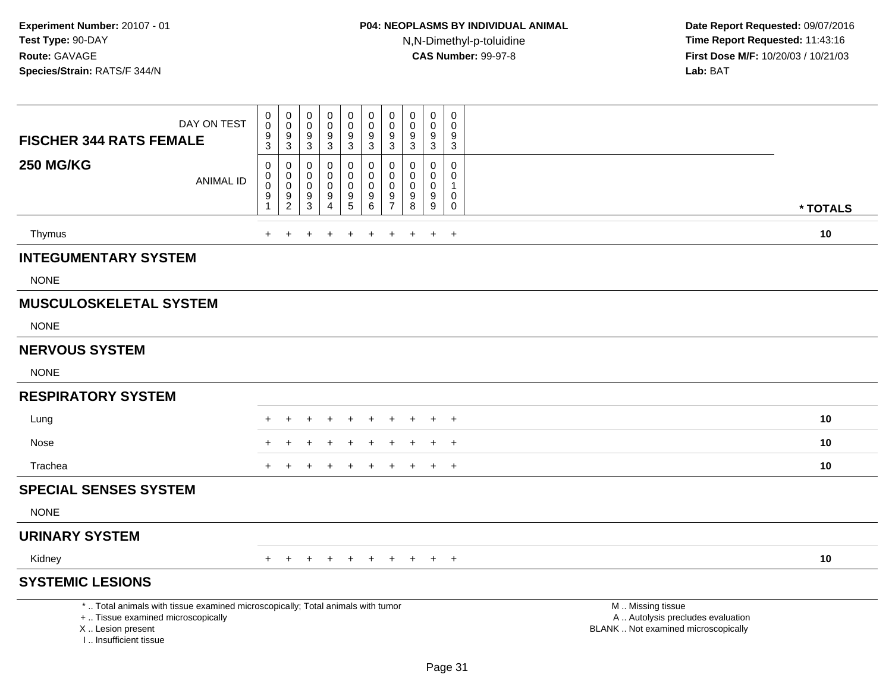| DAY ON TEST<br><b>FISCHER 344 RATS FEMALE</b>                                                                                                                       | $\pmb{0}$<br>$\overline{0}$<br>$\frac{9}{3}$                   | $\mathbf 0$<br>$\overline{0}$<br>$\boldsymbol{9}$<br>$\overline{3}$           | 0<br>$\mathbf 0$<br>$\boldsymbol{9}$<br>3 | $\mathbf 0$<br>$\mathbf 0$<br>$\boldsymbol{9}$<br>$\ensuremath{\mathsf{3}}$ | 0<br>$\pmb{0}$<br>$\boldsymbol{9}$<br>$\mathbf{3}$ | 0<br>0<br>9<br>3                                         | $\pmb{0}$<br>$\mathbf 0$<br>$9\,$<br>3                         | $\pmb{0}$<br>0<br>$\boldsymbol{9}$<br>$\mathbf 3$        | $\mathbf 0$<br>$\mathbf 0$<br>$\boldsymbol{9}$<br>$\overline{3}$ | $\mathbf 0$<br>$\mathbf 0$<br>9<br>$\mathbf{3}$ |                                                                                               |          |
|---------------------------------------------------------------------------------------------------------------------------------------------------------------------|----------------------------------------------------------------|-------------------------------------------------------------------------------|-------------------------------------------|-----------------------------------------------------------------------------|----------------------------------------------------|----------------------------------------------------------|----------------------------------------------------------------|----------------------------------------------------------|------------------------------------------------------------------|-------------------------------------------------|-----------------------------------------------------------------------------------------------|----------|
| <b>250 MG/KG</b><br><b>ANIMAL ID</b>                                                                                                                                | 0<br>$\boldsymbol{0}$<br>$\overline{0}$<br>9<br>$\overline{1}$ | $\mathbf 0$<br>$\pmb{0}$<br>$\mathbf 0$<br>$\boldsymbol{9}$<br>$\overline{2}$ | 0<br>0<br>$\mathbf 0$<br>9<br>3           | 0<br>$\Omega$<br>$\mathbf 0$<br>9<br>$\overline{4}$                         | $\mathbf 0$<br>0<br>$\mathsf 0$<br>9<br>5          | 0<br>0<br>$\mathsf{O}\xspace$<br>$9\,$<br>$6\phantom{a}$ | $\mathbf 0$<br>$\mathbf 0$<br>$\pmb{0}$<br>9<br>$\overline{7}$ | $\mathbf 0$<br>0<br>$\mathbf 0$<br>$\boldsymbol{9}$<br>8 | $\mathbf 0$<br>0<br>$\mathbf 0$<br>$9\,$<br>9                    | $\mathbf 0$<br>0<br>1<br>0<br>$\mathsf{O}$      |                                                                                               | * TOTALS |
| Thymus                                                                                                                                                              | $+$                                                            | $\overline{+}$                                                                | +                                         | $\ddot{}$                                                                   | $\ddot{}$                                          | $\ddot{}$                                                | $\ddot{}$                                                      | $+$                                                      | $\ddot{}$                                                        | $+$                                             |                                                                                               | 10       |
| <b>INTEGUMENTARY SYSTEM</b>                                                                                                                                         |                                                                |                                                                               |                                           |                                                                             |                                                    |                                                          |                                                                |                                                          |                                                                  |                                                 |                                                                                               |          |
| <b>NONE</b>                                                                                                                                                         |                                                                |                                                                               |                                           |                                                                             |                                                    |                                                          |                                                                |                                                          |                                                                  |                                                 |                                                                                               |          |
| <b>MUSCULOSKELETAL SYSTEM</b>                                                                                                                                       |                                                                |                                                                               |                                           |                                                                             |                                                    |                                                          |                                                                |                                                          |                                                                  |                                                 |                                                                                               |          |
| <b>NONE</b>                                                                                                                                                         |                                                                |                                                                               |                                           |                                                                             |                                                    |                                                          |                                                                |                                                          |                                                                  |                                                 |                                                                                               |          |
| <b>NERVOUS SYSTEM</b>                                                                                                                                               |                                                                |                                                                               |                                           |                                                                             |                                                    |                                                          |                                                                |                                                          |                                                                  |                                                 |                                                                                               |          |
| <b>NONE</b>                                                                                                                                                         |                                                                |                                                                               |                                           |                                                                             |                                                    |                                                          |                                                                |                                                          |                                                                  |                                                 |                                                                                               |          |
| <b>RESPIRATORY SYSTEM</b>                                                                                                                                           |                                                                |                                                                               |                                           |                                                                             |                                                    |                                                          |                                                                |                                                          |                                                                  |                                                 |                                                                                               |          |
| Lung                                                                                                                                                                |                                                                |                                                                               |                                           |                                                                             |                                                    | <b>+</b>                                                 | $\div$                                                         |                                                          | ÷                                                                | $+$                                             |                                                                                               | 10       |
| Nose                                                                                                                                                                |                                                                |                                                                               |                                           |                                                                             |                                                    |                                                          |                                                                |                                                          |                                                                  | $\div$                                          |                                                                                               | 10       |
| Trachea                                                                                                                                                             |                                                                |                                                                               |                                           |                                                                             |                                                    |                                                          |                                                                |                                                          | ÷                                                                | $\overline{+}$                                  |                                                                                               | 10       |
| <b>SPECIAL SENSES SYSTEM</b>                                                                                                                                        |                                                                |                                                                               |                                           |                                                                             |                                                    |                                                          |                                                                |                                                          |                                                                  |                                                 |                                                                                               |          |
| <b>NONE</b>                                                                                                                                                         |                                                                |                                                                               |                                           |                                                                             |                                                    |                                                          |                                                                |                                                          |                                                                  |                                                 |                                                                                               |          |
| <b>URINARY SYSTEM</b>                                                                                                                                               |                                                                |                                                                               |                                           |                                                                             |                                                    |                                                          |                                                                |                                                          |                                                                  |                                                 |                                                                                               |          |
| Kidney                                                                                                                                                              | $+$                                                            |                                                                               |                                           |                                                                             | $\ddot{}$                                          | $+$                                                      | $+$                                                            | $+$                                                      | $+$                                                              | $+$                                             |                                                                                               | 10       |
| <b>SYSTEMIC LESIONS</b>                                                                                                                                             |                                                                |                                                                               |                                           |                                                                             |                                                    |                                                          |                                                                |                                                          |                                                                  |                                                 |                                                                                               |          |
| *  Total animals with tissue examined microscopically; Total animals with tumor<br>+  Tissue examined microscopically<br>X  Lesion present<br>I Insufficient tissue |                                                                |                                                                               |                                           |                                                                             |                                                    |                                                          |                                                                |                                                          |                                                                  |                                                 | M  Missing tissue<br>A  Autolysis precludes evaluation<br>BLANK  Not examined microscopically |          |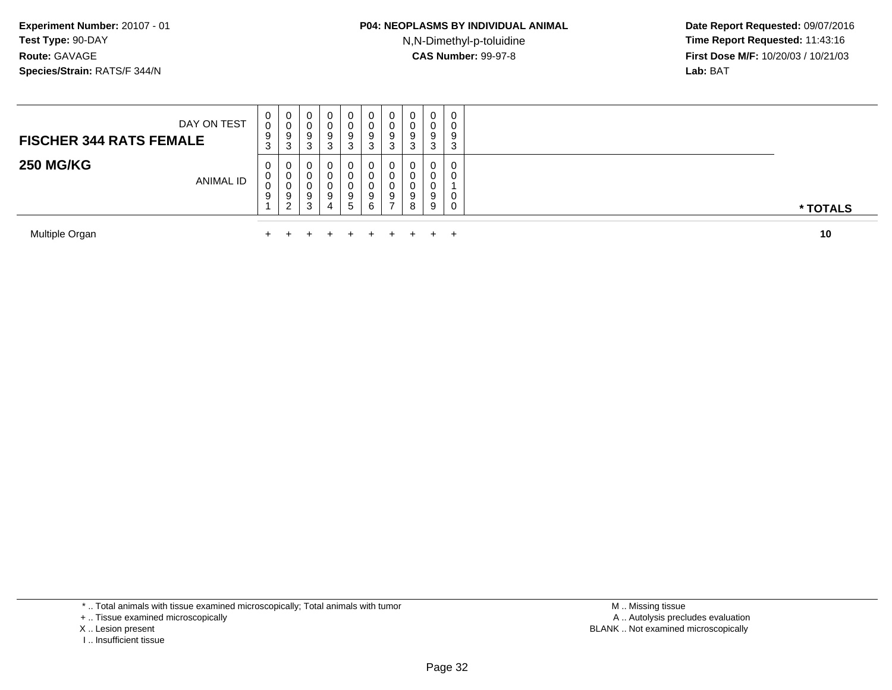N,N-Dimethyl-p-toluidine

 **Date Report Requested:** 09/07/2016 **Time Report Requested:** 11:43:16 **First Dose M/F:** 10/20/03 / 10/21/03<br>**Lab:** BAT **Lab:** BAT

| Multiple Organ                                |             |                                  |                  |                       | $\pm$                  | $+$              |              |        | $\pm$                       |                                       | 10       |
|-----------------------------------------------|-------------|----------------------------------|------------------|-----------------------|------------------------|------------------|--------------|--------|-----------------------------|---------------------------------------|----------|
| <b>250 MG/KG</b><br><b>ANIMAL ID</b>          | U<br>U<br>◡ | $\mathbf{0}$<br>0<br>U<br>9<br>ົ | U<br>U<br>9<br>3 | 0<br>0<br>U<br>9<br>4 | 0<br>U<br>U<br>9<br>D. | 9<br>6           |              | 8      | 0<br>0<br>0<br>9<br>9       | 0<br>$\mathbf{0}$<br>$\mathbf 0$<br>0 | * TOTALS |
| DAY ON TEST<br><b>FISCHER 344 RATS FEMALE</b> | U<br>9<br>ত | 0<br>◡<br>9<br>ີ<br>J            | U<br>9<br>ົ<br>J | 0<br>O<br>9<br>3      | 0<br>U<br>9<br>C.<br>J | v<br>9<br>⌒<br>◡ | ັ<br>9<br>ر. | 9<br>P | $\mathbf{0}$<br>0<br>9<br>3 | 0<br>0<br>9<br>3                      |          |

Multiple Organn  $+$ 

\* .. Total animals with tissue examined microscopically; Total animals with tumor

+ .. Tissue examined microscopically

X .. Lesion present

I .. Insufficient tissue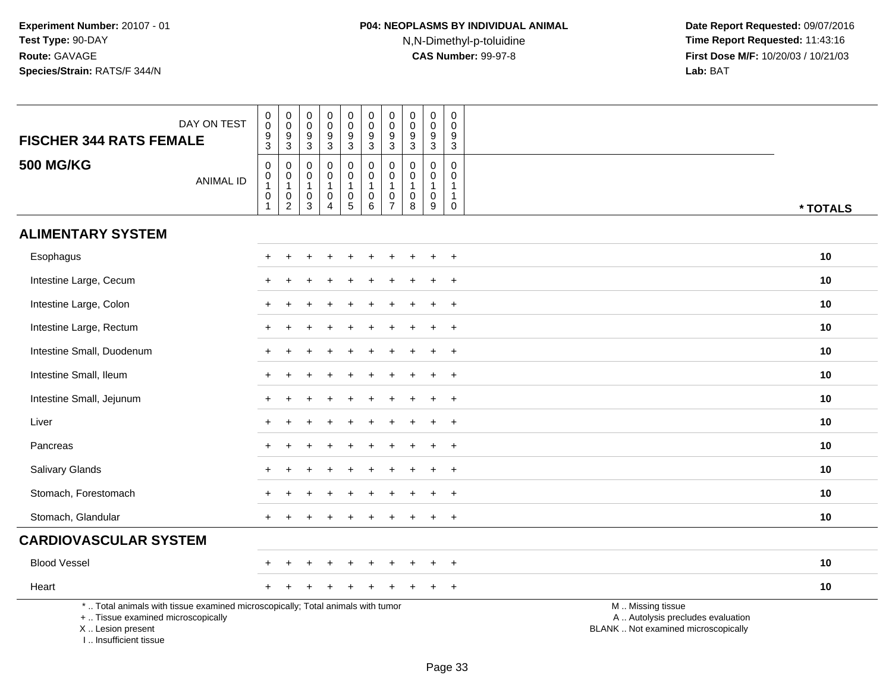| DAY ON TEST<br><b>FISCHER 344 RATS FEMALE</b>                                                                                                                       | $\pmb{0}$<br>$\mathbf 0$<br>$\frac{9}{3}$                         | $\pmb{0}$<br>$\mathbf 0$<br>$\frac{9}{3}$                         | $\pmb{0}$<br>$\mathbf 0$<br>$\boldsymbol{9}$<br>$\mathbf{3}$             | $\pmb{0}$<br>$\mathbf 0$<br>9<br>$\sqrt{3}$                             | $\pmb{0}$<br>$_{9}^{\rm 0}$<br>$\mathbf{3}$                                            | $\mathsf 0$<br>$\mathbf 0$<br>$\boldsymbol{9}$<br>$\mathbf{3}$                            | $\pmb{0}$<br>$\mathsf{O}\xspace$<br>$\boldsymbol{9}$<br>$\mathbf{3}$ | $\pmb{0}$<br>$\mathbf 0$<br>$\boldsymbol{9}$<br>$\sqrt{3}$           | $\mathbf 0$<br>$\mathbf 0$<br>9<br>$\mathbf{3}$                               | $\pmb{0}$<br>$\mathbf 0$<br>9<br>$\mathbf{3}$      |                                                                                               |
|---------------------------------------------------------------------------------------------------------------------------------------------------------------------|-------------------------------------------------------------------|-------------------------------------------------------------------|--------------------------------------------------------------------------|-------------------------------------------------------------------------|----------------------------------------------------------------------------------------|-------------------------------------------------------------------------------------------|----------------------------------------------------------------------|----------------------------------------------------------------------|-------------------------------------------------------------------------------|----------------------------------------------------|-----------------------------------------------------------------------------------------------|
| <b>500 MG/KG</b><br><b>ANIMAL ID</b>                                                                                                                                | $\mathbf 0$<br>$\mathbf 0$<br>$\overline{1}$<br>0<br>$\mathbf{1}$ | $\pmb{0}$<br>$\overline{0}$<br>1<br>$\mathbf 0$<br>$\overline{2}$ | $\mathbf 0$<br>$\mathbf 0$<br>$\mathbf{1}$<br>$\mathbf 0$<br>$\mathsf 3$ | $\pmb{0}$<br>$\mathbf 0$<br>$\mathbf{1}$<br>$\pmb{0}$<br>$\overline{4}$ | $\boldsymbol{0}$<br>$\mathsf{O}\xspace$<br>$\mathbf{1}$<br>$\pmb{0}$<br>$\overline{5}$ | $\pmb{0}$<br>$\ddot{\mathbf{0}}$<br>$\mathbf{1}$<br>$\begin{array}{c} 0 \\ 6 \end{array}$ | $\mathsf{O}\xspace$<br>$\pmb{0}$<br>1<br>$\pmb{0}$<br>$\overline{7}$ | $\mathbf 0$<br>$\mathbf 0$<br>$\mathbf{1}$<br>$\mathbf 0$<br>$\,8\,$ | $\mathbf 0$<br>$\mathbf 0$<br>$\mathbf{1}$<br>$\mathbf 0$<br>$\boldsymbol{9}$ | $\mathbf 0$<br>0<br>1<br>$\mathbf{1}$<br>$\pmb{0}$ | * TOTALS                                                                                      |
| <b>ALIMENTARY SYSTEM</b>                                                                                                                                            |                                                                   |                                                                   |                                                                          |                                                                         |                                                                                        |                                                                                           |                                                                      |                                                                      |                                                                               |                                                    |                                                                                               |
| Esophagus                                                                                                                                                           |                                                                   |                                                                   |                                                                          |                                                                         |                                                                                        |                                                                                           |                                                                      |                                                                      |                                                                               | $\ddot{}$                                          | 10                                                                                            |
| Intestine Large, Cecum                                                                                                                                              |                                                                   |                                                                   |                                                                          |                                                                         |                                                                                        |                                                                                           |                                                                      |                                                                      |                                                                               | $\ddot{}$                                          | 10                                                                                            |
| Intestine Large, Colon                                                                                                                                              |                                                                   |                                                                   |                                                                          |                                                                         |                                                                                        |                                                                                           |                                                                      |                                                                      |                                                                               | $\overline{+}$                                     | 10                                                                                            |
| Intestine Large, Rectum                                                                                                                                             |                                                                   |                                                                   |                                                                          |                                                                         |                                                                                        |                                                                                           |                                                                      |                                                                      |                                                                               | $\overline{+}$                                     | 10                                                                                            |
| Intestine Small, Duodenum                                                                                                                                           |                                                                   |                                                                   |                                                                          |                                                                         |                                                                                        |                                                                                           |                                                                      |                                                                      |                                                                               | $\ddot{}$                                          | 10                                                                                            |
| Intestine Small, Ileum                                                                                                                                              |                                                                   |                                                                   |                                                                          |                                                                         |                                                                                        |                                                                                           |                                                                      |                                                                      |                                                                               | $\ddot{}$                                          | 10                                                                                            |
| Intestine Small, Jejunum                                                                                                                                            |                                                                   |                                                                   |                                                                          |                                                                         |                                                                                        |                                                                                           |                                                                      |                                                                      |                                                                               | $+$                                                | 10                                                                                            |
| Liver                                                                                                                                                               |                                                                   |                                                                   |                                                                          |                                                                         |                                                                                        |                                                                                           |                                                                      |                                                                      |                                                                               | $\ddot{}$                                          | 10                                                                                            |
| Pancreas                                                                                                                                                            |                                                                   |                                                                   |                                                                          |                                                                         |                                                                                        |                                                                                           |                                                                      |                                                                      |                                                                               | $\ddot{}$                                          | 10                                                                                            |
| Salivary Glands                                                                                                                                                     |                                                                   |                                                                   |                                                                          |                                                                         |                                                                                        |                                                                                           |                                                                      |                                                                      | ÷.                                                                            | $+$                                                | 10                                                                                            |
| Stomach, Forestomach                                                                                                                                                |                                                                   |                                                                   |                                                                          |                                                                         |                                                                                        |                                                                                           |                                                                      |                                                                      |                                                                               | $\ddot{}$                                          | 10                                                                                            |
| Stomach, Glandular                                                                                                                                                  |                                                                   |                                                                   |                                                                          |                                                                         |                                                                                        |                                                                                           |                                                                      |                                                                      |                                                                               | $+$                                                | 10                                                                                            |
| <b>CARDIOVASCULAR SYSTEM</b>                                                                                                                                        |                                                                   |                                                                   |                                                                          |                                                                         |                                                                                        |                                                                                           |                                                                      |                                                                      |                                                                               |                                                    |                                                                                               |
| <b>Blood Vessel</b>                                                                                                                                                 |                                                                   |                                                                   |                                                                          |                                                                         |                                                                                        |                                                                                           |                                                                      |                                                                      |                                                                               | $\overline{+}$                                     | 10                                                                                            |
| Heart                                                                                                                                                               |                                                                   |                                                                   |                                                                          |                                                                         |                                                                                        |                                                                                           |                                                                      |                                                                      |                                                                               | $+$                                                | 10                                                                                            |
| *  Total animals with tissue examined microscopically; Total animals with tumor<br>+  Tissue examined microscopically<br>X  Lesion present<br>I Insufficient tissue |                                                                   |                                                                   |                                                                          |                                                                         |                                                                                        |                                                                                           |                                                                      |                                                                      |                                                                               |                                                    | M  Missing tissue<br>A  Autolysis precludes evaluation<br>BLANK  Not examined microscopically |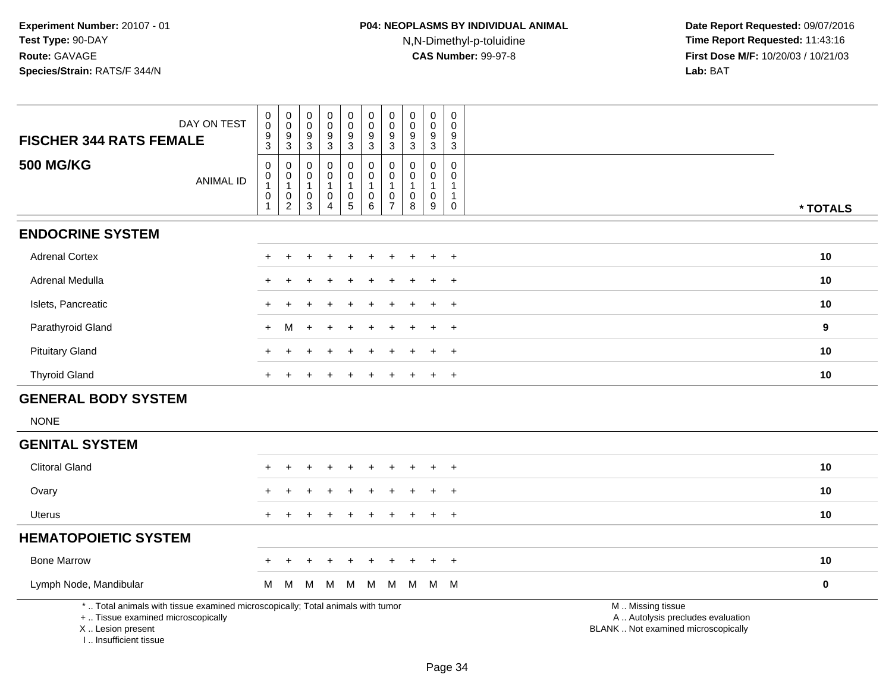| DAY ON TEST                                                                                                           | $\pmb{0}$<br>$\pmb{0}$                              | $\pmb{0}$<br>$\,0\,$                                | $\pmb{0}$<br>$\mathbf 0$         | 0<br>$\mathbf 0$                              | $\pmb{0}$<br>$\pmb{0}$                                                  | $\pmb{0}$<br>$\mathbf 0$                                                       | $\pmb{0}$<br>$\boldsymbol{0}$                                 | $\pmb{0}$<br>$\mathbf 0$                   | $\pmb{0}$<br>$\mathbf 0$                           | $\pmb{0}$<br>$\Omega$                                           |                                                        |           |
|-----------------------------------------------------------------------------------------------------------------------|-----------------------------------------------------|-----------------------------------------------------|----------------------------------|-----------------------------------------------|-------------------------------------------------------------------------|--------------------------------------------------------------------------------|---------------------------------------------------------------|--------------------------------------------|----------------------------------------------------|-----------------------------------------------------------------|--------------------------------------------------------|-----------|
| <b>FISCHER 344 RATS FEMALE</b>                                                                                        | $\frac{9}{3}$                                       | $\frac{9}{3}$                                       | 9<br>3                           | 9<br>$\mathbf{3}$                             | $\frac{9}{3}$                                                           | $\frac{9}{3}$                                                                  | 9<br>3                                                        | 9<br>$\mathbf{3}$                          | 9<br>$\mathbf{3}$                                  | 9<br>3                                                          |                                                        |           |
| <b>500 MG/KG</b><br><b>ANIMAL ID</b>                                                                                  | 0<br>$\pmb{0}$<br>$\overline{1}$<br>$\pmb{0}$<br>-1 | $\mathbf 0$<br>$\overline{0}$<br>1<br>$\frac{0}{2}$ | 0<br>0<br>$\mathbf{1}$<br>0<br>3 | 0<br>0<br>$\mathbf{1}$<br>0<br>$\overline{4}$ | 0<br>$\pmb{0}$<br>$\mathbf{1}$<br>$\begin{array}{c} 0 \\ 5 \end{array}$ | 0<br>$\overline{0}$<br>$\overline{1}$<br>$\begin{array}{c} 0 \\ 6 \end{array}$ | $\mathbf 0$<br>$\mathbf 0$<br>$\overline{1}$<br>$\frac{0}{7}$ | $\mathbf 0$<br>0<br>$\mathbf{1}$<br>0<br>8 | $\mathbf 0$<br>0<br>$\mathbf{1}$<br>$\pmb{0}$<br>9 | $\mathbf 0$<br>$\mathbf 0$<br>$\mathbf{1}$<br>$\mathbf{1}$<br>0 |                                                        | * TOTALS  |
|                                                                                                                       |                                                     |                                                     |                                  |                                               |                                                                         |                                                                                |                                                               |                                            |                                                    |                                                                 |                                                        |           |
| <b>ENDOCRINE SYSTEM</b>                                                                                               |                                                     |                                                     |                                  |                                               |                                                                         |                                                                                |                                                               |                                            |                                                    |                                                                 |                                                        |           |
| <b>Adrenal Cortex</b>                                                                                                 |                                                     |                                                     |                                  |                                               |                                                                         |                                                                                |                                                               |                                            |                                                    | $\ddot{}$                                                       |                                                        | 10        |
| Adrenal Medulla                                                                                                       |                                                     |                                                     |                                  |                                               |                                                                         |                                                                                |                                                               |                                            |                                                    | $\ddot{}$                                                       |                                                        | 10        |
| Islets, Pancreatic                                                                                                    |                                                     |                                                     |                                  |                                               |                                                                         |                                                                                |                                                               |                                            |                                                    | $\ddot{}$                                                       |                                                        | 10        |
| Parathyroid Gland                                                                                                     | $+$                                                 | M                                                   | $\ddot{}$                        |                                               |                                                                         |                                                                                |                                                               |                                            |                                                    | $\ddot{}$                                                       |                                                        | 9         |
| <b>Pituitary Gland</b>                                                                                                |                                                     |                                                     |                                  |                                               |                                                                         |                                                                                |                                                               |                                            |                                                    | $\ddot{}$                                                       |                                                        | 10        |
| <b>Thyroid Gland</b>                                                                                                  | $\pm$                                               |                                                     |                                  |                                               |                                                                         |                                                                                |                                                               |                                            |                                                    | $\ddot{}$                                                       |                                                        | 10        |
| <b>GENERAL BODY SYSTEM</b>                                                                                            |                                                     |                                                     |                                  |                                               |                                                                         |                                                                                |                                                               |                                            |                                                    |                                                                 |                                                        |           |
| <b>NONE</b>                                                                                                           |                                                     |                                                     |                                  |                                               |                                                                         |                                                                                |                                                               |                                            |                                                    |                                                                 |                                                        |           |
| <b>GENITAL SYSTEM</b>                                                                                                 |                                                     |                                                     |                                  |                                               |                                                                         |                                                                                |                                                               |                                            |                                                    |                                                                 |                                                        |           |
| <b>Clitoral Gland</b>                                                                                                 |                                                     |                                                     |                                  |                                               |                                                                         |                                                                                |                                                               |                                            |                                                    |                                                                 |                                                        | 10        |
| Ovary                                                                                                                 |                                                     |                                                     |                                  |                                               |                                                                         |                                                                                |                                                               |                                            |                                                    |                                                                 |                                                        | 10        |
| <b>Uterus</b>                                                                                                         |                                                     |                                                     |                                  |                                               |                                                                         |                                                                                |                                                               |                                            |                                                    | $\overline{+}$                                                  |                                                        | 10        |
| <b>HEMATOPOIETIC SYSTEM</b>                                                                                           |                                                     |                                                     |                                  |                                               |                                                                         |                                                                                |                                                               |                                            |                                                    |                                                                 |                                                        |           |
| <b>Bone Marrow</b>                                                                                                    |                                                     |                                                     |                                  |                                               |                                                                         |                                                                                |                                                               |                                            |                                                    | $\overline{+}$                                                  |                                                        | 10        |
| Lymph Node, Mandibular                                                                                                | M                                                   | M                                                   | M                                | M                                             | M                                                                       | M                                                                              | M                                                             | M                                          |                                                    | M M                                                             |                                                        | $\pmb{0}$ |
| *  Total animals with tissue examined microscopically; Total animals with tumor<br>+  Tissue examined microscopically |                                                     |                                                     |                                  |                                               |                                                                         |                                                                                |                                                               |                                            |                                                    |                                                                 | M  Missing tissue<br>A  Autolysis precludes evaluation |           |

X .. Lesion present

I .. Insufficient tissue

Lesion present BLANK .. Not examined microscopically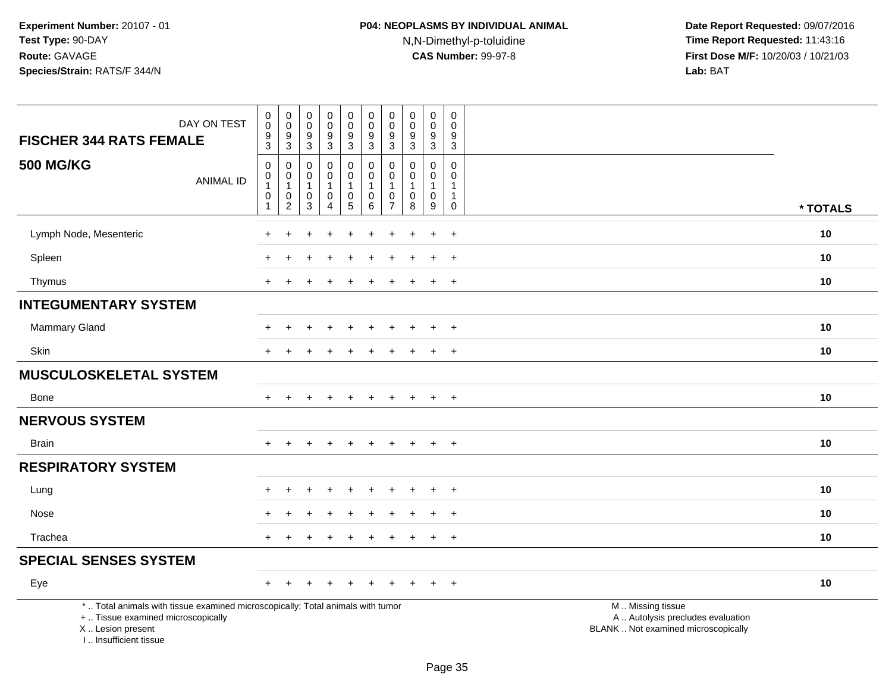| DAY ON TEST<br><b>FISCHER 344 RATS FEMALE</b>                                                                                                                       | $\pmb{0}$<br>$\overline{0}$<br>$9\,$<br>$\overline{3}$        | $\boldsymbol{0}$<br>$\pmb{0}$<br>$9\,$<br>$\overline{3}$  | $\begin{smallmatrix} 0\\0 \end{smallmatrix}$<br>$\boldsymbol{9}$<br>$\overline{3}$ | $\begin{smallmatrix}0\0\0\end{smallmatrix}$<br>$\frac{9}{3}$ | $\mathbf 0$<br>$\pmb{0}$<br>9<br>$\overline{3}$                | $_{\rm 0}^{\rm 0}$<br>$\boldsymbol{9}$<br>$\overline{3}$                              | 0<br>$\mathbf 0$<br>9<br>$\sqrt{3}$                 | $\mathbf 0$<br>$\mathbf 0$<br>9<br>$\mathbf{3}$                        | $\mathbf 0$<br>$\mathbf{0}$<br>9<br>$\overline{3}$                | $\mathbf 0$<br>$\mathsf{O}\xspace$<br>9<br>$\overline{3}$                                 |                                                                                               |
|---------------------------------------------------------------------------------------------------------------------------------------------------------------------|---------------------------------------------------------------|-----------------------------------------------------------|------------------------------------------------------------------------------------|--------------------------------------------------------------|----------------------------------------------------------------|---------------------------------------------------------------------------------------|-----------------------------------------------------|------------------------------------------------------------------------|-------------------------------------------------------------------|-------------------------------------------------------------------------------------------|-----------------------------------------------------------------------------------------------|
| <b>500 MG/KG</b><br><b>ANIMAL ID</b>                                                                                                                                | $\mathsf{O}\xspace$<br>0<br>$\mathbf{1}$<br>0<br>$\mathbf{1}$ | $\mathbf 0$<br>0<br>$\overline{1}$<br>0<br>$\overline{2}$ | $\mathbf 0$<br>0<br>$\mathbf{1}$<br>0<br>$\overline{3}$                            | 0<br>0<br>$\mathbf{1}$<br>0<br>$\overline{4}$                | 0<br>0<br>$\mathbf 1$<br>$\begin{array}{c} 0 \\ 5 \end{array}$ | $\mathbf 0$<br>$\mathbf 0$<br>$\overline{1}$<br>$\begin{array}{c} 0 \\ 6 \end{array}$ | $\Omega$<br>$\mathbf 0$<br>1<br>0<br>$\overline{7}$ | $\Omega$<br>$\mathbf 0$<br>$\mathbf{1}$<br>$\pmb{0}$<br>$\overline{8}$ | 0<br>$\mathbf 0$<br>$\mathbf{1}$<br>$\mathbf 0$<br>$\overline{9}$ | $\mathsf{O}\xspace$<br>$\mathbf 0$<br>$\mathbf{1}$<br>$\mathbf{1}$<br>$\mathsf{O}\xspace$ | * TOTALS                                                                                      |
| Lymph Node, Mesenteric                                                                                                                                              |                                                               |                                                           |                                                                                    |                                                              |                                                                |                                                                                       |                                                     |                                                                        |                                                                   | $\ddot{}$                                                                                 | 10                                                                                            |
| Spleen                                                                                                                                                              |                                                               |                                                           |                                                                                    |                                                              |                                                                |                                                                                       |                                                     |                                                                        | $\ddot{}$                                                         | $\overline{+}$                                                                            | 10                                                                                            |
| Thymus                                                                                                                                                              | $\ddot{}$                                                     |                                                           |                                                                                    |                                                              |                                                                |                                                                                       |                                                     |                                                                        | $\pm$                                                             | $+$                                                                                       | 10                                                                                            |
| <b>INTEGUMENTARY SYSTEM</b>                                                                                                                                         |                                                               |                                                           |                                                                                    |                                                              |                                                                |                                                                                       |                                                     |                                                                        |                                                                   |                                                                                           |                                                                                               |
| Mammary Gland                                                                                                                                                       |                                                               |                                                           |                                                                                    |                                                              |                                                                |                                                                                       |                                                     |                                                                        | $\overline{ }$                                                    | $+$                                                                                       | 10                                                                                            |
| Skin                                                                                                                                                                |                                                               |                                                           |                                                                                    |                                                              |                                                                |                                                                                       |                                                     |                                                                        | $\div$                                                            | $\ddot{}$                                                                                 | 10                                                                                            |
| <b>MUSCULOSKELETAL SYSTEM</b>                                                                                                                                       |                                                               |                                                           |                                                                                    |                                                              |                                                                |                                                                                       |                                                     |                                                                        |                                                                   |                                                                                           |                                                                                               |
| <b>Bone</b>                                                                                                                                                         | $+$                                                           | $+$                                                       | $\ddot{}$                                                                          | $+$                                                          | $+$                                                            | $+$                                                                                   | $\ddot{}$                                           | $\pm$                                                                  | $+$                                                               | $+$                                                                                       | 10                                                                                            |
| <b>NERVOUS SYSTEM</b>                                                                                                                                               |                                                               |                                                           |                                                                                    |                                                              |                                                                |                                                                                       |                                                     |                                                                        |                                                                   |                                                                                           |                                                                                               |
| <b>Brain</b>                                                                                                                                                        |                                                               |                                                           |                                                                                    |                                                              |                                                                |                                                                                       |                                                     |                                                                        | $\ddot{}$                                                         | $+$                                                                                       | 10                                                                                            |
| <b>RESPIRATORY SYSTEM</b>                                                                                                                                           |                                                               |                                                           |                                                                                    |                                                              |                                                                |                                                                                       |                                                     |                                                                        |                                                                   |                                                                                           |                                                                                               |
| Lung                                                                                                                                                                |                                                               |                                                           |                                                                                    |                                                              |                                                                |                                                                                       |                                                     |                                                                        | $\div$                                                            | $+$                                                                                       | 10                                                                                            |
| Nose                                                                                                                                                                |                                                               |                                                           |                                                                                    | $\div$                                                       |                                                                |                                                                                       |                                                     |                                                                        | $\ddot{}$                                                         | $+$                                                                                       | 10                                                                                            |
| Trachea                                                                                                                                                             |                                                               |                                                           |                                                                                    |                                                              |                                                                |                                                                                       |                                                     |                                                                        | $\ddot{}$                                                         | $+$                                                                                       | 10                                                                                            |
| <b>SPECIAL SENSES SYSTEM</b>                                                                                                                                        |                                                               |                                                           |                                                                                    |                                                              |                                                                |                                                                                       |                                                     |                                                                        |                                                                   |                                                                                           |                                                                                               |
| Eye                                                                                                                                                                 | ÷                                                             |                                                           |                                                                                    |                                                              |                                                                |                                                                                       |                                                     |                                                                        |                                                                   | $+$                                                                                       | 10                                                                                            |
| *  Total animals with tissue examined microscopically; Total animals with tumor<br>+  Tissue examined microscopically<br>X  Lesion present<br>I Insufficient tissue |                                                               |                                                           |                                                                                    |                                                              |                                                                |                                                                                       |                                                     |                                                                        |                                                                   |                                                                                           | M  Missing tissue<br>A  Autolysis precludes evaluation<br>BLANK  Not examined microscopically |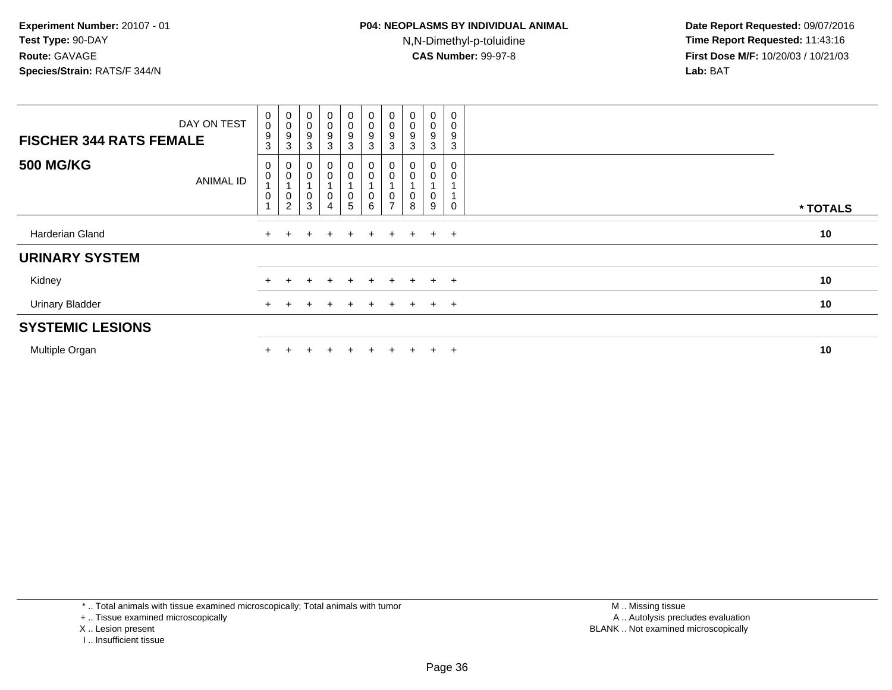| DAY ON TEST<br><b>FISCHER 344 RATS FEMALE</b> | $\mathbf 0$<br>$\boldsymbol{0}$<br>$9\,$<br>3 | $\begin{smallmatrix}0\\0\end{smallmatrix}$<br>$\boldsymbol{9}$<br>3 | $\pmb{0}$<br>$\mathbf 0$<br>9<br>3 | $\overline{0}$<br>0<br>9<br>3 | $\pmb{0}$<br>$\mathsf 0$<br>9<br>$\mathbf{3}$  | $\begin{smallmatrix} 0\\0 \end{smallmatrix}$<br>$\boldsymbol{9}$<br>$\mathbf{3}$ | $\begin{smallmatrix} 0\\0 \end{smallmatrix}$<br>9<br>3 | $_{\rm 0}^{\rm 0}$<br>9<br>3 | 0<br>0<br>9<br>3    | $\mathbf 0$<br>9<br>3 |          |  |
|-----------------------------------------------|-----------------------------------------------|---------------------------------------------------------------------|------------------------------------|-------------------------------|------------------------------------------------|----------------------------------------------------------------------------------|--------------------------------------------------------|------------------------------|---------------------|-----------------------|----------|--|
| <b>500 MG/KG</b><br><b>ANIMAL ID</b>          | 0<br>$\pmb{0}$<br>$\mathbf 0$                 | $_{\rm 0}^{\rm 0}$<br>$\overline{A}$<br>$\pmb{0}$<br>$\overline{c}$ | 3                                  | $_0^0$<br>0<br>$\overline{4}$ | $_0^0$<br>$\begin{matrix} 0 \\ 5 \end{matrix}$ | $\begin{smallmatrix} 0\\0 \end{smallmatrix}$<br>$\,0\,$<br>$\,6\,$               | 0<br>$\rightarrow$                                     | U<br>0<br>υ<br>8             | 0<br>$\pmb{0}$<br>9 |                       | * TOTALS |  |
| Harderian Gland                               |                                               |                                                                     |                                    |                               | $+$                                            | $+$                                                                              | $+$                                                    | $+$                          | $\ddot{}$           | $+$                   | 10       |  |
| <b>URINARY SYSTEM</b>                         |                                               |                                                                     |                                    |                               |                                                |                                                                                  |                                                        |                              |                     |                       |          |  |
| Kidney                                        |                                               |                                                                     |                                    |                               | ÷.                                             |                                                                                  | $\div$                                                 | $+$                          | $\ddot{}$           | $+$                   | 10       |  |
| <b>Urinary Bladder</b>                        |                                               |                                                                     |                                    |                               | $+$                                            | $+$                                                                              | $\pm$                                                  | $+$                          | $\ddot{}$           | $+$                   | 10       |  |
| <b>SYSTEMIC LESIONS</b>                       |                                               |                                                                     |                                    |                               |                                                |                                                                                  |                                                        |                              |                     |                       |          |  |
| Multiple Organ                                |                                               |                                                                     |                                    |                               |                                                |                                                                                  |                                                        |                              | $\pm$               | $+$                   | 10       |  |

\* .. Total animals with tissue examined microscopically; Total animals with tumor

+ .. Tissue examined microscopically

- X .. Lesion present
- I .. Insufficient tissue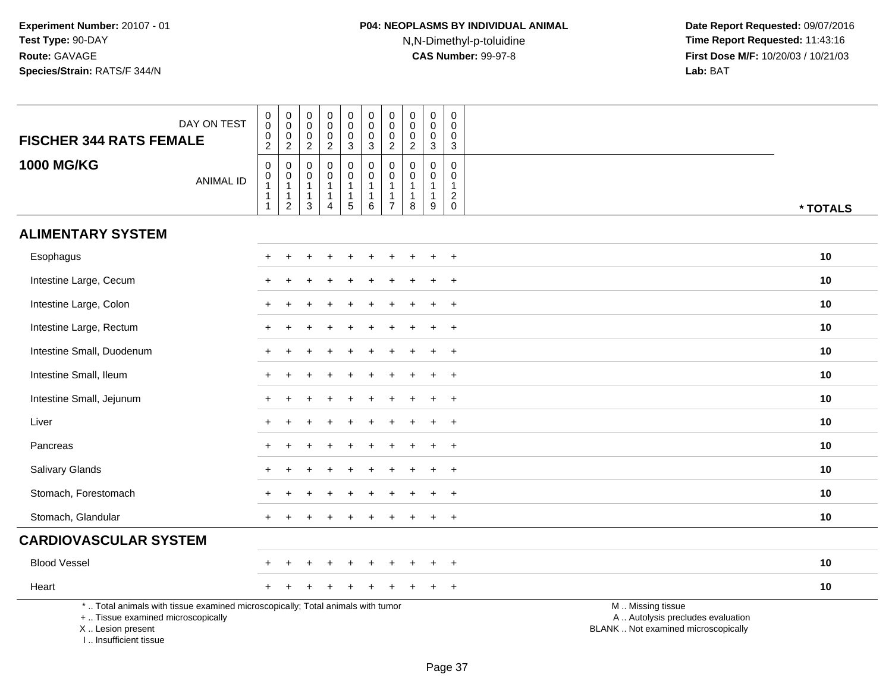| DAY ON TEST<br><b>FISCHER 344 RATS FEMALE</b>                                                                                                                       | $\pmb{0}$<br>$\mathsf{O}\xspace$<br>$\mathbf 0$<br>$\overline{2}$    | $\pmb{0}$<br>$\mathbf 0$<br>$\mathsf 0$<br>$\overline{2}$                | $\pmb{0}$<br>$\mathbf 0$<br>$\boldsymbol{0}$<br>$\overline{2}$ | $\pmb{0}$<br>$\pmb{0}$<br>$\mathbf 0$<br>$\overline{2}$                      | $\mathsf{O}\xspace$<br>$\mathbf 0$<br>$\mathbf 0$<br>3           | $\pmb{0}$<br>$\pmb{0}$<br>$\mathbf 0$<br>$\mathbf{3}$              | $\pmb{0}$<br>$\mathbf 0$<br>$\pmb{0}$<br>$\overline{2}$ | $\mathbf 0$<br>$\boldsymbol{0}$<br>$\mathbf 0$<br>$\overline{2}$ | $\mathbf 0$<br>$\mathbf 0$<br>$\mathbf 0$<br>$\mathbf{3}$       | $\pmb{0}$<br>$\mathbf 0$<br>$\mathsf{O}\xspace$<br>3 |                                                                                               |
|---------------------------------------------------------------------------------------------------------------------------------------------------------------------|----------------------------------------------------------------------|--------------------------------------------------------------------------|----------------------------------------------------------------|------------------------------------------------------------------------------|------------------------------------------------------------------|--------------------------------------------------------------------|---------------------------------------------------------|------------------------------------------------------------------|-----------------------------------------------------------------|------------------------------------------------------|-----------------------------------------------------------------------------------------------|
| <b>1000 MG/KG</b><br><b>ANIMAL ID</b>                                                                                                                               | $\mathbf 0$<br>$\mathbf 0$<br>$\overline{1}$<br>-1<br>$\overline{1}$ | $\mathbf 0$<br>$\mathbf 0$<br>$\mathbf{1}$<br>$\mathbf{1}$<br>$\sqrt{2}$ | $\mathbf 0$<br>$\mathbf 0$<br>$\mathbf{1}$<br>1<br>3           | $\mathbf 0$<br>$\mathbf 0$<br>$\mathbf{1}$<br>$\mathbf{1}$<br>$\overline{4}$ | $\mathsf{O}$<br>$\mathbf 0$<br>$\mathbf{1}$<br>$\mathbf{1}$<br>5 | $\pmb{0}$<br>$\mathbf 0$<br>$\mathbf{1}$<br>$\mathbf 1$<br>$\,6\,$ | $\mathbf 0$<br>$\pmb{0}$<br>-1<br>1<br>$\overline{7}$   | $\mathbf 0$<br>0<br>-1<br>-1<br>8                                | $\mathbf 0$<br>$\mathbf 0$<br>$\mathbf{1}$<br>$\mathbf{1}$<br>9 | $\mathbf 0$<br>0<br>$\mathbf{1}$<br>$^2_{\rm 0}$     | * TOTALS                                                                                      |
| <b>ALIMENTARY SYSTEM</b>                                                                                                                                            |                                                                      |                                                                          |                                                                |                                                                              |                                                                  |                                                                    |                                                         |                                                                  |                                                                 |                                                      |                                                                                               |
| Esophagus                                                                                                                                                           |                                                                      |                                                                          |                                                                |                                                                              |                                                                  |                                                                    |                                                         |                                                                  |                                                                 | $\div$                                               | 10                                                                                            |
| Intestine Large, Cecum                                                                                                                                              |                                                                      |                                                                          |                                                                |                                                                              |                                                                  |                                                                    |                                                         |                                                                  |                                                                 | $\ddot{}$                                            | 10                                                                                            |
| Intestine Large, Colon                                                                                                                                              |                                                                      |                                                                          |                                                                |                                                                              |                                                                  |                                                                    |                                                         |                                                                  |                                                                 | $\ddot{}$                                            | 10                                                                                            |
| Intestine Large, Rectum                                                                                                                                             |                                                                      |                                                                          |                                                                |                                                                              |                                                                  |                                                                    |                                                         |                                                                  |                                                                 | $\ddot{}$                                            | 10                                                                                            |
| Intestine Small, Duodenum                                                                                                                                           |                                                                      |                                                                          |                                                                |                                                                              |                                                                  |                                                                    |                                                         |                                                                  |                                                                 | $\ddot{}$                                            | 10                                                                                            |
| Intestine Small, Ileum                                                                                                                                              |                                                                      |                                                                          |                                                                |                                                                              |                                                                  |                                                                    |                                                         |                                                                  |                                                                 | $\ddot{}$                                            | 10                                                                                            |
| Intestine Small, Jejunum                                                                                                                                            |                                                                      |                                                                          |                                                                |                                                                              |                                                                  |                                                                    |                                                         |                                                                  | ÷.                                                              | $+$                                                  | 10                                                                                            |
| Liver                                                                                                                                                               |                                                                      |                                                                          |                                                                |                                                                              |                                                                  |                                                                    |                                                         |                                                                  |                                                                 | $\ddot{}$                                            | 10                                                                                            |
| Pancreas                                                                                                                                                            |                                                                      |                                                                          |                                                                |                                                                              |                                                                  |                                                                    |                                                         |                                                                  |                                                                 | $\ddot{}$                                            | 10                                                                                            |
| Salivary Glands                                                                                                                                                     |                                                                      |                                                                          |                                                                |                                                                              |                                                                  |                                                                    |                                                         |                                                                  |                                                                 | $\overline{+}$                                       | 10                                                                                            |
| Stomach, Forestomach                                                                                                                                                |                                                                      |                                                                          |                                                                |                                                                              |                                                                  |                                                                    |                                                         |                                                                  |                                                                 | $\ddot{}$                                            | 10                                                                                            |
| Stomach, Glandular                                                                                                                                                  |                                                                      |                                                                          |                                                                |                                                                              |                                                                  |                                                                    |                                                         |                                                                  |                                                                 | $+$                                                  | 10                                                                                            |
| <b>CARDIOVASCULAR SYSTEM</b>                                                                                                                                        |                                                                      |                                                                          |                                                                |                                                                              |                                                                  |                                                                    |                                                         |                                                                  |                                                                 |                                                      |                                                                                               |
| <b>Blood Vessel</b>                                                                                                                                                 |                                                                      |                                                                          |                                                                |                                                                              |                                                                  |                                                                    |                                                         |                                                                  |                                                                 | $\overline{+}$                                       | 10                                                                                            |
| Heart                                                                                                                                                               |                                                                      |                                                                          |                                                                |                                                                              |                                                                  |                                                                    |                                                         |                                                                  |                                                                 | $\overline{+}$                                       | 10                                                                                            |
| *  Total animals with tissue examined microscopically; Total animals with tumor<br>+  Tissue examined microscopically<br>X  Lesion present<br>I Insufficient tissue |                                                                      |                                                                          |                                                                |                                                                              |                                                                  |                                                                    |                                                         |                                                                  |                                                                 |                                                      | M  Missing tissue<br>A  Autolysis precludes evaluation<br>BLANK  Not examined microscopically |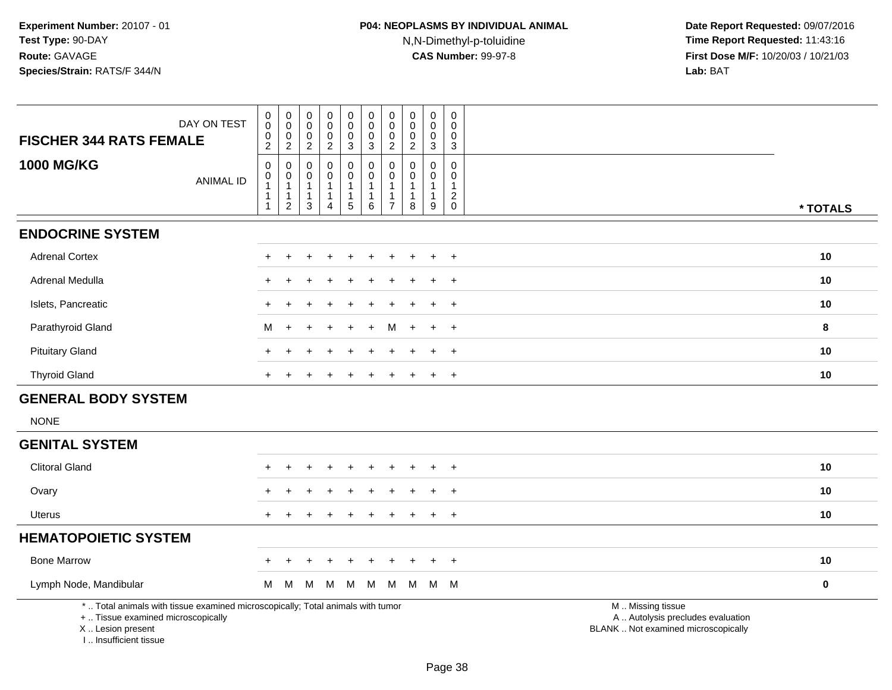I .. Insufficient tissue

| DAY ON TEST<br><b>FISCHER 344 RATS FEMALE</b>                                                                                              | 0<br>$\pmb{0}$<br>0 | 0<br>$\pmb{0}$<br>$\mathbf 0$ | $\mathbf 0$<br>$\mathbf 0$<br>0 | $\pmb{0}$<br>0<br>0          | $\pmb{0}$<br>$\mathbf 0$<br>$\mathbf 0$ | $\mathbf 0$<br>$\pmb{0}$<br>$\mathbf 0$ | $\mathbf 0$<br>$\mathbf 0$<br>0 | $\pmb{0}$<br>$\mathbf 0$<br>0 | $\pmb{0}$<br>$\pmb{0}$<br>0  | $\mathbf 0$<br>$\Omega$<br>0 |                                                                                               |
|--------------------------------------------------------------------------------------------------------------------------------------------|---------------------|-------------------------------|---------------------------------|------------------------------|-----------------------------------------|-----------------------------------------|---------------------------------|-------------------------------|------------------------------|------------------------------|-----------------------------------------------------------------------------------------------|
|                                                                                                                                            | $\overline{c}$      | $\overline{2}$                | $\overline{2}$                  | $\overline{2}$               | $\mathbf{3}$                            | $\mathbf{3}$                            | $\overline{2}$                  | $\overline{c}$                | $\mathbf{3}$                 | $\mathbf{3}$                 |                                                                                               |
| <b>1000 MG/KG</b><br><b>ANIMAL ID</b>                                                                                                      | 0<br>$\pmb{0}$      | 0<br>$\mathbf 0$              | 0<br>0                          | 0<br>0                       | 0<br>$\pmb{0}$                          | 0<br>$\pmb{0}$                          | $\mathbf 0$<br>$\mathbf 0$      | 0<br>0                        | $\mathbf 0$<br>0             | 0<br>$\mathbf 0$             |                                                                                               |
|                                                                                                                                            | $\mathbf{1}$<br>1   | $\mathbf{1}$<br>$\mathbf{1}$  | $\mathbf{1}$<br>$\mathbf{1}$    | $\mathbf{1}$<br>$\mathbf{1}$ | $\mathbf{1}$<br>$\mathbf{1}$            | $\overline{1}$<br>$\mathbf{1}$          | $\mathbf{1}$<br>$\mathbf{1}$    | 1                             | $\mathbf{1}$<br>$\mathbf{1}$ | $\overline{c}$               |                                                                                               |
|                                                                                                                                            | $\mathbf{1}$        |                               | $\overline{2}$<br>3             | 4                            | $\overline{5}$                          | $\,6\,$                                 | $\overline{7}$                  | 8                             | $\mathsf g$                  | $\mathbf 0$                  | * TOTALS                                                                                      |
| <b>ENDOCRINE SYSTEM</b>                                                                                                                    |                     |                               |                                 |                              |                                         |                                         |                                 |                               |                              |                              |                                                                                               |
| <b>Adrenal Cortex</b>                                                                                                                      |                     |                               |                                 |                              |                                         |                                         |                                 |                               |                              | $\overline{ }$               | 10                                                                                            |
| Adrenal Medulla                                                                                                                            | $\ddot{}$           |                               |                                 |                              |                                         |                                         |                                 |                               |                              | $\overline{+}$               | 10                                                                                            |
| Islets, Pancreatic                                                                                                                         |                     |                               |                                 |                              |                                         |                                         |                                 |                               |                              | $\ddot{}$                    | 10                                                                                            |
| Parathyroid Gland                                                                                                                          | M                   | $\ddot{}$                     | $\div$                          |                              | $\overline{+}$                          | $\ddot{}$                               | м                               |                               |                              | $^{+}$                       | 8                                                                                             |
| <b>Pituitary Gland</b>                                                                                                                     |                     |                               |                                 |                              |                                         |                                         |                                 |                               |                              | $\ddot{}$                    | 10                                                                                            |
| <b>Thyroid Gland</b>                                                                                                                       |                     |                               |                                 |                              |                                         |                                         |                                 |                               |                              | $\div$                       | 10                                                                                            |
| <b>GENERAL BODY SYSTEM</b>                                                                                                                 |                     |                               |                                 |                              |                                         |                                         |                                 |                               |                              |                              |                                                                                               |
| <b>NONE</b>                                                                                                                                |                     |                               |                                 |                              |                                         |                                         |                                 |                               |                              |                              |                                                                                               |
| <b>GENITAL SYSTEM</b>                                                                                                                      |                     |                               |                                 |                              |                                         |                                         |                                 |                               |                              |                              |                                                                                               |
| <b>Clitoral Gland</b>                                                                                                                      |                     |                               |                                 |                              |                                         |                                         |                                 |                               |                              | $\ddot{}$                    | 10                                                                                            |
| Ovary                                                                                                                                      |                     |                               |                                 |                              |                                         |                                         |                                 |                               |                              | $\overline{+}$               | 10                                                                                            |
| <b>Uterus</b>                                                                                                                              |                     |                               |                                 |                              |                                         |                                         |                                 |                               |                              | $\overline{1}$               | 10                                                                                            |
| <b>HEMATOPOIETIC SYSTEM</b>                                                                                                                |                     |                               |                                 |                              |                                         |                                         |                                 |                               |                              |                              |                                                                                               |
| <b>Bone Marrow</b>                                                                                                                         |                     |                               |                                 |                              |                                         |                                         |                                 |                               |                              | $+$                          | 10                                                                                            |
| Lymph Node, Mandibular                                                                                                                     | M                   | M                             | М                               | M                            | M                                       | M                                       | M                               | M                             |                              | M M                          | $\pmb{0}$                                                                                     |
| *  Total animals with tissue examined microscopically; Total animals with tumor<br>+  Tissue examined microscopically<br>X  Lesion present |                     |                               |                                 |                              |                                         |                                         |                                 |                               |                              |                              | M  Missing tissue<br>A  Autolysis precludes evaluation<br>BLANK  Not examined microscopically |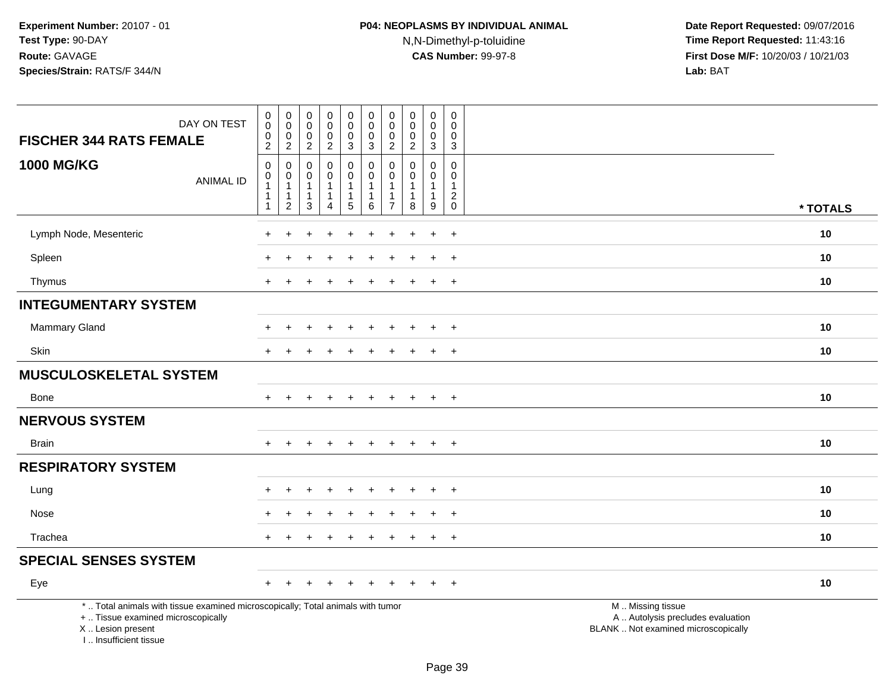| <b>FISCHER 344 RATS FEMALE</b><br><b>1000 MG/KG</b>                                                                                                                 | DAY ON TEST<br><b>ANIMAL ID</b> | $\begin{smallmatrix}0\0\0\end{smallmatrix}$<br>$\pmb{0}$<br>$\sqrt{2}$<br>$\mathbf 0$<br>$\mathbf 0$<br>$\mathbf{1}$<br>$\mathbf{1}$<br>$\mathbf{1}$ | $_{\rm 0}^{\rm 0}$<br>$\begin{smallmatrix} 0\\2 \end{smallmatrix}$<br>0<br>$\mathbf 0$<br>$\overline{1}$<br>$\overline{1}$<br>$\overline{2}$ | $\boldsymbol{0}$<br>$\mathbf 0$<br>$\mathbf 0$<br>$\overline{c}$<br>$\mathbf 0$<br>$\mathbf 0$<br>$\mathbf{1}$<br>$\overline{1}$<br>$\sqrt{3}$ | $\pmb{0}$<br>$\pmb{0}$<br>$\pmb{0}$<br>$\overline{c}$<br>$\mathbf 0$<br>$\mathbf 0$<br>$\mathbf{1}$<br>$\mathbf{1}$<br>$\overline{4}$ | 0<br>$\mathsf{O}\xspace$<br>$\boldsymbol{0}$<br>3<br>0<br>$\mathsf{O}$<br>$\mathbf{1}$<br>$\mathbf{1}$<br>5 | $_{\rm 0}^{\rm 0}$<br>$\mathsf{O}\xspace$<br>$\mathbf{3}$<br>0<br>$\mathbf 0$<br>$\mathbf{1}$<br>$\mathbf{1}$<br>$\,6\,$ | $\pmb{0}$<br>$\pmb{0}$<br>$\pmb{0}$<br>$\sqrt{2}$<br>$\mathbf 0$<br>$\mathbf 0$<br>$\overline{1}$<br>$\mathbf{1}$<br>$\overline{7}$ | $\pmb{0}$<br>$\mathbf 0$<br>0<br>$\boldsymbol{2}$<br>$\mathbf 0$<br>$\Omega$<br>$\overline{1}$<br>8 | $\pmb{0}$<br>$\mathbf 0$<br>$\mathbf 0$<br>$\mathbf{3}$<br>$\mathbf 0$<br>$\mathbf 0$<br>$\mathbf{1}$<br>$\mathbf{1}$<br>$\boldsymbol{9}$ | 0<br>$\mathbf 0$<br>0<br>3<br>0<br>$\mathbf 0$<br>$\mathbf{1}$<br>$\overline{c}$<br>$\mathbf 0$ | * TOTALS                                                                                      |  |
|---------------------------------------------------------------------------------------------------------------------------------------------------------------------|---------------------------------|------------------------------------------------------------------------------------------------------------------------------------------------------|----------------------------------------------------------------------------------------------------------------------------------------------|------------------------------------------------------------------------------------------------------------------------------------------------|---------------------------------------------------------------------------------------------------------------------------------------|-------------------------------------------------------------------------------------------------------------|--------------------------------------------------------------------------------------------------------------------------|-------------------------------------------------------------------------------------------------------------------------------------|-----------------------------------------------------------------------------------------------------|-------------------------------------------------------------------------------------------------------------------------------------------|-------------------------------------------------------------------------------------------------|-----------------------------------------------------------------------------------------------|--|
| Lymph Node, Mesenteric                                                                                                                                              |                                 |                                                                                                                                                      |                                                                                                                                              |                                                                                                                                                |                                                                                                                                       |                                                                                                             | ÷                                                                                                                        |                                                                                                                                     |                                                                                                     | ÷                                                                                                                                         | $+$                                                                                             | 10                                                                                            |  |
| Spleen                                                                                                                                                              |                                 |                                                                                                                                                      |                                                                                                                                              |                                                                                                                                                |                                                                                                                                       |                                                                                                             |                                                                                                                          |                                                                                                                                     |                                                                                                     |                                                                                                                                           | $\ddot{}$                                                                                       | 10                                                                                            |  |
|                                                                                                                                                                     |                                 |                                                                                                                                                      |                                                                                                                                              |                                                                                                                                                |                                                                                                                                       |                                                                                                             |                                                                                                                          |                                                                                                                                     |                                                                                                     |                                                                                                                                           |                                                                                                 | 10                                                                                            |  |
| Thymus                                                                                                                                                              |                                 |                                                                                                                                                      |                                                                                                                                              |                                                                                                                                                |                                                                                                                                       |                                                                                                             |                                                                                                                          |                                                                                                                                     |                                                                                                     |                                                                                                                                           | $+$                                                                                             |                                                                                               |  |
| <b>INTEGUMENTARY SYSTEM</b>                                                                                                                                         |                                 |                                                                                                                                                      |                                                                                                                                              |                                                                                                                                                |                                                                                                                                       |                                                                                                             |                                                                                                                          |                                                                                                                                     |                                                                                                     |                                                                                                                                           |                                                                                                 |                                                                                               |  |
| <b>Mammary Gland</b>                                                                                                                                                |                                 |                                                                                                                                                      |                                                                                                                                              |                                                                                                                                                |                                                                                                                                       |                                                                                                             |                                                                                                                          |                                                                                                                                     |                                                                                                     |                                                                                                                                           | $\ddot{}$                                                                                       | 10                                                                                            |  |
| Skin                                                                                                                                                                |                                 | $+$                                                                                                                                                  | $\ddot{}$                                                                                                                                    |                                                                                                                                                |                                                                                                                                       | $\div$                                                                                                      | $\ddot{}$                                                                                                                | $\div$                                                                                                                              | ÷                                                                                                   | $\pm$                                                                                                                                     | $+$                                                                                             | 10                                                                                            |  |
| <b>MUSCULOSKELETAL SYSTEM</b>                                                                                                                                       |                                 |                                                                                                                                                      |                                                                                                                                              |                                                                                                                                                |                                                                                                                                       |                                                                                                             |                                                                                                                          |                                                                                                                                     |                                                                                                     |                                                                                                                                           |                                                                                                 |                                                                                               |  |
| Bone                                                                                                                                                                |                                 | $+$                                                                                                                                                  |                                                                                                                                              |                                                                                                                                                |                                                                                                                                       | $\ddot{}$                                                                                                   | $\ddot{}$                                                                                                                | $\overline{+}$                                                                                                                      | $\pm$                                                                                               | $\pm$                                                                                                                                     | $+$                                                                                             | 10                                                                                            |  |
| <b>NERVOUS SYSTEM</b>                                                                                                                                               |                                 |                                                                                                                                                      |                                                                                                                                              |                                                                                                                                                |                                                                                                                                       |                                                                                                             |                                                                                                                          |                                                                                                                                     |                                                                                                     |                                                                                                                                           |                                                                                                 |                                                                                               |  |
| <b>Brain</b>                                                                                                                                                        |                                 | $+$                                                                                                                                                  |                                                                                                                                              |                                                                                                                                                |                                                                                                                                       |                                                                                                             |                                                                                                                          | +                                                                                                                                   | $+$                                                                                                 | $+$                                                                                                                                       | $+$                                                                                             | 10                                                                                            |  |
| <b>RESPIRATORY SYSTEM</b>                                                                                                                                           |                                 |                                                                                                                                                      |                                                                                                                                              |                                                                                                                                                |                                                                                                                                       |                                                                                                             |                                                                                                                          |                                                                                                                                     |                                                                                                     |                                                                                                                                           |                                                                                                 |                                                                                               |  |
| Lung                                                                                                                                                                |                                 |                                                                                                                                                      |                                                                                                                                              |                                                                                                                                                |                                                                                                                                       |                                                                                                             |                                                                                                                          |                                                                                                                                     |                                                                                                     |                                                                                                                                           | $+$                                                                                             | 10                                                                                            |  |
| Nose                                                                                                                                                                |                                 |                                                                                                                                                      |                                                                                                                                              |                                                                                                                                                |                                                                                                                                       |                                                                                                             |                                                                                                                          |                                                                                                                                     |                                                                                                     |                                                                                                                                           | $+$                                                                                             | 10                                                                                            |  |
| Trachea                                                                                                                                                             |                                 |                                                                                                                                                      |                                                                                                                                              |                                                                                                                                                |                                                                                                                                       |                                                                                                             |                                                                                                                          |                                                                                                                                     |                                                                                                     |                                                                                                                                           | $\ddot{}$                                                                                       | 10                                                                                            |  |
| <b>SPECIAL SENSES SYSTEM</b>                                                                                                                                        |                                 |                                                                                                                                                      |                                                                                                                                              |                                                                                                                                                |                                                                                                                                       |                                                                                                             |                                                                                                                          |                                                                                                                                     |                                                                                                     |                                                                                                                                           |                                                                                                 |                                                                                               |  |
| Eye                                                                                                                                                                 |                                 |                                                                                                                                                      |                                                                                                                                              |                                                                                                                                                |                                                                                                                                       |                                                                                                             |                                                                                                                          |                                                                                                                                     |                                                                                                     |                                                                                                                                           |                                                                                                 | 10                                                                                            |  |
| *  Total animals with tissue examined microscopically; Total animals with tumor<br>+  Tissue examined microscopically<br>X  Lesion present<br>I Insufficient tissue |                                 |                                                                                                                                                      |                                                                                                                                              |                                                                                                                                                |                                                                                                                                       |                                                                                                             |                                                                                                                          |                                                                                                                                     |                                                                                                     |                                                                                                                                           |                                                                                                 | M  Missing tissue<br>A  Autolysis precludes evaluation<br>BLANK  Not examined microscopically |  |